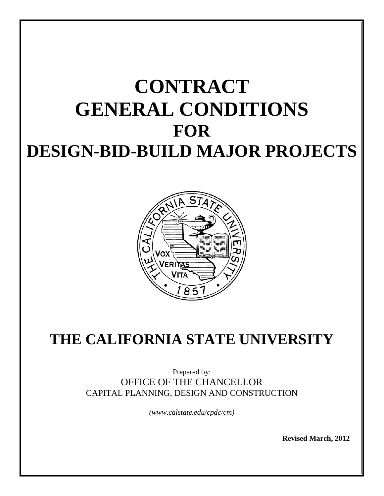# **CONTRACT GENERAL CONDITIONS FOR DESIGN-BID-BUILD MAJOR PROJECTS**



# **THE CALIFORNIA STATE UNIVERSITY**

Prepared by: OFFICE OF THE CHANCELLOR CAPITAL PLANNING, DESIGN AND CONSTRUCTION

*(www.calstate.edu/cpdc/cm)*

**Revised March, 2012**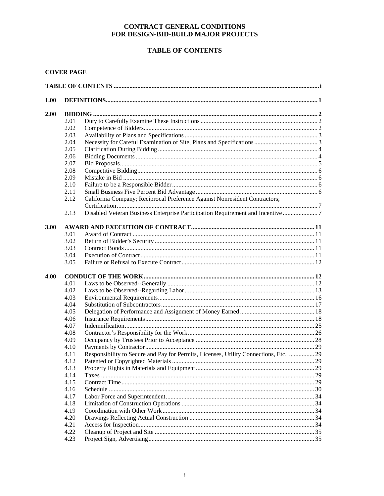# **CONTRACT GENERAL CONDITIONS** FOR DESIGN-BID-BUILD MAJOR PROJECTS

# **TABLE OF CONTENTS**

# **COVER PAGE**

| 1.00 |      |                                                                                       |  |
|------|------|---------------------------------------------------------------------------------------|--|
| 2.00 |      |                                                                                       |  |
|      | 2.01 |                                                                                       |  |
|      | 2.02 |                                                                                       |  |
|      | 2.03 |                                                                                       |  |
|      | 2.04 |                                                                                       |  |
|      | 2.05 |                                                                                       |  |
|      | 2.06 |                                                                                       |  |
|      | 2.07 |                                                                                       |  |
|      | 2.08 |                                                                                       |  |
|      | 2.09 |                                                                                       |  |
|      | 2.10 |                                                                                       |  |
|      | 2.11 |                                                                                       |  |
|      | 2.12 | California Company; Reciprocal Preference Against Nonresident Contractors;            |  |
|      |      |                                                                                       |  |
|      | 2.13 | Disabled Veteran Business Enterprise Participation Requirement and Incentive 7        |  |
|      |      |                                                                                       |  |
| 3.00 |      |                                                                                       |  |
|      | 3.01 |                                                                                       |  |
|      | 3.02 |                                                                                       |  |
|      | 3.03 |                                                                                       |  |
|      | 3.04 |                                                                                       |  |
|      | 3.05 |                                                                                       |  |
| 4.00 |      |                                                                                       |  |
|      | 4.01 |                                                                                       |  |
|      | 4.02 |                                                                                       |  |
|      | 4.03 |                                                                                       |  |
|      | 4.04 |                                                                                       |  |
|      | 4.05 |                                                                                       |  |
|      | 4.06 |                                                                                       |  |
|      | 4.07 |                                                                                       |  |
|      | 4.08 |                                                                                       |  |
|      | 4.09 |                                                                                       |  |
|      | 4.10 |                                                                                       |  |
|      | 4.11 | Responsibility to Secure and Pay for Permits, Licenses, Utility Connections, Etc.  29 |  |
|      | 4.12 |                                                                                       |  |
|      | 4.13 |                                                                                       |  |
|      | 4.14 |                                                                                       |  |
|      | 4.15 |                                                                                       |  |
|      | 4.16 |                                                                                       |  |
|      | 4.17 |                                                                                       |  |
|      | 4.18 |                                                                                       |  |
|      |      |                                                                                       |  |
|      | 4.19 |                                                                                       |  |
|      | 4.20 |                                                                                       |  |
|      | 4.21 |                                                                                       |  |
|      | 4.22 |                                                                                       |  |
|      | 4.23 |                                                                                       |  |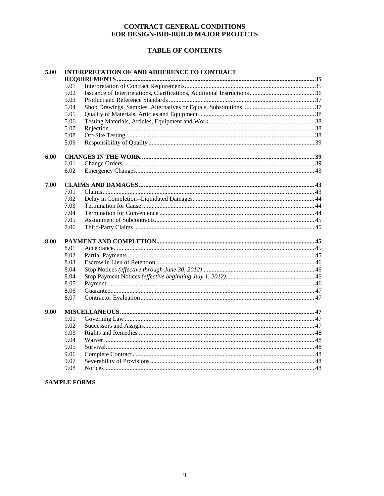# **CONTRACT GENERAL CONDITIONS** FOR DESIGN-BID-BUILD MAJOR PROJECTS

# **TABLE OF CONTENTS**

| 5.00 | <b>INTERPRETATION OF AND ADHERENCE TO CONTRACT</b> |  |  |  |
|------|----------------------------------------------------|--|--|--|
|      |                                                    |  |  |  |
|      | 5.01                                               |  |  |  |
|      | 5.02                                               |  |  |  |
|      | 5.03                                               |  |  |  |
|      | 5.04                                               |  |  |  |
|      | 5.05                                               |  |  |  |
|      | 5.06                                               |  |  |  |
|      | 5.07                                               |  |  |  |
|      | 5.08                                               |  |  |  |
|      | 5.09                                               |  |  |  |
| 6.00 |                                                    |  |  |  |
|      | 6.01                                               |  |  |  |
|      | 6.02                                               |  |  |  |
| 7.00 |                                                    |  |  |  |
|      | 7.01                                               |  |  |  |
|      | 7.02                                               |  |  |  |
|      | 7.03                                               |  |  |  |
|      | 7.04                                               |  |  |  |
|      | 7.05                                               |  |  |  |
|      | 7.06                                               |  |  |  |
| 8.00 |                                                    |  |  |  |
|      | 8.01                                               |  |  |  |
|      | 8.02                                               |  |  |  |
|      | 8.03                                               |  |  |  |
|      | 8.04                                               |  |  |  |
|      | 8.04                                               |  |  |  |
|      | 8.05                                               |  |  |  |
|      | 8.06                                               |  |  |  |
|      | 8.07                                               |  |  |  |
| 9.00 |                                                    |  |  |  |
|      | 9.01                                               |  |  |  |
|      | 9.02                                               |  |  |  |
|      | 9.03                                               |  |  |  |
|      | 9.04                                               |  |  |  |
|      | 9.05                                               |  |  |  |
|      | 9.06                                               |  |  |  |
|      | 9.07                                               |  |  |  |
|      | 9.08                                               |  |  |  |

# **SAMPLE FORMS**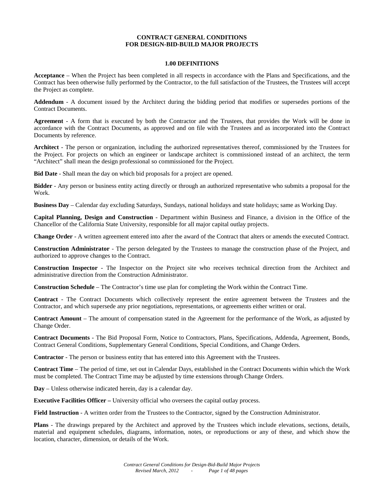# **CONTRACT GENERAL CONDITIONS FOR DESIGN-BID-BUILD MAJOR PROJECTS**

# **1.00 DEFINITIONS**

**Acceptance** – When the Project has been completed in all respects in accordance with the Plans and Specifications, and the Contract has been otherwise fully performed by the Contractor, to the full satisfaction of the Trustees, the Trustees will accept the Project as complete.

**Addendum** - A document issued by the Architect during the bidding period that modifies or supersedes portions of the Contract Documents.

**Agreement** - A form that is executed by both the Contractor and the Trustees, that provides the Work will be done in accordance with the Contract Documents, as approved and on file with the Trustees and as incorporated into the Contract Documents by reference.

**Architect** - The person or organization, including the authorized representatives thereof, commissioned by the Trustees for the Project. For projects on which an engineer or landscape architect is commissioned instead of an architect, the term "Architect" shall mean the design professional so commissioned for the Project.

**Bid Date** - Shall mean the day on which bid proposals for a project are opened.

**Bidder** - Any person or business entity acting directly or through an authorized representative who submits a proposal for the Work.

**Business Day** – Calendar day excluding Saturdays, Sundays, national holidays and state holidays; same as Working Day.

**Capital Planning, Design and Construction** - Department within Business and Finance, a division in the Office of the Chancellor of the California State University, responsible for all major capital outlay projects.

**Change Order** - A written agreement entered into after the award of the Contract that alters or amends the executed Contract.

**Construction Administrator** - The person delegated by the Trustees to manage the construction phase of the Project, and authorized to approve changes to the Contract.

**Construction Inspector** - The Inspector on the Project site who receives technical direction from the Architect and administrative direction from the Construction Administrator.

**Construction Schedule** – The Contractor's time use plan for completing the Work within the Contract Time.

**Contract** - The Contract Documents which collectively represent the entire agreement between the Trustees and the Contractor, and which supersede any prior negotiations, representations, or agreements either written or oral.

**Contract Amount** – The amount of compensation stated in the Agreement for the performance of the Work, as adjusted by Change Order.

**Contract Documents** - The Bid Proposal Form, Notice to Contractors, Plans, Specifications, Addenda, Agreement, Bonds, Contract General Conditions, Supplementary General Conditions, Special Conditions, and Change Orders.

**Contractor** - The person or business entity that has entered into this Agreement with the Trustees.

**Contract Time** – The period of time, set out in Calendar Days, established in the Contract Documents within which the Work must be completed. The Contract Time may be adjusted by time extensions through Change Orders.

**Day** – Unless otherwise indicated herein, day is a calendar day.

**Executive Facilities Officer** – University official who oversees the capital outlay process.

**Field Instruction** - A written order from the Trustees to the Contractor, signed by the Construction Administrator.

**Plans** - The drawings prepared by the Architect and approved by the Trustees which include elevations, sections, details, material and equipment schedules, diagrams, information, notes, or reproductions or any of these, and which show the location, character, dimension, or details of the Work.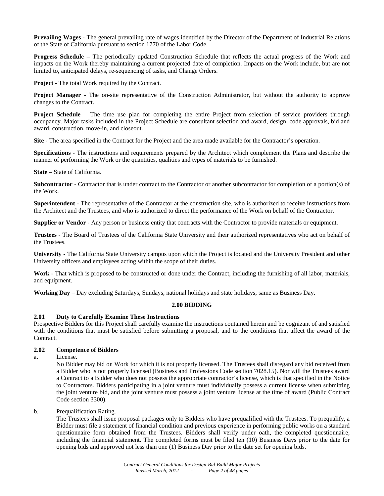**Prevailing Wages** - The general prevailing rate of wages identified by the Director of the Department of Industrial Relations of the State of California pursuant to section 1770 of the Labor Code.

**Progress Schedule –** The periodically updated Construction Schedule that reflects the actual progress of the Work and impacts on the Work thereby maintaining a current projected date of completion. Impacts on the Work include, but are not limited to, anticipated delays, re-sequencing of tasks, and Change Orders.

**Project** - The total Work required by the Contract.

**Project Manager** - The on-site representative of the Construction Administrator, but without the authority to approve changes to the Contract.

**Project Schedule** – The time use plan for completing the entire Project from selection of service providers through occupancy. Major tasks included in the Project Schedule are consultant selection and award, design, code approvals, bid and award, construction, move-in, and closeout.

**Site** - The area specified in the Contract for the Project and the area made available for the Contractor's operation.

**Specifications** - The instructions and requirements prepared by the Architect which complement the Plans and describe the manner of performing the Work or the quantities, qualities and types of materials to be furnished.

**State** – State of California.

**Subcontractor** - Contractor that is under contract to the Contractor or another subcontractor for completion of a portion(s) of the Work.

**Superintendent** - The representative of the Contractor at the construction site, who is authorized to receive instructions from the Architect and the Trustees, and who is authorized to direct the performance of the Work on behalf of the Contractor.

**Supplier or Vendor** - Any person or business entity that contracts with the Contractor to provide materials or equipment.

**Trustees** - The Board of Trustees of the California State University and their authorized representatives who act on behalf of the Trustees.

**University** - The California State University campus upon which the Project is located and the University President and other University officers and employees acting within the scope of their duties.

**Work** - That which is proposed to be constructed or done under the Contract, including the furnishing of all labor, materials, and equipment.

**Working Day** – Day excluding Saturdays, Sundays, national holidays and state holidays; same as Business Day.

# **2.00 BIDDING**

# **2.01 Duty to Carefully Examine These Instructions**

Prospective Bidders for this Project shall carefully examine the instructions contained herein and be cognizant of and satisfied with the conditions that must be satisfied before submitting a proposal, and to the conditions that affect the award of the Contract.

# **2.02 Competence of Bidders**

a. License.

No Bidder may bid on Work for which it is not properly licensed. The Trustees shall disregard any bid received from a Bidder who is not properly licensed (Business and Professions Code section 7028.15). Nor will the Trustees award a Contract to a Bidder who does not possess the appropriate contractor's license, which is that specified in the Notice to Contractors. Bidders participating in a joint venture must individually possess a current license when submitting the joint venture bid, and the joint venture must possess a joint venture license at the time of award (Public Contract Code section 3300).

#### b. Prequalification Rating.

The Trustees shall issue proposal packages only to Bidders who have prequalified with the Trustees. To prequalify, a Bidder must file a statement of financial condition and previous experience in performing public works on a standard questionnaire form obtained from the Trustees. Bidders shall verify under oath, the completed questionnaire, including the financial statement. The completed forms must be filed ten (10) Business Days prior to the date for opening bids and approved not less than one (1) Business Day prior to the date set for opening bids.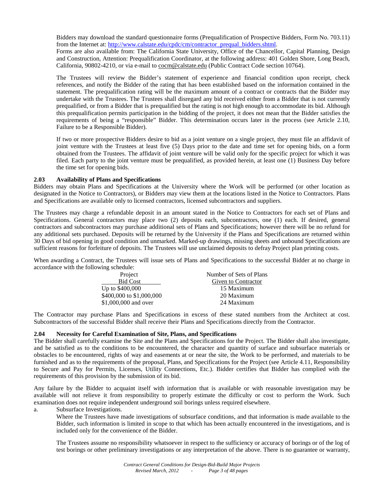Bidders may download the standard questionnaire forms (Prequalification of Prospective Bidders, Form No. 703.11) from the Internet at: [http://www.calstate.edu/cpdc/cm/contractor\\_prequal\\_bidders.shtml.](http://www.calstate.edu/cpdc/cm/contractor_prequal_bidders.shtml)

Forms are also available from: The California State University, Office of the Chancellor, Capital Planning, Design and Construction, Attention: Prequalification Coordinator, at the following address: 401 Golden Shore, Long Beach, California, 90802-4210, or via e-mail to [cocm@calstate.edu](mailto:cocm@calstate.edu) (Public Contract Code section 10764).

The Trustees will review the Bidder's statement of experience and financial condition upon receipt, check references, and notify the Bidder of the rating that has been established based on the information contained in the statement. The prequalification rating will be the maximum amount of a contract or contracts that the Bidder may undertake with the Trustees. The Trustees shall disregard any bid received either from a Bidder that is not currently prequalified, or from a Bidder that is prequalified but the rating is not high enough to accommodate its bid. Although this prequalification permits participation in the bidding of the project, it does not mean that the Bidder satisfies the requirements of being a "responsible" Bidder. This determination occurs later in the process (see Article 2.10, Failure to be a Responsible Bidder).

If two or more prospective Bidders desire to bid as a joint venture on a single project, they must file an affidavit of joint venture with the Trustees at least five (5) Days prior to the date and time set for opening bids, on a form obtained from the Trustees. The affidavit of joint venture will be valid only for the specific project for which it was filed. Each party to the joint venture must be prequalified, as provided herein, at least one (1) Business Day before the time set for opening bids.

# **2.03 Availability of Plans and Specifications**

Bidders may obtain Plans and Specifications at the University where the Work will be performed (or other location as designated in the Notice to Contractors), or Bidders may view them at the locations listed in the Notice to Contractors. Plans and Specifications are available only to licensed contractors, licensed subcontractors and suppliers.

The Trustees may charge a refundable deposit in an amount stated in the Notice to Contractors for each set of Plans and Specifications. General contractors may place two (2) deposits each, subcontractors, one (1) each. If desired, general contractors and subcontractors may purchase additional sets of Plans and Specifications; however there will be no refund for any additional sets purchased. Deposits will be returned by the University if the Plans and Specifications are returned within 30 Days of bid opening in good condition and unmarked. Marked-up drawings, missing sheets and unbound Specifications are sufficient reasons for forfeiture of deposits. The Trustees will use unclaimed deposits to defray Project plan printing costs.

When awarding a Contract, the Trustees will issue sets of Plans and Specifications to the successful Bidder at no charge in accordance with the following schedule:

| Project                  | Number of Sets of Plans |
|--------------------------|-------------------------|
| <b>Bid Cost</b>          | Given to Contractor     |
| Up to \$400,000          | 15 Maximum              |
| \$400,000 to \$1,000,000 | 20 Maximum              |
| \$1,000,000 and over     | 24 Maximum              |

The Contractor may purchase Plans and Specifications in excess of these stated numbers from the Architect at cost. Subcontractors of the successful Bidder shall receive their Plans and Specifications directly from the Contractor.

# **2.04 Necessity for Careful Examination of Site, Plans, and Specifications**

The Bidder shall carefully examine the Site and the Plans and Specifications for the Project. The Bidder shall also investigate, and be satisfied as to the conditions to be encountered, the character and quantity of surface and subsurface materials or obstacles to be encountered, rights of way and easements at or near the site, the Work to be performed, and materials to be furnished and as to the requirements of the proposal, Plans, and Specifications for the Project (see Article 4.11, Responsibility to Secure and Pay for Permits, Licenses, Utility Connections, Etc.). Bidder certifies that Bidder has complied with the requirements of this provision by the submission of its bid.

Any failure by the Bidder to acquaint itself with information that is available or with reasonable investigation may be available will not relieve it from responsibility to properly estimate the difficulty or cost to perform the Work. Such examination does not require independent underground soil borings unless required elsewhere.

a. Subsurface Investigations.

Where the Trustees have made investigations of subsurface conditions, and that information is made available to the Bidder, such information is limited in scope to that which has been actually encountered in the investigations, and is included only for the convenience of the Bidder.

The Trustees assume no responsibility whatsoever in respect to the sufficiency or accuracy of borings or of the log of test borings or other preliminary investigations or any interpretation of the above. There is no guarantee or warranty,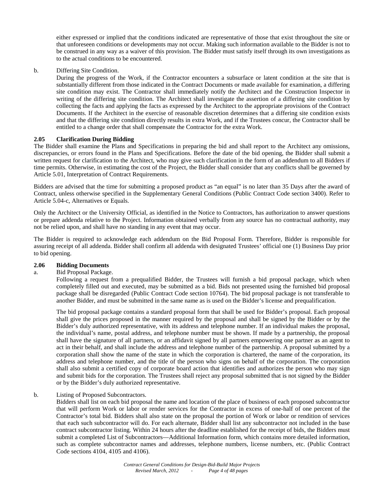either expressed or implied that the conditions indicated are representative of those that exist throughout the site or that unforeseen conditions or developments may not occur. Making such information available to the Bidder is not to be construed in any way as a waiver of this provision. The Bidder must satisfy itself through its own investigations as to the actual conditions to be encountered.

# b. Differing Site Condition.

During the progress of the Work, if the Contractor encounters a subsurface or latent condition at the site that is substantially different from those indicated in the Contract Documents or made available for examination, a differing site condition may exist. The Contractor shall immediately notify the Architect and the Construction Inspector in writing of the differing site condition. The Architect shall investigate the assertion of a differing site condition by collecting the facts and applying the facts as expressed by the Architect to the appropriate provisions of the Contract Documents. If the Architect in the exercise of reasonable discretion determines that a differing site condition exists and that the differing site condition directly results in extra Work, and if the Trustees concur, the Contractor shall be entitled to a change order that shall compensate the Contractor for the extra Work.

# **2.05 Clarification During Bidding**

The Bidder shall examine the Plans and Specifications in preparing the bid and shall report to the Architect any omissions, discrepancies, or errors found in the Plans and Specifications. Before the date of the bid opening, the Bidder shall submit a written request for clarification to the Architect, who may give such clarification in the form of an addendum to all Bidders if time permits. Otherwise, in estimating the cost of the Project, the Bidder shall consider that any conflicts shall be governed by Article 5.01, Interpretation of Contract Requirements.

Bidders are advised that the time for submitting a proposed product as "an equal" is no later than 35 Days after the award of Contract, unless otherwise specified in the Supplementary General Conditions (Public Contract Code section 3400). Refer to Article 5.04-c, Alternatives or Equals.

Only the Architect or the University Official, as identified in the Notice to Contractors, has authorization to answer questions or prepare addenda relative to the Project. Information obtained verbally from any source has no contractual authority, may not be relied upon, and shall have no standing in any event that may occur.

The Bidder is required to acknowledge each addendum on the Bid Proposal Form. Therefore, Bidder is responsible for assuring receipt of all addenda. Bidder shall confirm all addenda with designated Trustees' official one (1) Business Day prior to bid opening.

# **2.06 Bidding Documents**

#### a. Bid Proposal Package.

Following a request from a prequalified Bidder, the Trustees will furnish a bid proposal package, which when completely filled out and executed, may be submitted as a bid. Bids not presented using the furnished bid proposal package shall be disregarded (Public Contract Code section 10764). The bid proposal package is not transferable to another Bidder, and must be submitted in the same name as is used on the Bidder's license and prequalification.

The bid proposal package contains a standard proposal form that shall be used for Bidder's proposal. Each proposal shall give the prices proposed in the manner required by the proposal and shall be signed by the Bidder or by the Bidder's duly authorized representative, with its address and telephone number. If an individual makes the proposal, the individual's name, postal address, and telephone number must be shown. If made by a partnership, the proposal shall have the signature of all partners, or an affidavit signed by all partners empowering one partner as an agent to act in their behalf, and shall include the address and telephone number of the partnership. A proposal submitted by a corporation shall show the name of the state in which the corporation is chartered, the name of the corporation, its address and telephone number, and the title of the person who signs on behalf of the corporation. The corporation shall also submit a certified copy of corporate board action that identifies and authorizes the person who may sign and submit bids for the corporation. The Trustees shall reject any proposal submitted that is not signed by the Bidder or by the Bidder's duly authorized representative.

#### b. Listing of Proposed Subcontractors.

Bidders shall list on each bid proposal the name and location of the place of business of each proposed subcontractor that will perform Work or labor or render services for the Contractor in excess of one-half of one percent of the Contractor's total bid. Bidders shall also state on the proposal the portion of Work or labor or rendition of services that each such subcontractor will do. For each alternate, Bidder shall list any subcontractor not included in the base contract subcontractor listing. Within 24 hours after the deadline established for the receipt of bids, the Bidders must submit a completed List of Subcontractors—Additional Information form, which contains more detailed information, such as complete subcontractor names and addresses, telephone numbers, license numbers, etc. (Public Contract Code sections 4104, 4105 and 4106).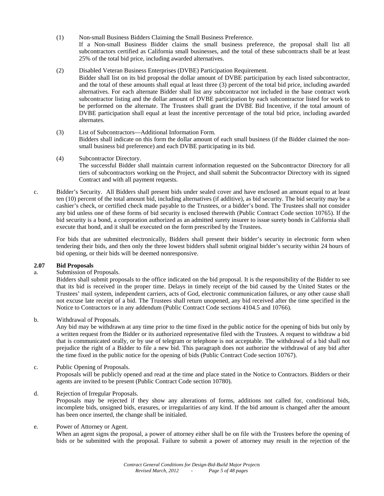(1) Non-small Business Bidders Claiming the Small Business Preference.

If a Non-small Business Bidder claims the small business preference, the proposal shall list all subcontractors certified as California small businesses, and the total of these subcontracts shall be at least 25% of the total bid price, including awarded alternatives.

(2) Disabled Veteran Business Enterprises (DVBE) Participation Requirement.

Bidder shall list on its bid proposal the dollar amount of DVBE participation by each listed subcontractor, and the total of these amounts shall equal at least three (3) percent of the total bid price, including awarded alternatives. For each alternate Bidder shall list any subcontractor not included in the base contract work subcontractor listing and the dollar amount of DVBE participation by each subcontractor listed for work to be performed on the alternate. The Trustees shall grant the DVBE Bid Incentive, if the total amount of DVBE participation shall equal at least the incentive percentage of the total bid price, including awarded alternates.

- (3) List of Subcontractors—Additional Information Form. Bidders shall indicate on this form the dollar amount of each small business (if the Bidder claimed the nonsmall business bid preference) and each DVBE participating in its bid.
- (4) Subcontractor Directory. The successful Bidder shall maintain current information requested on the Subcontractor Directory for all tiers of subcontractors working on the Project, and shall submit the Subcontractor Directory with its signed Contract and with all payment requests.
- c. Bidder's Security. All Bidders shall present bids under sealed cover and have enclosed an amount equal to at least ten (10) percent of the total amount bid, including alternatives (if additive), as bid security. The bid security may be a cashier's check, or certified check made payable to the Trustees, or a bidder's bond. The Trustees shall not consider any bid unless one of these forms of bid security is enclosed therewith (Public Contract Code section 10765). If the bid security is a bond, a corporation authorized as an admitted surety insurer to issue surety bonds in California shall execute that bond, and it shall be executed on the form prescribed by the Trustees.

For bids that are submitted electronically, Bidders shall present their bidder's security in electronic form when tendering their bids, and then only the three lowest bidders shall submit original bidder's security within 24 hours of bid opening, or their bids will be deemed nonresponsive.

# **2.07 Bid Proposals**

a. Submission of Proposals.

Bidders shall submit proposals to the office indicated on the bid proposal. It is the responsibility of the Bidder to see that its bid is received in the proper time. Delays in timely receipt of the bid caused by the United States or the Trustees' mail system, independent carriers, acts of God, electronic communication failures, or any other cause shall not excuse late receipt of a bid. The Trustees shall return unopened, any bid received after the time specified in the Notice to Contractors or in any addendum (Public Contract Code sections 4104.5 and 10766).

b. Withdrawal of Proposals.

Any bid may be withdrawn at any time prior to the time fixed in the public notice for the opening of bids but only by a written request from the Bidder or its authorized representative filed with the Trustees. A request to withdraw a bid that is communicated orally, or by use of telegram or telephone is not acceptable. The withdrawal of a bid shall not prejudice the right of a Bidder to file a new bid. This paragraph does not authorize the withdrawal of any bid after the time fixed in the public notice for the opening of bids (Public Contract Code section 10767).

# c. Public Opening of Proposals.

Proposals will be publicly opened and read at the time and place stated in the Notice to Contractors. Bidders or their agents are invited to be present (Public Contract Code section 10780).

d. Rejection of Irregular Proposals.

Proposals may be rejected if they show any alterations of forms, additions not called for, conditional bids, incomplete bids, unsigned bids, erasures, or irregularities of any kind. If the bid amount is changed after the amount has been once inserted, the change shall be initialed.

# e. Power of Attorney or Agent.

When an agent signs the proposal, a power of attorney either shall be on file with the Trustees before the opening of bids or be submitted with the proposal. Failure to submit a power of attorney may result in the rejection of the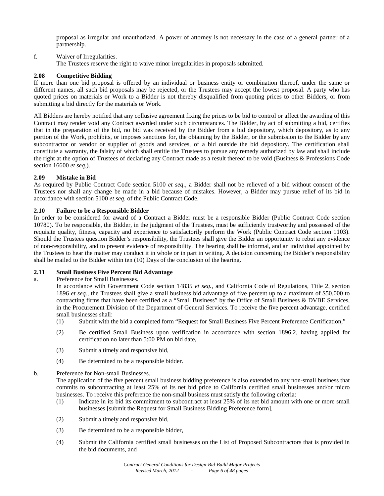proposal as irregular and unauthorized. A power of attorney is not necessary in the case of a general partner of a partnership.

# f. Waiver of Irregularities.

The Trustees reserve the right to waive minor irregularities in proposals submitted.

# **2.08 Competitive Bidding**

If more than one bid proposal is offered by an individual or business entity or combination thereof, under the same or different names, all such bid proposals may be rejected, or the Trustees may accept the lowest proposal. A party who has quoted prices on materials or Work to a Bidder is not thereby disqualified from quoting prices to other Bidders, or from submitting a bid directly for the materials or Work.

All Bidders are hereby notified that any collusive agreement fixing the prices to be bid to control or affect the awarding of this Contract may render void any Contract awarded under such circumstances. The Bidder, by act of submitting a bid, certifies that in the preparation of the bid, no bid was received by the Bidder from a bid depository, which depository, as to any portion of the Work, prohibits, or imposes sanctions for, the obtaining by the Bidder, or the submission to the Bidder by any subcontractor or vendor or supplier of goods and services, of a bid outside the bid depository. The certification shall constitute a warranty, the falsity of which shall entitle the Trustees to pursue any remedy authorized by law and shall include the right at the option of Trustees of declaring any Contract made as a result thereof to be void (Business & Professions Code section 16600 *et seq.*).

# **2.09 Mistake in Bid**

As required by Public Contract Code section 5100 *et seq*., a Bidder shall not be relieved of a bid without consent of the Trustees nor shall any change be made in a bid because of mistakes. However, a Bidder may pursue relief of its bid in accordance with section 5100 *et seq*. of the Public Contract Code.

# **2.10 Failure to be a Responsible Bidder**

In order to be considered for award of a Contract a Bidder must be a responsible Bidder (Public Contract Code section 10780). To be responsible, the Bidder, in the judgment of the Trustees, must be sufficiently trustworthy and possessed of the requisite quality, fitness, capacity and experience to satisfactorily perform the Work (Public Contract Code section 1103). Should the Trustees question Bidder's responsibility, the Trustees shall give the Bidder an opportunity to rebut any evidence of non-responsibility, and to present evidence of responsibility. The hearing shall be informal, and an individual appointed by the Trustees to hear the matter may conduct it in whole or in part in writing. A decision concerning the Bidder's responsibility shall be mailed to the Bidder within ten (10) Days of the conclusion of the hearing.

# **2.11 Small Business Five Percent Bid Advantage**

# a. Preference for Small Businesses.

In accordance with Government Code section 14835 *et seq.*, and California Code of Regulations, Title 2, section 1896 *et seq.,* the Trustees shall give a small business bid advantage of five percent up to a maximum of \$50,000 to contracting firms that have been certified as a "Small Business" by the Office of Small Business & DVBE Services, in the Procurement Division of the Department of General Services. To receive the five percent advantage, certified small businesses shall:

- (1) Submit with the bid a completed form "Request for Small Business Five Percent Preference Certification,"
- (2) Be certified Small Business upon verification in accordance with section 1896.2, having applied for certification no later than 5:00 PM on bid date,
- (3) Submit a timely and responsive bid,
- (4) Be determined to be a responsible bidder.

# b. Preference for Non-small Businesses.

The application of the five percent small business bidding preference is also extended to any non-small business that commits to subcontracting at least 25% of its net bid price to California certified small businesses and/or micro businesses. To receive this preference the non-small business must satisfy the following criteria:

- (1) Indicate in its bid its commitment to subcontract at least 25% of its net bid amount with one or more small businesses [submit the Request for Small Business Bidding Preference form],
- (2) Submit a timely and responsive bid,
- (3) Be determined to be a responsible bidder,
- (4) Submit the California certified small businesses on the List of Proposed Subcontractors that is provided in the bid documents, and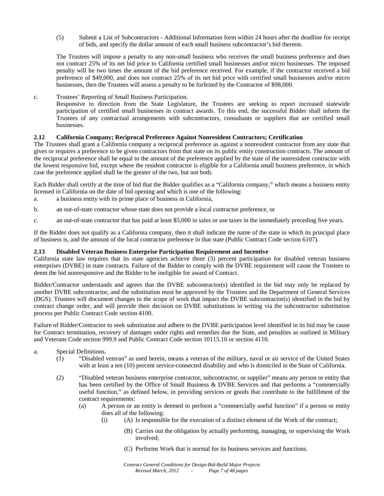(5) Submit a List of Subcontractors - Additional Information form within 24 hours after the deadline for receipt of bids, and specify the dollar amount of each small business subcontractor's bid thereon.

The Trustees will impose a penalty to any non-small business who receives the small business preference and does not contract 25% of its net bid price to California certified small businesses and/or micro businesses. The imposed penalty will be two times the amount of the bid preference received. For example, if the contractor received a bid preference of \$49,000, and does not contract 25% of its net bid price with certified small businesses and/or micro businesses, then the Trustees will assess a penalty to be forfeited by the Contractor of \$98,000.

c. Trustees' Reporting of Small Business Participation.

Responsive to direction from the State Legislature, the Trustees are seeking to report increased statewide participation of certified small businesses in contract awards. To this end, the successful Bidder shall inform the Trustees of any contractual arrangements with subcontractors, consultants or suppliers that are certified small businesses.

# **2.12 California Company; Reciprocal Preference Against Nonresident Contractors; Certification**

The Trustees shall grant a California company a reciprocal preference as against a nonresident contractor from any state that gives or requires a preference to be given contractors from that state on its public entity construction contracts. The amount of the reciprocal preference shall be equal to the amount of the preference applied by the state of the nonresident contractor with the lowest responsive bid, except where the resident contractor is eligible for a California small business preference, in which case the preference applied shall be the greater of the two, but not both.

Each Bidder shall certify at the time of bid that the Bidder qualifies as a "California company," which means a business entity licensed in California on the date of bid opening and which is one of the following:

- a. a business entity with its prime place of business in California,
- b. an out-of-state contractor whose state does not provide a local contractor preference, or
- c. an out-of-state contractor that has paid at least \$5,000 in sales or use taxes in the immediately preceding five years.

If the Bidder does not qualify as a California company, then it shall indicate the name of the state in which its principal place of business is, and the amount of the local contractor preference in that state (Public Contract Code section 6107).

# **2.13 Disabled Veteran Business Enterprise Participation Requirement and Incentive**

California state law requires that its state agencies achieve three (3) percent participation for disabled veteran business enterprises (DVBE) in state contracts. Failure of the Bidder to comply with the DVBE requirement will cause the Trustees to deem the bid nonresponsive and the Bidder to be ineligible for award of Contract.

Bidder/Contractor understands and agrees that the DVBE subcontractor(s) identified in the bid may only be replaced by another DVBE subcontractor, and the substitution must be approved by the Trustees and the Department of General Services (DGS). Trustees will document changes to the scope of work that impact the DVBE subcontractor(s) identified in the bid by contract change order, and will provide their decision on DVBE substitutions in writing via the subcontractor substitution process per Public Contract Code section 4100.

Failure of Bidder/Contractor to seek substitution and adhere to the DVBE participation level identified in its bid may be cause for Contract termination, recovery of damages under rights and remedies due the State, and penalties as outlined in Military and Veterans Code section 999.9 and Public Contract Code section 10115.10 or section 4110.

#### a. Special Definitions.

- (1) "Disabled veteran" as used herein, means a veteran of the military, naval or air service of the United States with at least a ten (10) percent service-connected disability and who is domiciled in the State of California.
- (2) "Disabled veteran business enterprise contractor, subcontractor, or supplier" means any person or entity that has been certified by the Office of Small Business & DVBE Services and that performs a "commercially useful function," as defined below, in providing services or goods that contribute to the fulfillment of the contract requirements:
	- (a) A person or an entity is deemed to perform a "commercially useful function" if a person or entity does all of the following:
		- (i) (A) Is responsible for the execution of a distinct element of the Work of the contract;
			- (B) Carries out the obligation by actually performing, managing, or supervising the Work involved;
			- (C) Performs Work that is normal for its business services and functions.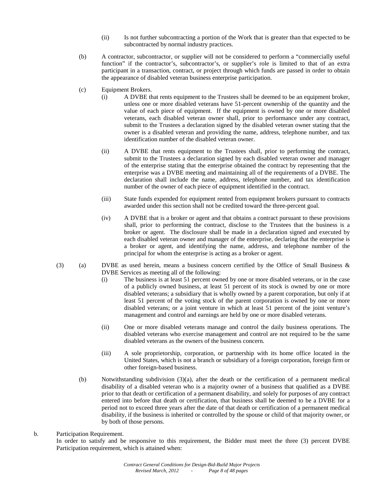- (ii) Is not further subcontracting a portion of the Work that is greater than that expected to be subcontracted by normal industry practices.
- (b) A contractor, subcontractor, or supplier will not be considered to perform a "commercially useful function" if the contractor's, subcontractor's, or supplier's role is limited to that of an extra participant in a transaction, contract, or project through which funds are passed in order to obtain the appearance of disabled veteran business enterprise participation.
- (c) Equipment Brokers.
	- (i) A DVBE that rents equipment to the Trustees shall be deemed to be an equipment broker, unless one or more disabled veterans have 51-percent ownership of the quantity and the value of each piece of equipment. If the equipment is owned by one or more disabled veterans, each disabled veteran owner shall, prior to performance under any contract, submit to the Trustees a declaration signed by the disabled veteran owner stating that the owner is a disabled veteran and providing the name, address, telephone number, and tax identification number of the disabled veteran owner.
	- (ii) A DVBE that rents equipment to the Trustees shall, prior to performing the contract, submit to the Trustees a declaration signed by each disabled veteran owner and manager of the enterprise stating that the enterprise obtained the contract by representing that the enterprise was a DVBE meeting and maintaining all of the requirements of a DVBE. The declaration shall include the name, address, telephone number, and tax identification number of the owner of each piece of equipment identified in the contract.
	- (iii) State funds expended for equipment rented from equipment brokers pursuant to contracts awarded under this section shall not be credited toward the three-percent goal.
	- (iv) A DVBE that is a broker or agent and that obtains a contract pursuant to these provisions shall, prior to performing the contract, disclose to the Trustees that the business is a broker or agent. The disclosure shall be made in a declaration signed and executed by each disabled veteran owner and manager of the enterprise, declaring that the enterprise is a broker or agent, and identifying the name, address, and telephone number of the principal for whom the enterprise is acting as a broker or agent.
- (3) (a) DVBE as used herein, means a business concern certified by the Office of Small Business  $\&$ DVBE Services as meeting all of the following:
	- (i) The business is at least 51 percent owned by one or more disabled veterans, or in the case of a publicly owned business, at least 51 percent of its stock is owned by one or more disabled veterans; a subsidiary that is wholly owned by a parent corporation, but only if at least 51 percent of the voting stock of the parent corporation is owned by one or more disabled veterans; or a joint venture in which at least 51 percent of the joint venture's management and control and earnings are held by one or more disabled veterans.
	- (ii) One or more disabled veterans manage and control the daily business operations. The disabled veterans who exercise management and control are not required to be the same disabled veterans as the owners of the business concern.
	- (iii) A sole proprietorship, corporation, or partnership with its home office located in the United States, which is not a branch or subsidiary of a foreign corporation, foreign firm or other foreign-based business.
	- (b) Notwithstanding subdivision (3)(a), after the death or the certification of a permanent medical disability of a disabled veteran who is a majority owner of a business that qualified as a DVBE prior to that death or certification of a permanent disability, and solely for purposes of any contract entered into before that death or certification, that business shall be deemed to be a DVBE for a period not to exceed three years after the date of that death or certification of a permanent medical disability, if the business is inherited or controlled by the spouse or child of that majority owner, or by both of those persons.
- b. Participation Requirement. In order to satisfy and be responsive to this requirement, the Bidder must meet the three (3) percent DVBE Participation requirement, which is attained when: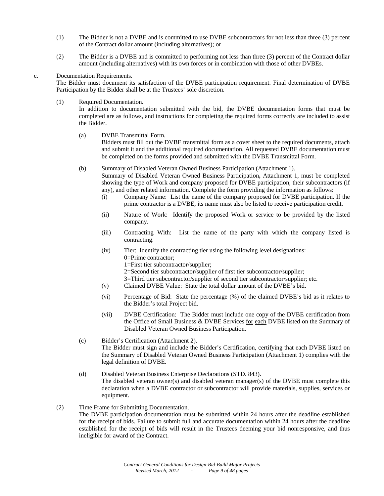- (1) The Bidder is not a DVBE and is committed to use DVBE subcontractors for not less than three (3) percent of the Contract dollar amount (including alternatives); or
- (2) The Bidder is a DVBE and is committed to performing not less than three (3) percent of the Contract dollar amount (including alternatives) with its own forces or in combination with those of other DVBEs.
- c. Documentation Requirements.

The Bidder must document its satisfaction of the DVBE participation requirement. Final determination of DVBE Participation by the Bidder shall be at the Trustees' sole discretion.

(1) Required Documentation.

In addition to documentation submitted with the bid, the DVBE documentation forms that must be completed are as follows, and instructions for completing the required forms correctly are included to assist the Bidder.

(a) DVBE Transmittal Form.

Bidders must fill out the DVBE transmittal form as a cover sheet to the required documents, attach and submit it and the additional required documentation. All requested DVBE documentation must be completed on the forms provided and submitted with the DVBE Transmittal Form.

(b) Summary of Disabled Veteran Owned Business Participation (Attachment 1).

Summary of Disabled Veteran Owned Business Participation**,** Attachment 1, must be completed showing the type of Work and company proposed for DVBE participation, their subcontractors (if any), and other related information. Complete the form providing the information as follows:

- (i) Company Name: List the name of the company proposed for DVBE participation. If the prime contractor is a DVBE, its name must also be listed to receive participation credit.
- (ii) Nature of Work: Identify the proposed Work or service to be provided by the listed company.
- (iii) Contracting With: List the name of the party with which the company listed is contracting.
- (iv) Tier: Identify the contracting tier using the following level designations:
	- 0=Prime contractor;
	- 1=First tier subcontractor/supplier;
	- 2=Second tier subcontractor/supplier of first tier subcontractor/supplier;
	- 3=Third tier subcontractor/supplier of second tier subcontractor/supplier; etc.
- (v) Claimed DVBE Value: State the total dollar amount of the DVBE's bid.
- (vi) Percentage of Bid: State the percentage (%) of the claimed DVBE's bid as it relates to the Bidder's total Project bid.
- (vii) DVBE Certification: The Bidder must include one copy of the DVBE certification from the Office of Small Business & DVBE Services for each DVBE listed on the Summary of Disabled Veteran Owned Business Participation.
- (c) Bidder's Certification (Attachment 2). The Bidder must sign and include the Bidder's Certification, certifying that each DVBE listed on the Summary of Disabled Veteran Owned Business Participation (Attachment 1) complies with the legal definition of DVBE.
- (d) Disabled Veteran Business Enterprise Declarations (STD. 843). The disabled veteran owner(s) and disabled veteran manager(s) of the DVBE must complete this declaration when a DVBE contractor or subcontractor will provide materials, supplies, services or equipment.
- (2) Time Frame for Submitting Documentation.

The DVBE participation documentation must be submitted within 24 hours after the deadline established for the receipt of bids. Failure to submit full and accurate documentation within 24 hours after the deadline established for the receipt of bids will result in the Trustees deeming your bid nonresponsive, and thus ineligible for award of the Contract.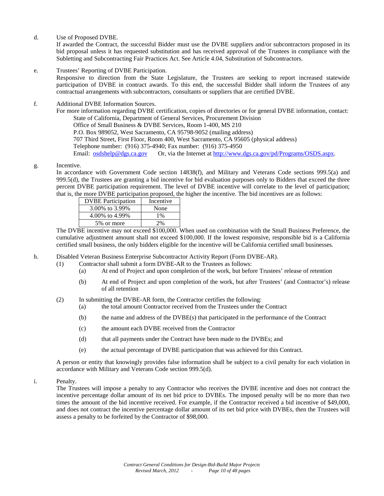d. Use of Proposed DVBE.

If awarded the Contract, the successful Bidder must use the DVBE suppliers and/or subcontractors proposed in its bid proposal unless it has requested substitution and has received approval of the Trustees in compliance with the Subletting and Subcontracting Fair Practices Act. See Article 4.04, Substitution of Subcontractors.

e. Trustees' Reporting of DVBE Participation.

Responsive to direction from the State Legislature, the Trustees are seeking to report increased statewide participation of DVBE in contract awards. To this end, the successful Bidder shall inform the Trustees of any contractual arrangements with subcontractors, consultants or suppliers that are certified DVBE.

f. Additional DVBE Information Sources.

For more information regarding DVBE certification, copies of directories or for general DVBE information, contact: State of California, Department of General Services, Procurement Division Office of Small Business & DVBE Services, Room 1-400, MS 210 P.O. Box 989052, West Sacramento, CA 95798-9052 (mailing address) 707 Third Street, First Floor, Room 400, West Sacramento, CA 95605 (physical address) Telephone number: (916) 375-4940; Fax number: (916) 375-4950 Email: [osdshelp@dgs.ca.gov](mailto:osdshelp@dgs.ca.gov) Or, via the Internet at [http://www.dgs.ca.gov/pd/Programs/OSDS.aspx.](http://www.dgs.ca.gov/pd/Programs/OSDS.aspx)

g. Incentive.

In accordance with Government Code section 14838(f), and Military and Veterans Code sections 999.5(a) and  $999.5(d)$ , the Trustees are granting a bid incentive for bid evaluation purposes only to Bidders that exceed the three percent DVBE participation requirement. The level of DVBE incentive will correlate to the level of participation; that is, the more DVBE participation proposed, the higher the incentive. The bid incentives are as follows:

| <b>DVBE</b> Participation | Incentive |
|---------------------------|-----------|
| 3.00% to 3.99%            | None      |
| 4.00% to 4.99%            | $1\%$     |
| 5\% or more               | $^{10}$   |
|                           |           |

The DVBE incentive may not exceed \$100,000. When used on combination with the Small Business Preference, the cumulative adjustment amount shall not exceed \$100,000. If the lowest responsive, responsible bid is a California certified small business, the only bidders eligible for the incentive will be California certified small businesses.

- h. Disabled Veteran Business Enterprise Subcontractor Activity Report (Form DVBE-AR).
	- (1) Contractor shall submit a form DVBE-AR to the Trustees as follows:
		- (a) At end of Project and upon completion of the work, but before Trustees' release of retention
		- (b) At end of Project and upon completion of the work, but after Trustees' (and Contractor's) release of all retention
	- (2) In submitting the DVBE-AR form, the Contractor certifies the following:
		- (a) the total amount Contractor received from the Trustees under the Contract
			- (b) the name and address of the DVBE(s) that participated in the performance of the Contract
			- (c) the amount each DVBE received from the Contractor
			- (d) that all payments under the Contract have been made to the DVBEs; and
			- (e) the actual percentage of DVBE participation that was achieved for this Contract.

A person or entity that knowingly provides false information shall be subject to a civil penalty for each violation in accordance with Military and Veterans Code section 999.5(d).

i. Penalty.

The Trustees will impose a penalty to any Contractor who receives the DVBE incentive and does not contract the incentive percentage dollar amount of its net bid price to DVBEs. The imposed penalty will be no more than two times the amount of the bid incentive received. For example, if the Contractor received a bid incentive of \$49,000, and does not contract the incentive percentage dollar amount of its net bid price with DVBEs, then the Trustees will assess a penalty to be forfeited by the Contractor of \$98,000.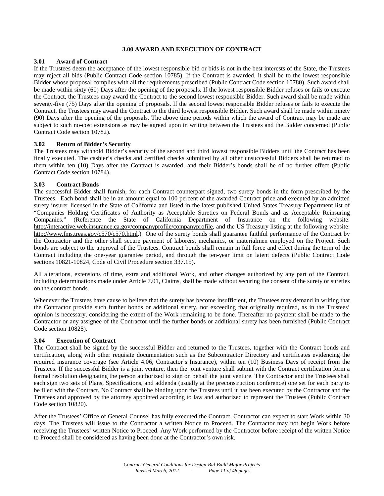# **3.00 AWARD AND EXECUTION OF CONTRACT**

# **3.01 Award of Contract**

If the Trustees deem the acceptance of the lowest responsible bid or bids is not in the best interests of the State, the Trustees may reject all bids (Public Contract Code section 10785). If the Contract is awarded, it shall be to the lowest responsible Bidder whose proposal complies with all the requirements prescribed (Public Contract Code section 10780). Such award shall be made within sixty (60) Days after the opening of the proposals. If the lowest responsible Bidder refuses or fails to execute the Contract, the Trustees may award the Contract to the second lowest responsible Bidder. Such award shall be made within seventy-five (75) Days after the opening of proposals. If the second lowest responsible Bidder refuses or fails to execute the Contract, the Trustees may award the Contract to the third lowest responsible Bidder. Such award shall be made within ninety (90) Days after the opening of the proposals. The above time periods within which the award of Contract may be made are subject to such no-cost extensions as may be agreed upon in writing between the Trustees and the Bidder concerned (Public Contract Code section 10782).

# **3.02 Return of Bidder's Security**

The Trustees may withhold Bidder's security of the second and third lowest responsible Bidders until the Contract has been finally executed. The cashier's checks and certified checks submitted by all other unsuccessful Bidders shall be returned to them within ten (10) Days after the Contract is awarded, and their Bidder's bonds shall be of no further effect (Public Contract Code section 10784).

# **3.03 Contract Bonds**

The successful Bidder shall furnish, for each Contract counterpart signed, two surety bonds in the form prescribed by the Trustees. Each bond shall be in an amount equal to 100 percent of the awarded Contract price and executed by an admitted surety insurer licensed in the State of California and listed in the latest published United States Treasury Department list of "Companies Holding Certificates of Authority as Acceptable Sureties on Federal Bonds and as Acceptable Reinsuring (Reference the State of California Department of Insurance on the following website: [http://interactive.web.insurance.ca.gov/companyprofile/companyprofile,](http://interactive.web.insurance.ca.gov/companyprofile/companyprofile) and the US Treasury listing at the following website: [http://www.fms.treas.gov/c570/c570.html.](http://www.fms.treas.gov/c570/c570.html)) One of the surety bonds shall guarantee faithful performance of the Contract by the Contractor and the other shall secure payment of laborers, mechanics, or materialmen employed on the Project. Such bonds are subject to the approval of the Trustees. Contract bonds shall remain in full force and effect during the term of the Contract including the one-year guarantee period, and through the ten-year limit on latent defects (Public Contract Code sections 10821-10824, Code of Civil Procedure section 337.15).

All alterations, extensions of time, extra and additional Work, and other changes authorized by any part of the Contract, including determinations made under Article 7.01, Claims, shall be made without securing the consent of the surety or sureties on the contract bonds.

Whenever the Trustees have cause to believe that the surety has become insufficient, the Trustees may demand in writing that the Contractor provide such further bonds or additional surety, not exceeding that originally required, as in the Trustees' opinion is necessary, considering the extent of the Work remaining to be done. Thereafter no payment shall be made to the Contractor or any assignee of the Contractor until the further bonds or additional surety has been furnished (Public Contract Code section 10825).

# **3.04 Execution of Contract**

The Contract shall be signed by the successful Bidder and returned to the Trustees, together with the Contract bonds and certification, along with other requisite documentation such as the Subcontractor Directory and certificates evidencing the required insurance coverage (see Article 4.06, Contractor's Insurance), within ten (10) Business Days of receipt from the Trustees. If the successful Bidder is a joint venture, then the joint venture shall submit with the Contract certification form a formal resolution designating the person authorized to sign on behalf the joint venture. The Contractor and the Trustees shall each sign two sets of Plans, Specifications, and addenda (usually at the preconstruction conference) one set for each party to be filed with the Contract. No Contract shall be binding upon the Trustees until it has been executed by the Contractor and the Trustees and approved by the attorney appointed according to law and authorized to represent the Trustees (Public Contract Code section 10820).

After the Trustees' Office of General Counsel has fully executed the Contract, Contractor can expect to start Work within 30 days. The Trustees will issue to the Contractor a written Notice to Proceed. The Contractor may not begin Work before receiving the Trustees' written Notice to Proceed. Any Work performed by the Contractor before receipt of the written Notice to Proceed shall be considered as having been done at the Contractor's own risk.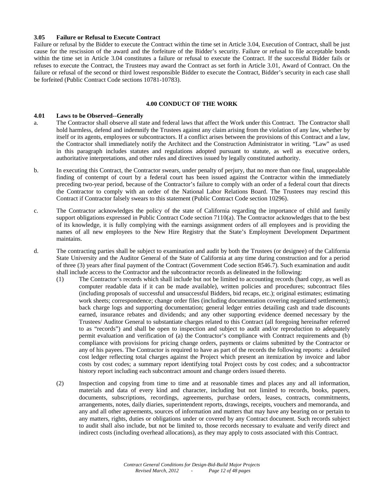#### **3.05 Failure or Refusal to Execute Contract**

Failure or refusal by the Bidder to execute the Contract within the time set in Article 3.04, Execution of Contract, shall be just cause for the rescission of the award and the forfeiture of the Bidder's security. Failure or refusal to file acceptable bonds within the time set in Article 3.04 constitutes a failure or refusal to execute the Contract. If the successful Bidder fails or refuses to execute the Contract, the Trustees may award the Contract as set forth in Article 3.01, Award of Contract. On the failure or refusal of the second or third lowest responsible Bidder to execute the Contract, Bidder's security in each case shall be forfeited (Public Contract Code sections 10781-10783).

#### **4.00 CONDUCT OF THE WORK**

#### **4.01 Laws to be Observed--Generally**

- a. The Contractor shall observe all state and federal laws that affect the Work under this Contract. The Contractor shall hold harmless, defend and indemnify the Trustees against any claim arising from the violation of any law, whether by itself or its agents, employees or subcontractors. If a conflict arises between the provisions of this Contract and a law, the Contractor shall immediately notify the Architect and the Construction Administrator in writing. "Law" as used in this paragraph includes statutes and regulations adopted pursuant to statute, as well as executive orders, authoritative interpretations, and other rules and directives issued by legally constituted authority.
- b. In executing this Contract, the Contractor swears, under penalty of perjury, that no more than one final, unappealable finding of contempt of court by a federal court has been issued against the Contractor within the immediately preceding two-year period, because of the Contractor's failure to comply with an order of a federal court that directs the Contractor to comply with an order of the National Labor Relations Board. The Trustees may rescind this Contract if Contractor falsely swears to this statement (Public Contract Code section 10296).
- c. The Contractor acknowledges the policy of the state of California regarding the importance of child and family support obligations expressed in Public Contract Code section 7110(a). The Contractor acknowledges that to the best of its knowledge, it is fully complying with the earnings assignment orders of all employees and is providing the names of all new employees to the New Hire Registry that the State's Employment Development Department maintains.
- d. The contracting parties shall be subject to examination and audit by both the Trustees (or designee) of the California State University and the Auditor General of the State of California at any time during construction and for a period of three (3) years after final payment of the Contract (Government Code section 8546.7). Such examination and audit shall include access to the Contractor and the subcontractor records as delineated in the following:
	- (1) The Contractor's records which shall include but not be limited to accounting records (hard copy, as well as computer readable data if it can be made available), written policies and procedures; subcontract files (including proposals of successful and unsuccessful Bidders, bid recaps, etc.); original estimates; estimating work sheets; correspondence; change order files (including documentation covering negotiated settlements); back charge logs and supporting documentation; general ledger entries detailing cash and trade discounts earned, insurance rebates and dividends; and any other supporting evidence deemed necessary by the Trustees/ Auditor General to substantiate charges related to this Contract (all foregoing hereinafter referred to as "records") and shall be open to inspection and subject to audit and/or reproduction to adequately permit evaluation and verification of (a) the Contractor's compliance with Contract requirements and (b) compliance with provisions for pricing change orders, payments or claims submitted by the Contractor or any of his payees. The Contractor is required to have as part of the records the following reports: a detailed cost ledger reflecting total charges against the Project which present an itemization by invoice and labor costs by cost codes; a summary report identifying total Project costs by cost codes; and a subcontractor history report including each subcontract amount and change orders issued thereto.
	- (2) Inspection and copying from time to time and at reasonable times and places any and all information, materials and data of every kind and character, including but not limited to records, books, papers, documents, subscriptions, recordings, agreements, purchase orders, leases, contracts, commitments, arrangements, notes, daily diaries, superintendent reports, drawings, receipts, vouchers and memoranda, and any and all other agreements, sources of information and matters that may have any bearing on or pertain to any matters, rights, duties or obligations under or covered by any Contract document. Such records subject to audit shall also include, but not be limited to, those records necessary to evaluate and verify direct and indirect costs (including overhead allocations), as they may apply to costs associated with this Contract.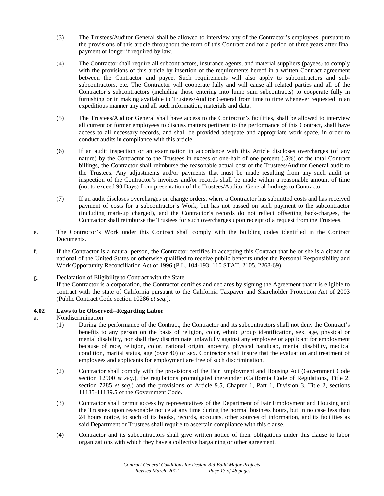- (3) The Trustees/Auditor General shall be allowed to interview any of the Contractor's employees, pursuant to the provisions of this article throughout the term of this Contract and for a period of three years after final payment or longer if required by law.
- (4) The Contractor shall require all subcontractors, insurance agents, and material suppliers (payees) to comply with the provisions of this article by insertion of the requirements hereof in a written Contract agreement between the Contractor and payee. Such requirements will also apply to subcontractors and subsubcontractors, etc. The Contractor will cooperate fully and will cause all related parties and all of the Contractor's subcontractors (including those entering into lump sum subcontracts) to cooperate fully in furnishing or in making available to Trustees/Auditor General from time to time whenever requested in an expeditious manner any and all such information, materials and data.
- (5) The Trustees/Auditor General shall have access to the Contractor's facilities, shall be allowed to interview all current or former employees to discuss matters pertinent to the performance of this Contract, shall have access to all necessary records, and shall be provided adequate and appropriate work space, in order to conduct audits in compliance with this article.
- (6) If an audit inspection or an examination in accordance with this Article discloses overcharges (of any nature) by the Contractor to the Trustees in excess of one-half of one percent (.5%) of the total Contract billings, the Contractor shall reimburse the reasonable actual cost of the Trustees/Auditor General audit to the Trustees. Any adjustments and/or payments that must be made resulting from any such audit or inspection of the Contractor's invoices and/or records shall be made within a reasonable amount of time (not to exceed 90 Days) from presentation of the Trustees/Auditor General findings to Contractor.
- (7) If an audit discloses overcharges on change orders, where a Contractor has submitted costs and has received payment of costs for a subcontractor's Work, but has not passed on such payment to the subcontractor (including mark-up charged), and the Contractor's records do not reflect offsetting back-charges, the Contractor shall reimburse the Trustees for such overcharges upon receipt of a request from the Trustees.
- e. The Contractor's Work under this Contract shall comply with the building codes identified in the Contract Documents.
- f. If the Contractor is a natural person, the Contractor certifies in accepting this Contract that he or she is a citizen or national of the United States or otherwise qualified to receive public benefits under the Personal Responsibility and Work Opportunity Reconciliation Act of 1996 (P.L. 104-193; 110 STAT. 2105, 2268-69).

# g. Declaration of Eligibility to Contract with the State.

If the Contractor is a corporation, the Contractor certifies and declares by signing the Agreement that it is eligible to contract with the state of California pursuant to the California Taxpayer and Shareholder Protection Act of 2003 (Public Contract Code section 10286 *et seq.*).

# **4.02 Laws to be Observed--Regarding Labor**

- a. Nondiscrimination
	- (1) During the performance of the Contract, the Contractor and its subcontractors shall not deny the Contract's benefits to any person on the basis of religion, color, ethnic group identification, sex, age, physical or mental disability, nor shall they discriminate unlawfully against any employee or applicant for employment because of race, religion, color, national origin, ancestry, physical handicap, mental disability, medical condition, marital status, age (over 40) or sex. Contractor shall insure that the evaluation and treatment of employees and applicants for employment are free of such discrimination.
	- (2) Contractor shall comply with the provisions of the Fair Employment and Housing Act (Government Code section 12900 *et seq*.), the regulations promulgated thereunder (California Code of Regulations, Title 2, section 7285 *et seq*.) and the provisions of Article 9.5, Chapter 1, Part 1, Division 3, Title 2, sections 11135-11139.5 of the Government Code.
	- (3) Contractor shall permit access by representatives of the Department of Fair Employment and Housing and the Trustees upon reasonable notice at any time during the normal business hours, but in no case less than 24 hours notice, to such of its books, records, accounts, other sources of information, and its facilities as said Department or Trustees shall require to ascertain compliance with this clause.
	- (4) Contractor and its subcontractors shall give written notice of their obligations under this clause to labor organizations with which they have a collective bargaining or other agreement.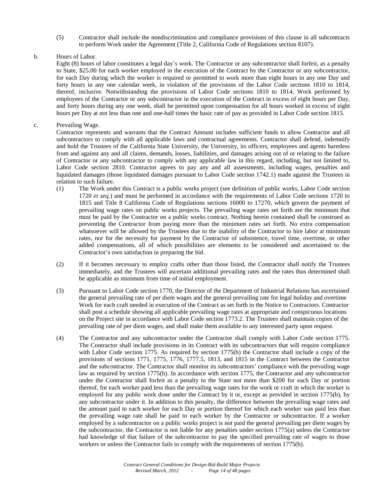(5) Contractor shall include the nondiscrimination and compliance provisions of this clause in all subcontracts to perform Work under the Agreement (Title 2, California Code of Regulations section 8107).

# b. Hours of Labor.

Eight (8) hours of labor constitutes a legal day's work. The Contractor or any subcontractor shall forfeit, as a penalty to State, \$25.00 for each worker employed in the execution of the Contract by the Contractor or any subcontractor, for each Day during which the worker is required or permitted to work more than eight hours in any one Day and forty hours in any one calendar week, in violation of the provisions of the Labor Code sections 1810 to 1814, thereof, inclusive. Notwithstanding the provisions of Labor Code sections 1810 to 1814, Work performed by employees of the Contractor or any subcontractor in the execution of the Contract in excess of eight hours per Day, and forty hours during any one week, shall be permitted upon compensation for all hours worked in excess of eight hours per Day at not less than one and one-half times the basic rate of pay as provided in Labor Code section 1815.

# c. Prevailing Wage.

Contractor represents and warrants that the Contract Amount includes sufficient funds to allow Contractor and all subcontractors to comply with all applicable laws and contractual agreements. Contractor shall defend, indemnify and hold the Trustees of the California State University, the University, its officers, employees and agents harmless from and against any and all claims, demands, losses, liabilities, and damages arising out of or relating to the failure of Contractor or any subcontractor to comply with any applicable law in this regard, including, but not limited to, Labor Code section 2810. Contractor agrees to pay any and all assessments, including wages, penalties and liquidated damages (those liquidated damages pursuant to Labor Code section 1742.1) made against the Trustees in relation to such failure.

- (1) The Work under this Contract is a public works project (see definition of public works, Labor Code section 1720 *et seq*.) and must be performed in accordance with the requirements of Labor Code sections 1720 to 1815 and Title 8 California Code of Regulations sections 16000 to 17270, which govern the payment of prevailing wage rates on public works projects. The prevailing wage rates set forth are the minimum that must be paid by the Contractor on a public works contract. Nothing herein contained shall be construed as preventing the Contractor from paying more than the minimum rates set forth. No extra compensation whatsoever will be allowed by the Trustees due to the inability of the Contractor to hire labor at minimum rates, nor for the necessity for payment by the Contractor of subsistence, travel time, overtime, or other added compensations, all of which possibilities are elements to be considered and ascertained to the Contractor's own satisfaction in preparing the bid.
- (2) If it becomes necessary to employ crafts other than those listed, the Contractor shall notify the Trustees immediately, and the Trustees will ascertain additional prevailing rates and the rates thus determined shall be applicable as minimum from time of initial employment.
- (3) Pursuant to Labor Code section 1770, the Director of the Department of Industrial Relations has ascertained the general prevailing rate of per diem wages and the general prevailing rate for legal holiday and overtime Work for each craft needed in execution of the Contract as set forth in the Notice to Contractors. Contractor shall post a schedule showing all applicable prevailing wage rates at appropriate and conspicuous locations on the Project site in accordance with Labor Code section 1773.2. The Trustees shall maintain copies of the prevailing rate of per diem wages, and shall make them available to any interested party upon request.
- (4) The Contractor and any subcontractor under the Contractor shall comply with Labor Code section 1775. The Contractor shall include provisions in its Contract with its subcontractors that will require compliance with Labor Code section 1775. As required by section 1775(b) the Contractor shall include a copy of the provisions of sections 1771, 1775, 1776, 1777.5, 1813, and 1815 in the Contract between the Contractor and the subcontractor. The Contractor shall monitor its subcontractors' compliance with the prevailing wage law as required by section 1775(b). In accordance with section 1775, the Contractor and any subcontractor under the Contractor shall forfeit as a penalty to the State not more than \$200 for each Day or portion thereof, for each worker paid less than the prevailing wage rates for the work or craft in which the worker is employed for any public work done under the Contract by it or, except as provided in section 1775(b), by any subcontractor under it. In addition to this penalty, the difference between the prevailing wage rates and the amount paid to each worker for each Day or portion thereof for which each worker was paid less than the prevailing wage rate shall be paid to each worker by the Contractor or subcontractor. If a worker employed by a subcontractor on a public works project is not paid the general prevailing per diem wages by the subcontractor, the Contractor is not liable for any penalties under section 1775(a) unless the Contractor had knowledge of that failure of the subcontractor to pay the specified prevailing rate of wages to those workers or unless the Contractor fails to comply with the requirements of section 1775(b).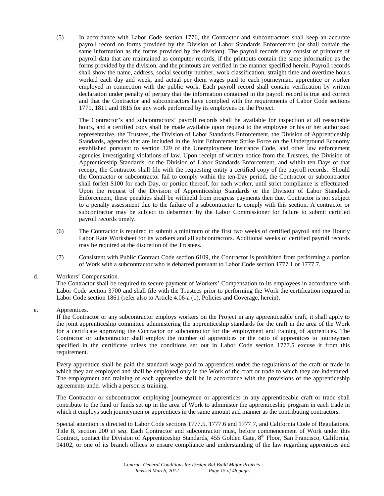(5) In accordance with Labor Code section 1776, the Contractor and subcontractors shall keep an accurate payroll record on forms provided by the Division of Labor Standards Enforcement (or shall contain the same information as the forms provided by the division). The payroll records may consist of printouts of payroll data that are maintained as computer records, if the printouts contain the same information as the forms provided by the division, and the printouts are verified in the manner specified herein. Payroll records shall show the name, address, social security number, work classification, straight time and overtime hours worked each day and week, and actual per diem wages paid to each journeyman, apprentice or worker employed in connection with the public work. Each payroll record shall contain verification by written declaration under penalty of perjury that the information contained in the payroll record is true and correct and that the Contractor and subcontractors have complied with the requirements of Labor Code sections 1771, 1811 and 1815 for any work performed by its employees on the Project.

The Contractor's and subcontractors' payroll records shall be available for inspection at all reasonable hours, and a certified copy shall be made available upon request to the employee or his or her authorized representative, the Trustees, the Division of Labor Standards Enforcement, the Division of Apprenticeship Standards, agencies that are included in the Joint Enforcement Strike Force on the Underground Economy established pursuant to section 329 of the Unemployment Insurance Code, and other law enforcement agencies investigating violations of law. Upon receipt of written notice from the Trustees, the Division of Apprenticeship Standards, or the Division of Labor Standards Enforcement, and within ten Days of that receipt, the Contractor shall file with the requesting entity a certified copy of the payroll records. Should the Contractor or subcontractor fail to comply within the ten-Day period, the Contractor or subcontractor shall forfeit \$100 for each Day, or portion thereof, for each worker, until strict compliance is effectuated. Upon the request of the Division of Apprenticeship Standards or the Division of Labor Standards Enforcement, these penalties shall be withheld from progress payments then due. Contractor is not subject to a penalty assessment due to the failure of a subcontractor to comply with this section. A contractor or subcontractor may be subject to debarment by the Labor Commissioner for failure to submit certified payroll records timely.

- (6) The Contractor is required to submit a minimum of the first two weeks of certified payroll and the Hourly Labor Rate Worksheet for its workers and all subcontractors. Additional weeks of certified payroll records may be required at the discretion of the Trustees.
- (7) Consistent with Public Contract Code section 6109, the Contractor is prohibited from performing a portion of Work with a subcontractor who is debarred pursuant to Labor Code section 1777.1 or 1777.7.

#### d. Workers' Compensation.

The Contractor shall be required to secure payment of Workers' Compensation to its employees in accordance with Labor Code section 3700 and shall file with the Trustees prior to performing the Work the certification required in Labor Code section 1861 (refer also to Article 4.06-a (1), Policies and Coverage, herein).

# e. Apprentices.

If the Contractor or any subcontractor employs workers on the Project in any apprenticeable craft, it shall apply to the joint apprenticeship committee administering the apprenticeship standards for the craft in the area of the Work for a certificate approving the Contractor or subcontractor for the employment and training of apprentices. The Contractor or subcontractor shall employ the number of apprentices or the ratio of apprentices to journeymen specified in the certificate unless the conditions set out in Labor Code section 1777.5 excuse it from this requirement.

Every apprentice shall be paid the standard wage paid to apprentices under the regulations of the craft or trade in which they are employed and shall be employed only in the Work of the craft or trade to which they are indentured. The employment and training of each apprentice shall be in accordance with the provisions of the apprenticeship agreements under which a person is training.

The Contractor or subcontractor employing journeymen or apprentices in any apprenticeable craft or trade shall contribute to the fund or funds set up in the area of Work to administer the apprenticeship program in each trade in which it employs such journeymen or apprentices in the same amount and manner as the contributing contractors.

Special attention is directed to Labor Code sections 1777.5, 1777.6 and 1777.7, and California Code of Regulations, Title 8, section 200 *et seq*. Each Contractor and subcontractor must, before commencement of Work under this Contract, contact the Division of Apprenticeship Standards, 455 Golden Gate, 8<sup>th</sup> Floor, San Francisco, California, 94102, or one of its branch offices to ensure compliance and understanding of the law regarding apprentices and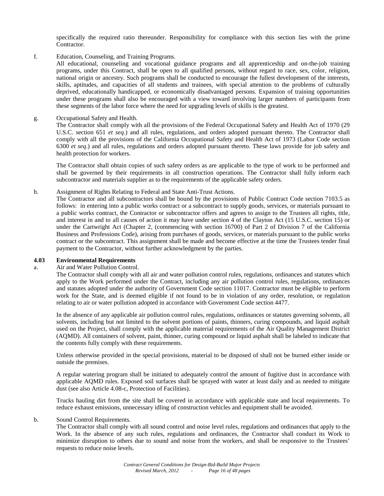specifically the required ratio thereunder. Responsibility for compliance with this section lies with the prime Contractor.

f. Education, Counseling, and Training Programs.

All educational, counseling and vocational guidance programs and all apprenticeship and on-the-job training programs, under this Contract, shall be open to all qualified persons, without regard to race, sex, color, religion, national origin or ancestry. Such programs shall be conducted to encourage the fullest development of the interests, skills, aptitudes, and capacities of all students and trainees, with special attention to the problems of culturally deprived, educationally handicapped, or economically disadvantaged persons. Expansion of training opportunities under these programs shall also be encouraged with a view toward involving larger numbers of participants from these segments of the labor force where the need for upgrading levels of skills is the greatest.

g. Occupational Safety and Health.

The Contractor shall comply with all the provisions of the Federal Occupational Safety and Health Act of 1970 (29 U.S.C. section 651 *et seq*.) and all rules, regulations, and orders adopted pursuant thereto. The Contractor shall comply with all the provisions of the California Occupational Safety and Health Act of 1973 (Labor Code section 6300 *et seq*.) and all rules, regulations and orders adopted pursuant thereto. These laws provide for job safety and health protection for workers.

The Contractor shall obtain copies of such safety orders as are applicable to the type of work to be performed and shall be governed by their requirements in all construction operations. The Contractor shall fully inform each subcontractor and materials supplier as to the requirements of the applicable safety orders.

h. Assignment of Rights Relating to Federal and State Anti-Trust Actions.

The Contractor and all subcontractors shall be bound by the provisions of Public Contract Code section 7103.5 as follows: in entering into a public works contract or a subcontract to supply goods, services, or materials pursuant to a public works contract, the Contractor or subcontractor offers and agrees to assign to the Trustees all rights, title, and interest in and to all causes of action it may have under section 4 of the Clayton Act (15 U.S.C. section 15) or under the Cartwright Act (Chapter 2, (commencing with section 16700) of Part 2 of Division 7 of the California Business and Professions Code), arising from purchases of goods, services, or materials pursuant to the public works contract or the subcontract. This assignment shall be made and become effective at the time the Trustees tender final payment to the Contractor, without further acknowledgment by the parties.

# **4.03 Environmental Requirements**

# a. Air and Water Pollution Control.

The Contractor shall comply with all air and water pollution control rules, regulations, ordinances and statutes which apply to the Work performed under the Contract, including any air pollution control rules, regulations, ordinances and statutes adopted under the authority of Government Code section 11017. Contractor must be eligible to perform work for the State, and is deemed eligible if not found to be in violation of any order, resolution, or regulation relating to air or water pollution adopted in accordance with Government Code section 4477.

In the absence of any applicable air pollution control rules, regulations, ordinances or statutes governing solvents, all solvents, including but not limited to the solvent portions of paints, thinners, curing compounds, and liquid asphalt used on the Project, shall comply with the applicable material requirements of the Air Quality Management District (AQMD). All containers of solvent, paint, thinner, curing compound or liquid asphalt shall be labeled to indicate that the contents fully comply with these requirements.

Unless otherwise provided in the special provisions, material to be disposed of shall not be burned either inside or outside the premises.

A regular watering program shall be initiated to adequately control the amount of fugitive dust in accordance with applicable AQMD rules. Exposed soil surfaces shall be sprayed with water at least daily and as needed to mitigate dust (see also Article 4.08-c, Protection of Facilities).

Trucks hauling dirt from the site shall be covered in accordance with applicable state and local requirements. To reduce exhaust emissions, unnecessary idling of construction vehicles and equipment shall be avoided.

#### b. Sound Control Requirements.

The Contractor shall comply with all sound control and noise level rules, regulations and ordinances that apply to the Work. In the absence of any such rules, regulations and ordinances, the Contractor shall conduct its Work to minimize disruption to others due to sound and noise from the workers, and shall be responsive to the Trustees' requests to reduce noise levels.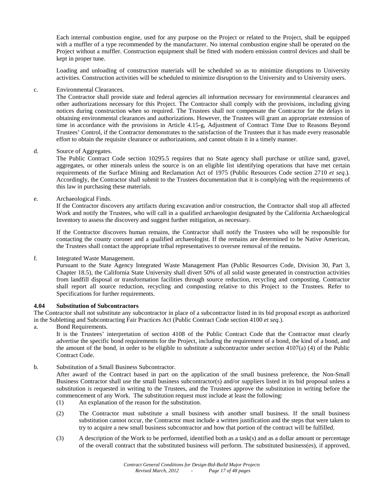Each internal combustion engine, used for any purpose on the Project or related to the Project, shall be equipped with a muffler of a type recommended by the manufacturer. No internal combustion engine shall be operated on the Project without a muffler. Construction equipment shall be fitted with modern emission control devices and shall be kept in proper tune.

Loading and unloading of construction materials will be scheduled so as to minimize disruptions to University activities. Construction activities will be scheduled to minimize disruption to the University and to University users.

# c. Environmental Clearances.

The Contractor shall provide state and federal agencies all information necessary for environmental clearances and other authorizations necessary for this Project. The Contractor shall comply with the provisions, including giving notices during construction when so required. The Trustees shall not compensate the Contractor for the delays in obtaining environmental clearances and authorizations. However, the Trustees will grant an appropriate extension of time in accordance with the provisions in Article 4.15-g, Adjustment of Contract Time Due to Reasons Beyond Trustees' Control, if the Contractor demonstrates to the satisfaction of the Trustees that it has made every reasonable effort to obtain the requisite clearance or authorizations, and cannot obtain it in a timely manner.

# d. Source of Aggregates.

The Public Contract Code section 10295.5 requires that no State agency shall purchase or utilize sand, gravel, aggregates, or other minerals unless the source is on an eligible list identifying operations that have met certain requirements of the Surface Mining and Reclamation Act of 1975 (Public Resources Code section 2710 *et seq*.). Accordingly, the Contractor shall submit to the Trustees documentation that it is complying with the requirements of this law in purchasing these materials.

e. Archaeological Finds.

If the Contractor discovers any artifacts during excavation and/or construction, the Contractor shall stop all affected Work and notify the Trustees, who will call in a qualified archaeologist designated by the California Archaeological Inventory to assess the discovery and suggest further mitigation, as necessary.

If the Contractor discovers human remains, the Contractor shall notify the Trustees who will be responsible for contacting the county coroner and a qualified archaeologist. If the remains are determined to be Native American, the Trustees shall contact the appropriate tribal representatives to oversee removal of the remains.

# f. Integrated Waste Management.

Pursuant to the State Agency Integrated Waste Management Plan (Public Resources Code, Division 30, Part 3, Chapter 18.5), the California State University shall divert 50% of all solid waste generated in construction activities from landfill disposal or transformation facilities through source reduction, recycling and composting. Contractor shall report all source reduction, recycling and composting relative to this Project to the Trustees. Refer to Specifications for further requirements.

#### **4.04 Substitution of Subcontractors**

The Contractor shall not substitute any subcontractor in place of a subcontractor listed in its bid proposal except as authorized in the Subletting and Subcontracting Fair Practices Act (Public Contract Code section 4100 *et seq*.).

a. Bond Requirements.

It is the Trustees' interpretation of section 4108 of the Public Contract Code that the Contractor must clearly advertise the specific bond requirements for the Project, including the requirement of a bond, the kind of a bond, and the amount of the bond, in order to be eligible to substitute a subcontractor under section 4107(a) (4) of the Public Contract Code.

# b. Substitution of a Small Business Subcontractor.

After award of the Contract based in part on the application of the small business preference, the Non-Small Business Contractor shall use the small business subcontractor(s) and/or suppliers listed in its bid proposal unless a substitution is requested in writing to the Trustees, and the Trustees approve the substitution in writing before the commencement of any Work. The substitution request must include at least the following:

- (1) An explanation of the reason for the substitution.
- (2) The Contractor must substitute a small business with another small business. If the small business substitution cannot occur, the Contractor must include a written justification and the steps that were taken to try to acquire a new small business subcontractor and how that portion of the contract will be fulfilled.
- (3) A description of the Work to be performed, identified both as a task(s) and as a dollar amount or percentage of the overall contract that the substituted business will perform. The substituted business(es), if approved,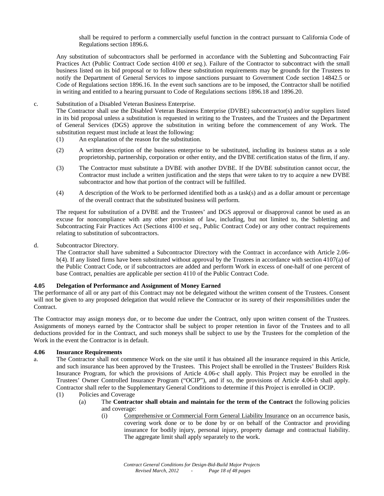shall be required to perform a commercially useful function in the contract pursuant to California Code of Regulations section 1896.6.

Any substitution of subcontractors shall be performed in accordance with the Subletting and Subcontracting Fair Practices Act (Public Contract Code section 4100 *et seq.*). Failure of the Contractor to subcontract with the small business listed on its bid proposal or to follow these substitution requirements may be grounds for the Trustees to notify the Department of General Services to impose sanctions pursuant to Government Code section 14842.5 or Code of Regulations section 1896.16. In the event such sanctions are to be imposed, the Contractor shall be notified in writing and entitled to a hearing pursuant to Code of Regulations sections 1896.18 and 1896.20.

# c. Substitution of a Disabled Veteran Business Enterprise.

The Contractor shall use the Disabled Veteran Business Enterprise (DVBE) subcontractor(s) and/or suppliers listed in its bid proposal unless a substitution is requested in writing to the Trustees, and the Trustees and the Department of General Services (DGS) approve the substitution in writing before the commencement of any Work. The substitution request must include at least the following:

- (1) An explanation of the reason for the substitution.
- (2) A written description of the business enterprise to be substituted, including its business status as a sole proprietorship, partnership, corporation or other entity, and the DVBE certification status of the firm, if any.
- (3) The Contractor must substitute a DVBE with another DVBE. If the DVBE substitution cannot occur, the Contractor must include a written justification and the steps that were taken to try to acquire a new DVBE subcontractor and how that portion of the contract will be fulfilled.
- (4) A description of the Work to be performed identified both as a task(s) and as a dollar amount or percentage of the overall contract that the substituted business will perform.

The request for substitution of a DVBE and the Trustees' and DGS approval or disapproval cannot be used as an excuse for noncompliance with any other provision of law, including, but not limited to, the Subletting and Subcontracting Fair Practices Act (Sections 4100 *et seq.,* Public Contract Code) or any other contract requirements relating to substitution of subcontractors.

# d. Subcontractor Directory.

The Contractor shall have submitted a Subcontractor Directory with the Contract in accordance with Article 2.06 b(4). If any listed firms have been substituted without approval by the Trustees in accordance with section 4107(a) of the Public Contract Code, or if subcontractors are added and perform Work in excess of one-half of one percent of base Contract, penalties are applicable per section 4110 of the Public Contract Code.

# **4.05 Delegation of Performance and Assignment of Money Earned**

The performance of all or any part of this Contract may not be delegated without the written consent of the Trustees. Consent will not be given to any proposed delegation that would relieve the Contractor or its surety of their responsibilities under the Contract.

The Contractor may assign moneys due, or to become due under the Contract, only upon written consent of the Trustees. Assignments of moneys earned by the Contractor shall be subject to proper retention in favor of the Trustees and to all deductions provided for in the Contract, and such moneys shall be subject to use by the Trustees for the completion of the Work in the event the Contractor is in default.

# **4.06 Insurance Requirements**

- a. The Contractor shall not commence Work on the site until it has obtained all the insurance required in this Article, and such insurance has been approved by the Trustees. This Project shall be enrolled in the Trustees' Builders Risk Insurance Program, for which the provisions of Article 4.06-c shall apply. This Project may be enrolled in the Trustees' Owner Controlled Insurance Program ("OCIP"), and if so, the provisions of Article 4.06-b shall apply. Contractor shall refer to the Supplementary General Conditions to determine if this Project is enrolled in OCIP.
	- (1) Policies and Coverage
		- (a) The **Contractor shall obtain and maintain for the term of the Contract** the following policies and coverage:
			- (i) Comprehensive or Commercial Form General Liability Insurance on an occurrence basis, covering work done or to be done by or on behalf of the Contractor and providing insurance for bodily injury, personal injury, property damage and contractual liability. The aggregate limit shall apply separately to the work.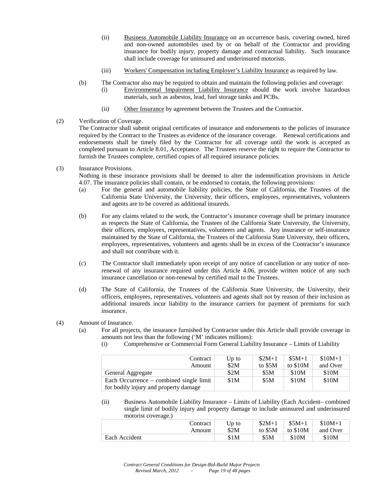- (ii) Business Automobile Liability Insurance on an occurrence basis, covering owned, hired and non-owned automobiles used by or on behalf of the Contractor and providing insurance for bodily injury, property damage and contractual liability. Such insurance shall include coverage for uninsured and underinsured motorists.
- (iii) Workers' Compensation including Employer's Liability Insurance as required by law.
- (b) The Contractor also may be required to obtain and maintain the following policies and coverage:
	- (i) Environmental Impairment Liability Insurance should the work involve hazardous materials, such as asbestos, lead, fuel storage tanks and PCBs.
	- (ii) Other Insurance by agreement between the Trustees and the Contractor.
- (2) Verification of Coverage.

The Contractor shall submit original certificates of insurance and endorsements to the policies of insurance required by the Contract to the Trustees as evidence of the insurance coverage. Renewal certifications and endorsements shall be timely filed by the Contractor for all coverage until the work is accepted as completed pursuant to Article 8.01, Acceptance. The Trustees reserve the right to require the Contractor to furnish the Trustees complete, certified copies of all required insurance policies.

(3) Insurance Provisions.

Nothing in these insurance provisions shall be deemed to alter the indemnification provisions in Article 4.07. The insurance policies shall contain, or be endorsed to contain, the following provisions:

- (a) For the general and automobile liability policies, the State of California, the Trustees of the California State University, the University, their officers, employees, representatives, volunteers and agents are to be covered as additional insureds.
- (b) For any claims related to the work, the Contractor's insurance coverage shall be primary insurance as respects the State of California, the Trustees of the California State University, the University, their officers, employees, representatives, volunteers and agents. Any insurance or self-insurance maintained by the State of California, the Trustees of the California State University, their officers, employees, representatives, volunteers and agents shall be in excess of the Contractor's insurance and shall not contribute with it.
- (c) The Contractor shall immediately upon receipt of any notice of cancellation or any notice of nonrenewal of any insurance required under this Article 4.06, provide written notice of any such insurance cancellation or non-renewal by certified mail to the Trustees.
- (d) The State of California, the Trustees of the California State University, the University, their officers, employees, representatives, volunteers and agents shall not by reason of their inclusion as additional insureds incur liability to the insurance carriers for payment of premiums for such insurance.
- (4) Amount of Insurance.
	- (a) For all projects, the insurance furnished by Contractor under this Article shall provide coverage in amounts not less than the following ('M' indicates millions):
		- (i) Comprehensive or Commercial Form General Liability Insurance Limits of Liability

| Contract<br>Amount                                                               | Up to<br>\$2M | $$2M+1$<br>to $$5M$ | $$5M+1$<br>to $$10M$ | $$10M+1$<br>and Over |
|----------------------------------------------------------------------------------|---------------|---------------------|----------------------|----------------------|
| General Aggregate                                                                | \$2M          | \$5M                | \$10M                | \$10M                |
| Each Occurrence – combined single limit<br>for bodily injury and property damage | \$1M          | \$5M                | \$10M                | \$10M                |

(ii) Business Automobile Liability Insurance – Limits of Liability (Each Accident– combined single limit of bodily injury and property damage to include uninsured and underinsured motorist coverage.)

| Contract      | $Up$ to | $$2M+1$ | $$5M+1$  | $$10M+1$ |
|---------------|---------|---------|----------|----------|
| Amount        | \$2M    | to \$5M | to \$10M | and Over |
| Each Accident | \$1M    | \$5M    | \$10M    | \$10M    |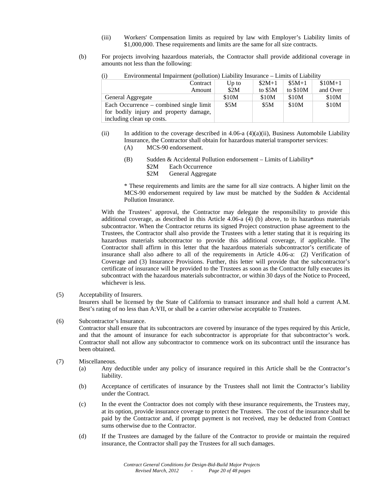- (iii) Workers' Compensation limits as required by law with Employer's Liability limits of \$1,000,000. These requirements and limits are the same for all size contracts.
- (b) For projects involving hazardous materials, the Contractor shall provide additional coverage in amounts not less than the following:

| $\lambda$                               |       |          |           |          |
|-----------------------------------------|-------|----------|-----------|----------|
| Contract                                | Up to | $$2M+1$  | $$5M+1$   | $$10M+1$ |
| Amount                                  | \$2M  | to $$5M$ | to $$10M$ | and Over |
| General Aggregate                       | \$10M | \$10M    | \$10M     | \$10M    |
| Each Occurrence – combined single limit | \$5M  | \$5M     | \$10M     | \$10M    |
| for bodily injury and property damage,  |       |          |           |          |
| including clean up costs.               |       |          |           |          |

(i) Environmental Impairment (pollution) Liability Insurance – Limits of Liability

- (ii) In addition to the coverage described in 4.06-a  $(4)(a)(ii)$ , Business Automobile Liability Insurance, the Contractor shall obtain for hazardous material transporter services:
	- (A) MCS-90 endorsement.
	- (B) Sudden & Accidental Pollution endorsement Limits of Liability\* \$2M Each Occurrence \$2M General Aggregate

\* These requirements and limits are the same for all size contracts. A higher limit on the MCS-90 endorsement required by law must be matched by the Sudden & Accidental Pollution Insurance.

With the Trustees' approval, the Contractor may delegate the responsibility to provide this additional coverage, as described in this Article 4.06-a (4) (b) above, to its hazardous materials subcontractor. When the Contractor returns its signed Project construction phase agreement to the Trustees, the Contractor shall also provide the Trustees with a letter stating that it is requiring its hazardous materials subcontractor to provide this additional coverage, if applicable. The Contractor shall affirm in this letter that the hazardous materials subcontractor's certificate of insurance shall also adhere to all of the requirements in Article 4.06-a: (2) Verification of Coverage and (3) Insurance Provisions. Further, this letter will provide that the subcontractor's certificate of insurance will be provided to the Trustees as soon as the Contractor fully executes its subcontract with the hazardous materials subcontractor, or within 30 days of the Notice to Proceed, whichever is less.

(5) Acceptability of Insurers.

Insurers shall be licensed by the State of California to transact insurance and shall hold a current A.M. Best's rating of no less than A:VII, or shall be a carrier otherwise acceptable to Trustees.

(6) Subcontractor's Insurance.

Contractor shall ensure that its subcontractors are covered by insurance of the types required by this Article, and that the amount of insurance for each subcontractor is appropriate for that subcontractor's work. Contractor shall not allow any subcontractor to commence work on its subcontract until the insurance has been obtained.

- (7) Miscellaneous.
	- (a) Any deductible under any policy of insurance required in this Article shall be the Contractor's liability.
	- (b) Acceptance of certificates of insurance by the Trustees shall not limit the Contractor's liability under the Contract.
	- (c) In the event the Contractor does not comply with these insurance requirements, the Trustees may, at its option, provide insurance coverage to protect the Trustees. The cost of the insurance shall be paid by the Contractor and, if prompt payment is not received, may be deducted from Contract sums otherwise due to the Contractor.
	- (d) If the Trustees are damaged by the failure of the Contractor to provide or maintain the required insurance, the Contractor shall pay the Trustees for all such damages.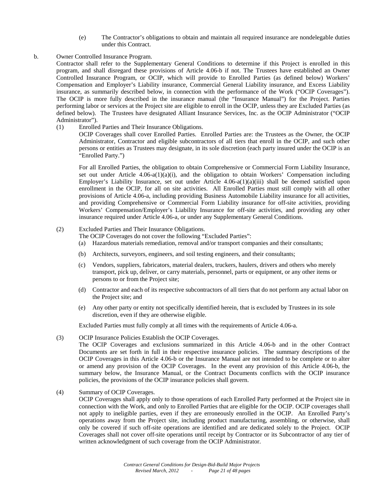(e) The Contractor's obligations to obtain and maintain all required insurance are nondelegable duties under this Contract.

# b. Owner Controlled Insurance Program.

Contractor shall refer to the Supplementary General Conditions to determine if this Project is enrolled in this program, and shall disregard these provisions of Article 4.06-b if not. The Trustees have established an Owner Controlled Insurance Program, or OCIP, which will provide to Enrolled Parties (as defined below) Workers' Compensation and Employer's Liability insurance, Commercial General Liability insurance, and Excess Liability insurance, as summarily described below, in connection with the performance of the Work ("OCIP Coverages"). The OCIP is more fully described in the insurance manual (the "Insurance Manual") for the Project. Parties performing labor or services at the Project site are eligible to enroll in the OCIP, unless they are Excluded Parties (as defined below). The Trustees have designated Alliant Insurance Services, Inc. as the OCIP Administrator ("OCIP Administrator").

(1) Enrolled Parties and Their Insurance Obligations.

OCIP Coverages shall cover Enrolled Parties. Enrolled Parties are: the Trustees as the Owner, the OCIP Administrator, Contractor and eligible subcontractors of all tiers that enroll in the OCIP, and such other persons or entities as Trustees may designate, in its sole discretion (each party insured under the OCIP is an "Enrolled Party.")

For all Enrolled Parties, the obligation to obtain Comprehensive or Commercial Form Liability Insurance, set out under Article  $4.06-a(1)(a)(i)$ , and the obligation to obtain Workers' Compensation including Employer's Liability Insurance, set out under Article 4.06-a(1)(a)(iii) shall be deemed satisfied upon enrollment in the OCIP, for all on site activities. All Enrolled Parties must still comply with all other provisions of Article 4.06-a, including providing Business Automobile Liability insurance for all activities, and providing Comprehensive or Commercial Form Liability insurance for off-site activities, providing Workers' Compensation/Employer's Liability Insurance for off-site activities, and providing any other insurance required under Article 4.06-a, or under any Supplementary General Conditions.

# (2) Excluded Parties and Their Insurance Obligations.

- The OCIP Coverages do not cover the following "Excluded Parties":
- (a) Hazardous materials remediation, removal and/or transport companies and their consultants;
- (b) Architects, surveyors, engineers, and soil testing engineers, and their consultants;
- (c) Vendors, suppliers, fabricators, material dealers, truckers, haulers, drivers and others who merely transport, pick up, deliver, or carry materials, personnel, parts or equipment, or any other items or persons to or from the Project site;
- (d) Contractor and each of its respective subcontractors of all tiers that do not perform any actual labor on the Project site; and
- (e) Any other party or entity not specifically identified herein, that is excluded by Trustees in its sole discretion, even if they are otherwise eligible.

Excluded Parties must fully comply at all times with the requirements of Article 4.06-a.

(3) OCIP Insurance Policies Establish the OCIP Coverages.

The OCIP Coverages and exclusions summarized in this Article 4.06-b and in the other Contract Documents are set forth in full in their respective insurance policies. The summary descriptions of the OCIP Coverages in this Article 4.06-b or the Insurance Manual are not intended to be complete or to alter or amend any provision of the OCIP Coverages. In the event any provision of this Article 4.06-b, the summary below, the Insurance Manual, or the Contract Documents conflicts with the OCIP insurance policies, the provisions of the OCIP insurance policies shall govern.

(4) Summary of OCIP Coverages.

OCIP Coverages shall apply only to those operations of each Enrolled Party performed at the Project site in connection with the Work, and only to Enrolled Parties that are eligible for the OCIP. OCIP coverages shall not apply to ineligible parties, even if they are erroneously enrolled in the OCIP. An Enrolled Party's operations away from the Project site, including product manufacturing, assembling, or otherwise, shall only be covered if such off-site operations are identified and are dedicated solely to the Project. OCIP Coverages shall not cover off-site operations until receipt by Contractor or its Subcontractor of any tier of written acknowledgment of such coverage from the OCIP Administrator.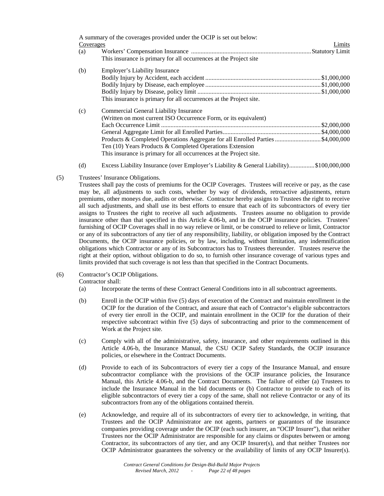|           | A summary of the coverages provided under the OCIP is set out below: |        |
|-----------|----------------------------------------------------------------------|--------|
| Coverages |                                                                      | Limits |
| (a)       |                                                                      |        |
|           | This insurance is primary for all occurrences at the Project site    |        |
| (b)       | Employer's Liability Insurance                                       |        |
|           |                                                                      |        |
|           |                                                                      |        |
|           |                                                                      |        |
|           | This insurance is primary for all occurrences at the Project site.   |        |
| (c)       | Commercial General Liability Insurance                               |        |
|           | (Written on most current ISO Occurrence Form, or its equivalent)     |        |
|           |                                                                      |        |
|           |                                                                      |        |
|           |                                                                      |        |
|           | Ten $(10)$ Years Products & Completed Operations Extension           |        |
|           | This insurance is primary for all occurrences at the Project site.   |        |

- (d) Excess Liability Insurance (over Employer's Liability & General Liability)................\$100,000,000
- (5) Trustees' Insurance Obligations.

Trustees shall pay the costs of premiums for the OCIP Coverages. Trustees will receive or pay, as the case may be, all adjustments to such costs, whether by way of dividends, retroactive adjustments, return premiums, other moneys due, audits or otherwise. Contractor hereby assigns to Trustees the right to receive all such adjustments, and shall use its best efforts to ensure that each of its subcontractors of every tier assigns to Trustees the right to receive all such adjustments. Trustees assume no obligation to provide insurance other than that specified in this Article 4.06-b, and in the OCIP insurance policies. Trustees' furnishing of OCIP Coverages shall in no way relieve or limit, or be construed to relieve or limit, Contractor or any of its subcontractors of any tier of any responsibility, liability, or obligation imposed by the Contract Documents, the OCIP insurance policies, or by law, including, without limitation, any indemnification obligations which Contractor or any of its Subcontractors has to Trustees thereunder. Trustees reserve the right at their option, without obligation to do so, to furnish other insurance coverage of various types and limits provided that such coverage is not less than that specified in the Contract Documents.

(6) Contractor's OCIP Obligations.

Contractor shall:

- (a) Incorporate the terms of these Contract General Conditions into in all subcontract agreements.
- (b) Enroll in the OCIP within five (5) days of execution of the Contract and maintain enrollment in the OCIP for the duration of the Contract, and assure that each of Contractor's eligible subcontractors of every tier enroll in the OCIP, and maintain enrollment in the OCIP for the duration of their respective subcontract within five (5) days of subcontracting and prior to the commencement of Work at the Project site.
- (c) Comply with all of the administrative, safety, insurance, and other requirements outlined in this Article 4.06-b, the Insurance Manual, the CSU OCIP Safety Standards, the OCIP insurance policies, or elsewhere in the Contract Documents.
- (d) Provide to each of its Subcontractors of every tier a copy of the Insurance Manual, and ensure subcontractor compliance with the provisions of the OCIP insurance policies, the Insurance Manual, this Article 4.06-b, and the Contract Documents. The failure of either (a) Trustees to include the Insurance Manual in the bid documents or (b) Contractor to provide to each of its eligible subcontractors of every tier a copy of the same, shall not relieve Contractor or any of its subcontractors from any of the obligations contained therein.
- (e) Acknowledge, and require all of its subcontractors of every tier to acknowledge, in writing, that Trustees and the OCIP Administrator are not agents, partners or guarantors of the insurance companies providing coverage under the OCIP (each such insurer, an "OCIP Insurer"), that neither Trustees nor the OCIP Administrator are responsible for any claims or disputes between or among Contractor, its subcontractors of any tier, and any OCIP Insurer(s), and that neither Trustees nor OCIP Administrator guarantees the solvency or the availability of limits of any OCIP Insurer(s).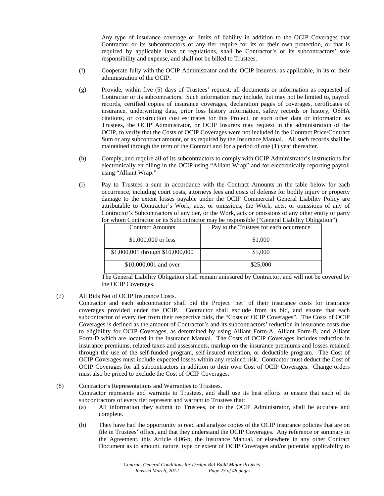Any type of insurance coverage or limits of liability in addition to the OCIP Coverages that Contractor or its subcontractors of any tier require for its or their own protection, or that is required by applicable laws or regulations, shall be Contractor's or its subcontractors' sole responsibility and expense, and shall not be billed to Trustees.

- (f) Cooperate fully with the OCIP Administrator and the OCIP Insurers, as applicable, in its or their administration of the OCIP.
- (g) Provide, within five (5) days of Trustees' request, all documents or information as requested of Contractor or its subcontractors. Such information may include, but may not be limited to, payroll records, certified copies of insurance coverages, declaration pages of coverages, certificates of insurance, underwriting data, prior loss history information, safety records or history, OSHA citations, or construction cost estimates for this Project, or such other data or information as Trustees, the OCIP Administrator, or OCIP Insurers may request in the administration of the OCIP, to verify that the Costs of OCIP Coverages were not included in the Contract Price/Contract Sum or any subcontract amount, or as required by the Insurance Manual. All such records shall be maintained through the term of the Contract and for a period of one (1) year thereafter.
- (h) Comply, and require all of its subcontractors to comply with OCIP Administrator's instructions for electronically enrolling in the OCIP using "Alliant Wrap" and for electronically reporting payroll using "Alliant Wrap."
- (i) Pay to Trustees a sum in accordance with the Contract Amounts in the table below for each occurrence, including court costs, attorneys fees and costs of defense for bodily injury or property damage to the extent losses payable under the OCIP Commercial General Liability Policy are attributable to Contractor's Work, acts, or omissions, the Work, acts, or omissions of any of Contractor's Subcontractors of any tier, or the Work, acts or omissions of any other entity or party for whom Contractor or its Subcontractor may be responsible ("General Liability Obligation").

| <b>Contract Amounts</b>          | Pay to the Trustees for each occurrence |
|----------------------------------|-----------------------------------------|
| \$1,000,000 or less              | \$1,000                                 |
| \$1,000,001 through \$10,000,000 | \$5,000                                 |
| \$10,000,001 and over            | \$25,000                                |

The General Liability Obligation shall remain uninsured by Contractor, and will not be covered by the OCIP Coverages.

- (7) All Bids Net of OCIP Insurance Costs.
	- Contractor and each subcontractor shall bid the Project 'net' of their insurance costs for insurance coverages provided under the OCIP. Contractor shall exclude from its bid, and ensure that each subcontractor of every tier from their respective bids, the "Costs of OCIP Coverages". The Costs of OCIP Coverages is defined as the amount of Contractor's and its subcontractors' reduction in insurance costs due to eligibility for OCIP Coverages, as determined by using Alliant Form-A, Alliant Form-B, and Alliant Form-D which are located in the Insurance Manual. The Costs of OCIP Coverages includes reduction in insurance premiums, related taxes and assessments, markup on the insurance premiums and losses retained through the use of the self-funded program, self-insured retention, or deductible program. The Cost of OCIP Coverages must include expected losses within any retained risk. Contractor must deduct the Cost of OCIP Coverages for all subcontractors in addition to their own Cost of OCIP Coverages. Change orders must also be priced to exclude the Cost of OCIP Coverages.

# (8) Contractor's Representations and Warranties to Trustees. Contractor represents and warrants to Trustees, and shall use its best efforts to ensure that each of its subcontractors of every tier represent and warrant to Trustees that:

- (a) All information they submit to Trustees, or to the OCIP Administrator, shall be accurate and complete.
- (b) They have had the opportunity to read and analyze copies of the OCIP insurance policies that are on file in Trustees' office, and that they understand the OCIP Coverages. Any reference or summary in the Agreement, this Article 4.06-b, the Insurance Manual, or elsewhere in any other Contract Document as to amount, nature, type or extent of OCIP Coverages and/or potential applicability to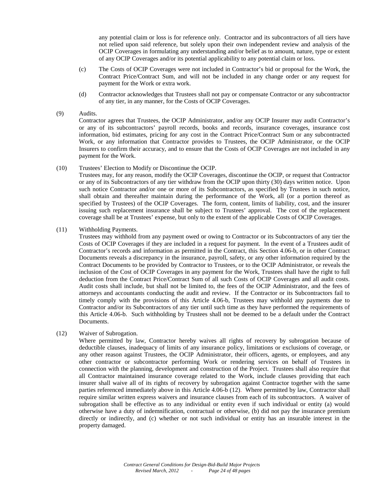any potential claim or loss is for reference only. Contractor and its subcontractors of all tiers have not relied upon said reference, but solely upon their own independent review and analysis of the OCIP Coverages in formulating any understanding and/or belief as to amount, nature, type or extent of any OCIP Coverages and/or its potential applicability to any potential claim or loss.

- (c) The Costs of OCIP Coverages were not included in Contractor's bid or proposal for the Work, the Contract Price/Contract Sum, and will not be included in any change order or any request for payment for the Work or extra work.
- (d) Contractor acknowledges that Trustees shall not pay or compensate Contractor or any subcontractor of any tier, in any manner, for the Costs of OCIP Coverages.
- (9) Audits.

Contractor agrees that Trustees, the OCIP Administrator, and/or any OCIP Insurer may audit Contractor's or any of its subcontractors' payroll records, books and records, insurance coverages, insurance cost information, bid estimates, pricing for any cost in the Contract Price/Contract Sum or any subcontracted Work, or any information that Contractor provides to Trustees, the OCIP Administrator, or the OCIP Insurers to confirm their accuracy, and to ensure that the Costs of OCIP Coverages are not included in any payment for the Work.

#### (10) Trustees' Election to Modify or Discontinue the OCIP.

Trustees may, for any reason, modify the OCIP Coverages, discontinue the OCIP, or request that Contractor or any of its Subcontractors of any tier withdraw from the OCIP upon thirty (30) days written notice. Upon such notice Contractor and/or one or more of its Subcontractors, as specified by Trustees in such notice, shall obtain and thereafter maintain during the performance of the Work, all (or a portion thereof as specified by Trustees) of the OCIP Coverages. The form, content, limits of liability, cost, and the insurer issuing such replacement insurance shall be subject to Trustees' approval. The cost of the replacement coverage shall be at Trustees' expense, but only to the extent of the applicable Costs of OCIP Coverages.

(11) Withholding Payments.

Trustees may withhold from any payment owed or owing to Contractor or its Subcontractors of any tier the Costs of OCIP Coverages if they are included in a request for payment. In the event of a Trustees audit of Contractor's records and information as permitted in the Contract, this Section 4.06-b, or in other Contract Documents reveals a discrepancy in the insurance, payroll, safety, or any other information required by the Contract Documents to be provided by Contractor to Trustees, or to the OCIP Administrator, or reveals the inclusion of the Cost of OCIP Coverages in any payment for the Work, Trustees shall have the right to full deduction from the Contract Price/Contract Sum of all such Costs of OCIP Coverages and all audit costs. Audit costs shall include, but shall not be limited to, the fees of the OCIP Administrator, and the fees of attorneys and accountants conducting the audit and review. If the Contractor or its Subcontractors fail to timely comply with the provisions of this Article 4.06-b, Trustees may withhold any payments due to Contractor and/or its Subcontractors of any tier until such time as they have performed the requirements of this Article 4.06-b. Such withholding by Trustees shall not be deemed to be a default under the Contract Documents.

(12) Waiver of Subrogation.

Where permitted by law, Contractor hereby waives all rights of recovery by subrogation because of deductible clauses, inadequacy of limits of any insurance policy, limitations or exclusions of coverage, or any other reason against Trustees, the OCIP Administrator, their officers, agents, or employees, and any other contractor or subcontractor performing Work or rendering services on behalf of Trustees in connection with the planning, development and construction of the Project. Trustees shall also require that all Contractor maintained insurance coverage related to the Work, include clauses providing that each insurer shall waive all of its rights of recovery by subrogation against Contractor together with the same parties referenced immediately above in this Article 4.06-b (12). Where permitted by law, Contractor shall require similar written express waivers and insurance clauses from each of its subcontractors. A waiver of subrogation shall be effective as to any individual or entity even if such individual or entity (a) would otherwise have a duty of indemnification, contractual or otherwise, (b) did not pay the insurance premium directly or indirectly, and (c) whether or not such individual or entity has an insurable interest in the property damaged.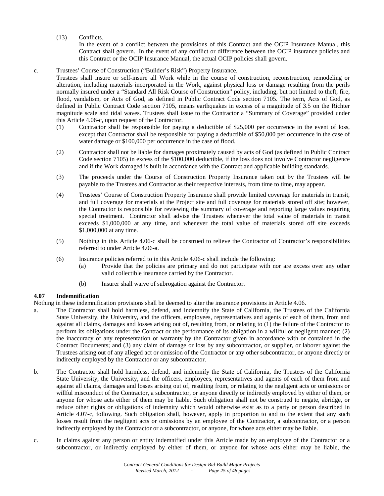(13) Conflicts.

In the event of a conflict between the provisions of this Contract and the OCIP Insurance Manual, this Contract shall govern. In the event of any conflict or difference between the OCIP insurance policies and this Contract or the OCIP Insurance Manual, the actual OCIP policies shall govern.

# c. Trustees' Course of Construction ("Builder's Risk") Property Insurance.

Trustees shall insure or self-insure all Work while in the course of construction, reconstruction, remodeling or alteration, including materials incorporated in the Work, against physical loss or damage resulting from the perils normally insured under a "Standard All Risk Course of Construction" policy, including, but not limited to theft, fire, flood, vandalism, or Acts of God, as defined in Public Contract Code section 7105. The term, Acts of God, as defined in Public Contract Code section 7105, means earthquakes in excess of a magnitude of 3.5 on the Richter magnitude scale and tidal waves. Trustees shall issue to the Contractor a "Summary of Coverage" provided under this Article 4.06-c, upon request of the Contractor.

- (1) Contractor shall be responsible for paying a deductible of \$25,000 per occurrence in the event of loss, except that Contractor shall be responsible for paying a deductible of \$50,000 per occurrence in the case of water damage or \$100,000 per occurrence in the case of flood.
- (2) Contractor shall not be liable for damages proximately caused by acts of God (as defined in Public Contract Code section 7105) in excess of the \$100,000 deductible, if the loss does not involve Contractor negligence and if the Work damaged is built in accordance with the Contract and applicable building standards.
- (3) The proceeds under the Course of Construction Property Insurance taken out by the Trustees will be payable to the Trustees and Contractor as their respective interests, from time to time, may appear.
- (4) Trustees' Course of Construction Property Insurance shall provide limited coverage for materials in transit, and full coverage for materials at the Project site and full coverage for materials stored off site; however, the Contractor is responsible for reviewing the summary of coverage and reporting large values requiring special treatment. Contractor shall advise the Trustees whenever the total value of materials in transit exceeds \$1,000,000 at any time, and whenever the total value of materials stored off site exceeds \$1,000,000 at any time.
- (5) Nothing in this Article 4.06-c shall be construed to relieve the Contractor of Contractor's responsibilities referred to under Article 4.06-a.
- (6) Insurance policies referred to in this Article 4.06-c shall include the following:
	- (a) Provide that the policies are primary and do not participate with nor are excess over any other valid collectible insurance carried by the Contractor.
	- (b) Insurer shall waive of subrogation against the Contractor.

# **4.07 Indemnification**

Nothing in these indemnification provisions shall be deemed to alter the insurance provisions in Article 4.06.

- a. The Contractor shall hold harmless, defend, and indemnify the State of California, the Trustees of the California State University, the University, and the officers, employees, representatives and agents of each of them, from and against all claims, damages and losses arising out of, resulting from, or relating to (1) the failure of the Contractor to perform its obligations under the Contract or the performance of its obligation in a willful or negligent manner; (2) the inaccuracy of any representation or warranty by the Contractor given in accordance with or contained in the Contract Documents; and (3) any claim of damage or loss by any subcontractor, or supplier, or laborer against the Trustees arising out of any alleged act or omission of the Contractor or any other subcontractor, or anyone directly or indirectly employed by the Contractor or any subcontractor.
- b. The Contractor shall hold harmless, defend, and indemnify the State of California, the Trustees of the California State University, the University, and the officers, employees, representatives and agents of each of them from and against all claims, damages and losses arising out of, resulting from, or relating to the negligent acts or omissions or willful misconduct of the Contractor, a subcontractor, or anyone directly or indirectly employed by either of them, or anyone for whose acts either of them may be liable. Such obligation shall not be construed to negate, abridge, or reduce other rights or obligations of indemnity which would otherwise exist as to a party or person described in Article 4.07-c, following. Such obligation shall, however, apply in proportion to and to the extent that any such losses result from the negligent acts or omissions by an employee of the Contractor, a subcontractor, or a person indirectly employed by the Contractor or a subcontractor, or anyone, for whose acts either may be liable.
- c. In claims against any person or entity indemnified under this Article made by an employee of the Contractor or a subcontractor, or indirectly employed by either of them, or anyone for whose acts either may be liable, the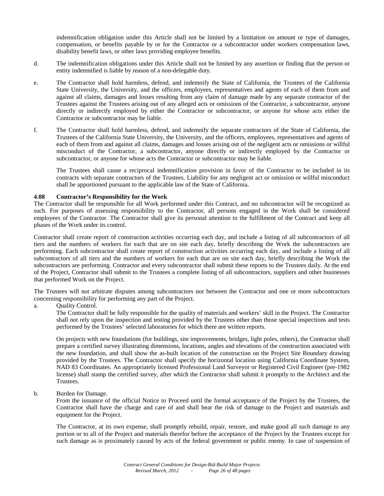indemnification obligation under this Article shall not be limited by a limitation on amount or type of damages, compensation, or benefits payable by or for the Contractor or a subcontractor under workers compensation laws, disability benefit laws, or other laws providing employee benefits.

- d. The indemnification obligations under this Article shall not be limited by any assertion or finding that the person or entity indemnified is liable by reason of a non-delegable duty.
- e. The Contractor shall hold harmless, defend, and indemnify the State of California, the Trustees of the California State University, the University, and the officers, employees, representatives and agents of each of them from and against all claims, damages and losses resulting from any claim of damage made by any separate contractor of the Trustees against the Trustees arising out of any alleged acts or omissions of the Contractor, a subcontractor, anyone directly or indirectly employed by either the Contractor or subcontractor, or anyone for whose acts either the Contractor or subcontractor may be liable.
- f. The Contractor shall hold harmless, defend, and indemnify the separate contractors of the State of California, the Trustees of the California State University, the University, and the officers, employees, representatives and agents of each of them from and against all claims, damages and losses arising out of the negligent acts or omissions or willful misconduct of the Contractor, a subcontractor, anyone directly or indirectly employed by the Contractor or subcontractor, or anyone for whose acts the Contractor or subcontractor may be liable.

The Trustees shall cause a reciprocal indemnification provision in favor of the Contractor to be included in its contracts with separate contractors of the Trustees. Liability for any negligent act or omission or willful misconduct shall be apportioned pursuant to the applicable law of the State of California.

# **4.08 Contractor's Responsibility for the Work**

The Contractor shall be responsible for all Work performed under this Contract, and no subcontractor will be recognized as such. For purposes of assessing responsibility to the Contractor, all persons engaged in the Work shall be considered employees of the Contractor. The Contractor shall give its personal attention to the fulfillment of the Contract and keep all phases of the Work under its control.

Contractor shall create report of construction activities occurring each day, and include a listing of all subcontractors of all tiers and the numbers of workers for each that are on site each day, briefly describing the Work the subcontractors are performing. Each subcontractor shall create report of construction activities occurring each day, and include a listing of all subcontractors of all tiers and the numbers of workers for each that are on site each day, briefly describing the Work the subcontractors are performing. Contractor and every subcontractor shall submit these reports to the Trustees daily. At the end of the Project, Contractor shall submit to the Trustees a complete listing of all subcontractors, suppliers and other businesses that performed Work on the Project.

The Trustees will not arbitrate disputes among subcontractors nor between the Contractor and one or more subcontractors concerning responsibility for performing any part of the Project.

a. Quality Control.

The Contractor shall be fully responsible for the quality of materials and workers' skill in the Project. The Contractor shall not rely upon the inspection and testing provided by the Trustees other than those special inspections and tests performed by the Trustees' selected laboratories for which there are written reports.

On projects with new foundations (for buildings, site improvements, bridges, light poles, others), the Contractor shall prepare a certified survey illustrating dimensions, locations, angles and elevations of the construction associated with the new foundation, and shall show the as-built location of the construction on the Project Site Boundary drawing provided by the Trustees. The Contractor shall specify the horizontal location using California Coordinate System, NAD 83 Coordinates. An appropriately licensed Professional Land Surveyor or Registered Civil Engineer (pre-1982 license) shall stamp the certified survey, after which the Contractor shall submit it promptly to the Architect and the Trustees.

b. Burden for Damage.

From the issuance of the official Notice to Proceed until the formal acceptance of the Project by the Trustees, the Contractor shall have the charge and care of and shall bear the risk of damage to the Project and materials and equipment for the Project.

The Contractor, at its own expense, shall promptly rebuild, repair, restore, and make good all such damage to any portion or to all of the Project and materials therefor before the acceptance of the Project by the Trustees except for such damage as is proximately caused by acts of the federal government or public enemy. In case of suspension of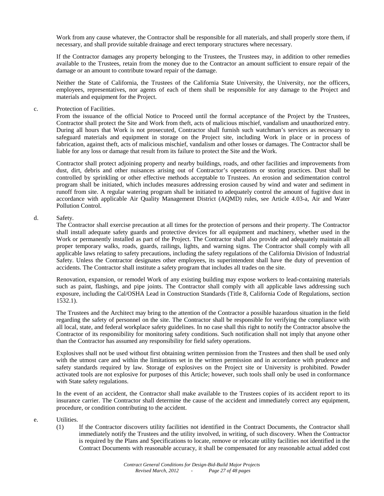Work from any cause whatever, the Contractor shall be responsible for all materials, and shall properly store them, if necessary, and shall provide suitable drainage and erect temporary structures where necessary.

If the Contractor damages any property belonging to the Trustees, the Trustees may, in addition to other remedies available to the Trustees, retain from the money due to the Contractor an amount sufficient to ensure repair of the damage or an amount to contribute toward repair of the damage.

Neither the State of California, the Trustees of the California State University, the University, nor the officers, employees, representatives, nor agents of each of them shall be responsible for any damage to the Project and materials and equipment for the Project.

#### c. Protection of Facilities.

From the issuance of the official Notice to Proceed until the formal acceptance of the Project by the Trustees, Contractor shall protect the Site and Work from theft, acts of malicious mischief, vandalism and unauthorized entry. During all hours that Work is not prosecuted, Contractor shall furnish such watchman's services as necessary to safeguard materials and equipment in storage on the Project site, including Work in place or in process of fabrication, against theft, acts of malicious mischief, vandalism and other losses or damages. The Contractor shall be liable for any loss or damage that result from its failure to protect the Site and the Work.

Contractor shall protect adjoining property and nearby buildings, roads, and other facilities and improvements from dust, dirt, debris and other nuisances arising out of Contractor's operations or storing practices. Dust shall be controlled by sprinkling or other effective methods acceptable to Trustees. An erosion and sedimentation control program shall be initiated, which includes measures addressing erosion caused by wind and water and sediment in runoff from site. A regular watering program shall be initiated to adequately control the amount of fugitive dust in accordance with applicable Air Quality Management District (AQMD) rules, see Article 4.03-a, Air and Water Pollution Control.

#### d. Safety.

The Contractor shall exercise precaution at all times for the protection of persons and their property. The Contractor shall install adequate safety guards and protective devices for all equipment and machinery, whether used in the Work or permanently installed as part of the Project. The Contractor shall also provide and adequately maintain all proper temporary walks, roads, guards, railings, lights, and warning signs. The Contractor shall comply with all applicable laws relating to safety precautions, including the safety regulations of the California Division of Industrial Safety. Unless the Contractor designates other employees, its superintendent shall have the duty of prevention of accidents. The Contractor shall institute a safety program that includes all trades on the site.

Renovation, expansion, or remodel Work of any existing building may expose workers to lead-containing materials such as paint, flashings, and pipe joints. The Contractor shall comply with all applicable laws addressing such exposure, including the Cal/OSHA Lead in Construction Standards (Title 8, California Code of Regulations, section 1532.1).

The Trustees and the Architect may bring to the attention of the Contractor a possible hazardous situation in the field regarding the safety of personnel on the site. The Contractor shall be responsible for verifying the compliance with all local, state, and federal workplace safety guidelines. In no case shall this right to notify the Contractor absolve the Contractor of its responsibility for monitoring safety conditions. Such notification shall not imply that anyone other than the Contractor has assumed any responsibility for field safety operations.

Explosives shall not be used without first obtaining written permission from the Trustees and then shall be used only with the utmost care and within the limitations set in the written permission and in accordance with prudence and safety standards required by law. Storage of explosives on the Project site or University is prohibited. Powder activated tools are not explosive for purposes of this Article; however, such tools shall only be used in conformance with State safety regulations.

In the event of an accident, the Contractor shall make available to the Trustees copies of its accident report to its insurance carrier. The Contractor shall determine the cause of the accident and immediately correct any equipment, procedure, or condition contributing to the accident.

#### e. Utilities.

(1) If the Contractor discovers utility facilities not identified in the Contract Documents, the Contractor shall immediately notify the Trustees and the utility involved, in writing, of such discovery. When the Contractor is required by the Plans and Specifications to locate, remove or relocate utility facilities not identified in the Contract Documents with reasonable accuracy, it shall be compensated for any reasonable actual added cost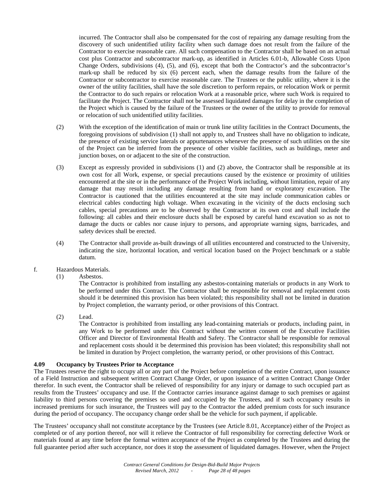incurred. The Contractor shall also be compensated for the cost of repairing any damage resulting from the discovery of such unidentified utility facility when such damage does not result from the failure of the Contractor to exercise reasonable care. All such compensation to the Contractor shall be based on an actual cost plus Contractor and subcontractor mark-up, as identified in Articles 6.01-b, Allowable Costs Upon Change Orders, subdivisions (4), (5), and (6), except that both the Contractor's and the subcontractor's mark-up shall be reduced by six (6) percent each, when the damage results from the failure of the Contractor or subcontractor to exercise reasonable care. The Trustees or the public utility, where it is the owner of the utility facilities, shall have the sole discretion to perform repairs, or relocation Work or permit the Contractor to do such repairs or relocation Work at a reasonable price, where such Work is required to facilitate the Project. The Contractor shall not be assessed liquidated damages for delay in the completion of the Project which is caused by the failure of the Trustees or the owner of the utility to provide for removal or relocation of such unidentified utility facilities.

- (2) With the exception of the identification of main or trunk line utility facilities in the Contract Documents, the foregoing provisions of subdivision (1) shall not apply to, and Trustees shall have no obligation to indicate, the presence of existing service laterals or appurtenances whenever the presence of such utilities on the site of the Project can be inferred from the presence of other visible facilities, such as buildings, meter and junction boxes, on or adjacent to the site of the construction.
- (3) Except as expressly provided in subdivisions (1) and (2) above, the Contractor shall be responsible at its own cost for all Work, expense, or special precautions caused by the existence or proximity of utilities encountered at the site or in the performance of the Project Work including, without limitation, repair of any damage that may result including any damage resulting from hand or exploratory excavation. The Contractor is cautioned that the utilities encountered at the site may include communication cables or electrical cables conducting high voltage. When excavating in the vicinity of the ducts enclosing such cables, special precautions are to be observed by the Contractor at its own cost and shall include the following: all cables and their enclosure ducts shall be exposed by careful hand excavation so as not to damage the ducts or cables nor cause injury to persons, and appropriate warning signs, barricades, and safety devices shall be erected.
- (4) The Contractor shall provide as-built drawings of all utilities encountered and constructed to the University, indicating the size, horizontal location, and vertical location based on the Project benchmark or a stable datum.
- f. Hazardous Materials.
	- (1) Asbestos.

The Contractor is prohibited from installing any asbestos-containing materials or products in any Work to be performed under this Contract. The Contractor shall be responsible for removal and replacement costs should it be determined this provision has been violated; this responsibility shall not be limited in duration by Project completion, the warranty period, or other provisions of this Contract.

(2) Lead.

The Contractor is prohibited from installing any lead-containing materials or products, including paint, in any Work to be performed under this Contract without the written consent of the Executive Facilities Officer and Director of Environmental Health and Safety. The Contractor shall be responsible for removal and replacement costs should it be determined this provision has been violated; this responsibility shall not be limited in duration by Project completion, the warranty period, or other provisions of this Contract.

#### **4.09 Occupancy by Trustees Prior to Acceptance**

The Trustees reserve the right to occupy all or any part of the Project before completion of the entire Contract, upon issuance of a Field Instruction and subsequent written Contract Change Order, or upon issuance of a written Contract Change Order therefor. In such event, the Contractor shall be relieved of responsibility for any injury or damage to such occupied part as results from the Trustees' occupancy and use. If the Contractor carries insurance against damage to such premises or against liability to third persons covering the premises so used and occupied by the Trustees, and if such occupancy results in increased premiums for such insurance, the Trustees will pay to the Contractor the added premium costs for such insurance during the period of occupancy. The occupancy change order shall be the vehicle for such payment, if applicable.

The Trustees' occupancy shall not constitute acceptance by the Trustees (see Article 8.01, Acceptance) either of the Project as completed or of any portion thereof, nor will it relieve the Contractor of full responsibility for correcting defective Work or materials found at any time before the formal written acceptance of the Project as completed by the Trustees and during the full guarantee period after such acceptance, nor does it stop the assessment of liquidated damages. However, when the Project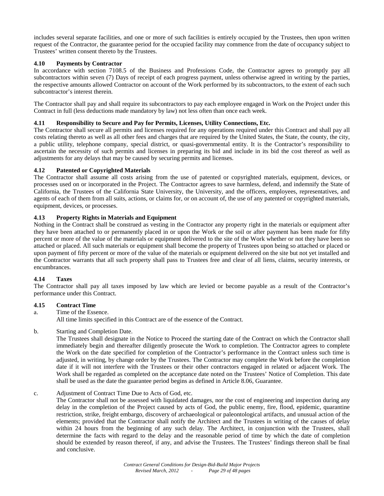includes several separate facilities, and one or more of such facilities is entirely occupied by the Trustees, then upon written request of the Contractor, the guarantee period for the occupied facility may commence from the date of occupancy subject to Trustees' written consent thereto by the Trustees.

# **4.10 Payments by Contractor**

In accordance with section 7108.5 of the Business and Professions Code, the Contractor agrees to promptly pay all subcontractors within seven (7) Days of receipt of each progress payment, unless otherwise agreed in writing by the parties, the respective amounts allowed Contractor on account of the Work performed by its subcontractors, to the extent of each such subcontractor's interest therein.

The Contractor shall pay and shall require its subcontractors to pay each employee engaged in Work on the Project under this Contract in full (less deductions made mandatory by law) not less often than once each week.

# **4.11 Responsibility to Secure and Pay for Permits, Licenses, Utility Connections, Etc.**

The Contractor shall secure all permits and licenses required for any operations required under this Contract and shall pay all costs relating thereto as well as all other fees and charges that are required by the United States, the State, the county, the city, a public utility, telephone company, special district, or quasi-governmental entity. It is the Contractor's responsibility to ascertain the necessity of such permits and licenses in preparing its bid and include in its bid the cost thereof as well as adjustments for any delays that may be caused by securing permits and licenses.

# **4.12 Patented or Copyrighted Materials**

The Contractor shall assume all costs arising from the use of patented or copyrighted materials, equipment, devices, or processes used on or incorporated in the Project. The Contractor agrees to save harmless, defend, and indemnify the State of California, the Trustees of the California State University, the University, and the officers, employees, representatives, and agents of each of them from all suits, actions, or claims for, or on account of, the use of any patented or copyrighted materials, equipment, devices, or processes.

# **4.13 Property Rights in Materials and Equipment**

Nothing in the Contract shall be construed as vesting in the Contractor any property right in the materials or equipment after they have been attached to or permanently placed in or upon the Work or the soil or after payment has been made for fifty percent or more of the value of the materials or equipment delivered to the site of the Work whether or not they have been so attached or placed. All such materials or equipment shall become the property of Trustees upon being so attached or placed or upon payment of fifty percent or more of the value of the materials or equipment delivered on the site but not yet installed and the Contractor warrants that all such property shall pass to Trustees free and clear of all liens, claims, security interests, or encumbrances.

# **4.14 Taxes**

The Contractor shall pay all taxes imposed by law which are levied or become payable as a result of the Contractor's performance under this Contract.

#### **4.15 Contract Time**

a. Time of the Essence.

All time limits specified in this Contract are of the essence of the Contract.

b. Starting and Completion Date.

The Trustees shall designate in the Notice to Proceed the starting date of the Contract on which the Contractor shall immediately begin and thereafter diligently prosecute the Work to completion. The Contractor agrees to complete the Work on the date specified for completion of the Contractor's performance in the Contract unless such time is adjusted, in writing, by change order by the Trustees. The Contractor may complete the Work before the completion date if it will not interfere with the Trustees or their other contractors engaged in related or adjacent Work. The Work shall be regarded as completed on the acceptance date noted on the Trustees' Notice of Completion. This date shall be used as the date the guarantee period begins as defined in Article 8.06, Guarantee.

# c. Adjustment of Contract Time Due to Acts of God, etc.

The Contractor shall not be assessed with liquidated damages, nor the cost of engineering and inspection during any delay in the completion of the Project caused by acts of God, the public enemy, fire, flood, epidemic, quarantine restriction, strike, freight embargo, discovery of archaeological or paleontological artifacts, and unusual action of the elements; provided that the Contractor shall notify the Architect and the Trustees in writing of the causes of delay within 24 hours from the beginning of any such delay. The Architect, in conjunction with the Trustees, shall determine the facts with regard to the delay and the reasonable period of time by which the date of completion should be extended by reason thereof, if any, and advise the Trustees. The Trustees' findings thereon shall be final and conclusive.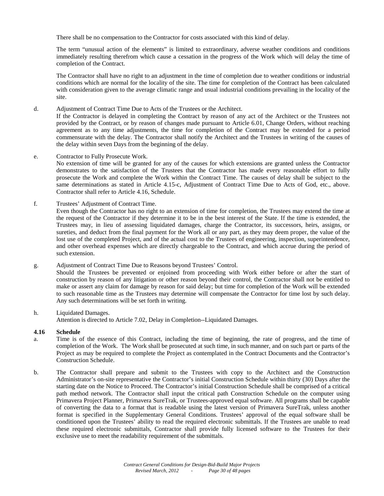There shall be no compensation to the Contractor for costs associated with this kind of delay.

The term "unusual action of the elements" is limited to extraordinary, adverse weather conditions and conditions immediately resulting therefrom which cause a cessation in the progress of the Work which will delay the time of completion of the Contract.

The Contractor shall have no right to an adjustment in the time of completion due to weather conditions or industrial conditions which are normal for the locality of the site. The time for completion of the Contract has been calculated with consideration given to the average climatic range and usual industrial conditions prevailing in the locality of the site.

d. Adjustment of Contract Time Due to Acts of the Trustees or the Architect.

If the Contractor is delayed in completing the Contract by reason of any act of the Architect or the Trustees not provided by the Contract, or by reason of changes made pursuant to Article 6.01, Change Orders, without reaching agreement as to any time adjustments, the time for completion of the Contract may be extended for a period commensurate with the delay. The Contractor shall notify the Architect and the Trustees in writing of the causes of the delay within seven Days from the beginning of the delay.

e. Contractor to Fully Prosecute Work.

No extension of time will be granted for any of the causes for which extensions are granted unless the Contractor demonstrates to the satisfaction of the Trustees that the Contractor has made every reasonable effort to fully prosecute the Work and complete the Work within the Contract Time. The causes of delay shall be subject to the same determinations as stated in Article 4.15-c, Adjustment of Contract Time Due to Acts of God, etc., above. Contractor shall refer to Article 4.16, Schedule.

f. Trustees' Adjustment of Contract Time. Even though the Contractor has no right to an extension of time for completion, the Trustees may extend the time at the request of the Contractor if they determine it to be in the best interest of the State. If the time is extended, the Trustees may, in lieu of assessing liquidated damages, charge the Contractor, its successors, heirs, assigns, or sureties, and deduct from the final payment for the Work all or any part, as they may deem proper, the value of the lost use of the completed Project, and of the actual cost to the Trustees of engineering, inspection, superintendence,

and other overhead expenses which are directly chargeable to the Contract, and which accrue during the period of such extension.

g. Adjustment of Contract Time Due to Reasons beyond Trustees' Control. Should the Trustees be prevented or enjoined from proceeding with Work either before or after the start of construction by reason of any litigation or other reason beyond their control, the Contractor shall not be entitled to make or assert any claim for damage by reason for said delay; but time for completion of the Work will be extended to such reasonable time as the Trustees may determine will compensate the Contractor for time lost by such delay. Any such determinations will be set forth in writing.

h. Liquidated Damages. Attention is directed to Article 7.02, Delay in Completion--Liquidated Damages.

#### **4.16 Schedule**

- a. Time is of the essence of this Contract, including the time of beginning, the rate of progress, and the time of completion of the Work. The Work shall be prosecuted at such time, in such manner, and on such part or parts of the Project as may be required to complete the Project as contemplated in the Contract Documents and the Contractor's Construction Schedule.
- b. The Contractor shall prepare and submit to the Trustees with copy to the Architect and the Construction Administrator's on-site representative the Contractor's initial Construction Schedule within thirty (30) Days after the starting date on the Notice to Proceed. The Contractor's initial Construction Schedule shall be comprised of a critical path method network. The Contractor shall input the critical path Construction Schedule on the computer using Primavera Project Planner, Primavera SureTrak, or Trustees-approved equal software. All programs shall be capable of converting the data to a format that is readable using the latest version of Primavera SureTrak, unless another format is specified in the Supplementary General Conditions. Trustees' approval of the equal software shall be conditioned upon the Trustees' ability to read the required electronic submittals. If the Trustees are unable to read these required electronic submittals, Contractor shall provide fully licensed software to the Trustees for their exclusive use to meet the readability requirement of the submittals.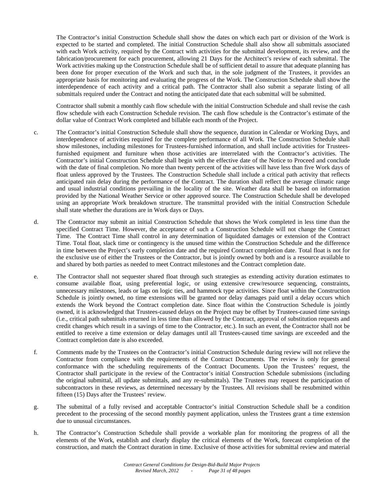The Contractor's initial Construction Schedule shall show the dates on which each part or division of the Work is expected to be started and completed. The initial Construction Schedule shall also show all submittals associated with each Work activity, required by the Contract with activities for the submittal development, its review, and the fabrication/procurement for each procurement, allowing 21 Days for the Architect's review of each submittal. The Work activities making up the Construction Schedule shall be of sufficient detail to assure that adequate planning has been done for proper execution of the Work and such that, in the sole judgment of the Trustees, it provides an appropriate basis for monitoring and evaluating the progress of the Work. The Construction Schedule shall show the interdependence of each activity and a critical path. The Contractor shall also submit a separate listing of all submittals required under the Contract and noting the anticipated date that each submittal will be submitted.

Contractor shall submit a monthly cash flow schedule with the initial Construction Schedule and shall revise the cash flow schedule with each Construction Schedule revision. The cash flow schedule is the Contractor's estimate of the dollar value of Contract Work completed and billable each month of the Project.

- c. The Contractor's initial Construction Schedule shall show the sequence, duration in Calendar or Working Days, and interdependence of activities required for the complete performance of all Work. The Construction Schedule shall show milestones, including milestones for Trustees-furnished information, and shall include activities for Trusteesfurnished equipment and furniture when those activities are interrelated with the Contractor's activities. The Contractor's initial Construction Schedule shall begin with the effective date of the Notice to Proceed and conclude with the date of final completion. No more than twenty percent of the activities will have less than five Work days of float unless approved by the Trustees. The Construction Schedule shall include a critical path activity that reflects anticipated rain delay during the performance of the Contract. The duration shall reflect the average climatic range and usual industrial conditions prevailing in the locality of the site. Weather data shall be based on information provided by the National Weather Service or other approved source. The Construction Schedule shall be developed using an appropriate Work breakdown structure. The transmittal provided with the initial Construction Schedule shall state whether the durations are in Work days or Days.
- d. The Contractor may submit an initial Construction Schedule that shows the Work completed in less time than the specified Contract Time. However, the acceptance of such a Construction Schedule will not change the Contract Time. The Contract Time shall control in any determination of liquidated damages or extension of the Contract Time. Total float, slack time or contingency is the unused time within the Construction Schedule and the difference in time between the Project's early completion date and the required Contract completion date. Total float is not for the exclusive use of either the Trustees or the Contractor, but is jointly owned by both and is a resource available to and shared by both parties as needed to meet Contract milestones and the Contract completion date.
- e. The Contractor shall not sequester shared float through such strategies as extending activity duration estimates to consume available float, using preferential logic, or using extensive crew/resource sequencing, constraints, unnecessary milestones, leads or lags on logic ties, and hammock type activities. Since float within the Construction Schedule is jointly owned, no time extensions will be granted nor delay damages paid until a delay occurs which extends the Work beyond the Contract completion date. Since float within the Construction Schedule is jointly owned, it is acknowledged that Trustees-caused delays on the Project may be offset by Trustees-caused time savings (i.e., critical path submittals returned in less time than allowed by the Contract, approval of substitution requests and credit changes which result in a savings of time to the Contractor, etc.). In such an event, the Contractor shall not be entitled to receive a time extension or delay damages until all Trustees-caused time savings are exceeded and the Contract completion date is also exceeded.
- f. Comments made by the Trustees on the Contractor's initial Construction Schedule during review will not relieve the Contractor from compliance with the requirements of the Contract Documents. The review is only for general conformance with the scheduling requirements of the Contract Documents. Upon the Trustees' request, the Contractor shall participate in the review of the Contractor's initial Construction Schedule submissions (including the original submittal, all update submittals, and any re-submittals). The Trustees may request the participation of subcontractors in these reviews, as determined necessary by the Trustees. All revisions shall be resubmitted within fifteen (15) Days after the Trustees' review.
- g. The submittal of a fully revised and acceptable Contractor's initial Construction Schedule shall be a condition precedent to the processing of the second monthly payment application, unless the Trustees grant a time extension due to unusual circumstances.
- h. The Contractor's Construction Schedule shall provide a workable plan for monitoring the progress of all the elements of the Work, establish and clearly display the critical elements of the Work, forecast completion of the construction, and match the Contract duration in time. Exclusive of those activities for submittal review and material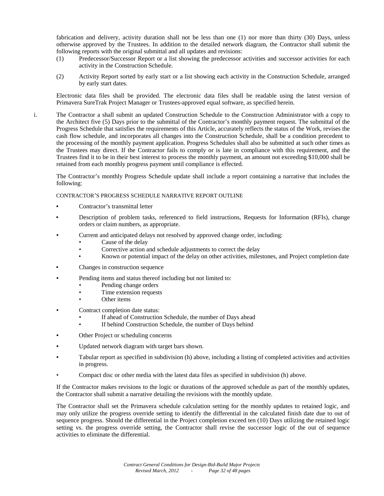fabrication and delivery, activity duration shall not be less than one (1) nor more than thirty (30) Days, unless otherwise approved by the Trustees. In addition to the detailed network diagram, the Contractor shall submit the following reports with the original submittal and all updates and revisions:

- (1) Predecessor/Successor Report or a list showing the predecessor activities and successor activities for each activity in the Construction Schedule.
- (2) Activity Report sorted by early start or a list showing each activity in the Construction Schedule, arranged by early start dates.

Electronic data files shall be provided. The electronic data files shall be readable using the latest version of Primavera SureTrak Project Manager or Trustees-approved equal software, as specified herein.

i. The Contractor a shall submit an updated Construction Schedule to the Construction Administrator with a copy to the Architect five (5) Days prior to the submittal of the Contractor's monthly payment request. The submittal of the Progress Schedule that satisfies the requirements of this Article, accurately reflects the status of the Work, revises the cash flow schedule, and incorporates all changes into the Construction Schedule, shall be a condition precedent to the processing of the monthly payment application. Progress Schedules shall also be submitted at such other times as the Trustees may direct. If the Contractor fails to comply or is late in compliance with this requirement, and the Trustees find it to be in their best interest to process the monthly payment, an amount not exceeding \$10,000 shall be retained from each monthly progress payment until compliance is effected.

The Contractor's monthly Progress Schedule update shall include a report containing a narrative that includes the following:

CONTRACTOR'S PROGRESS SCHEDULE NARRATIVE REPORT OUTLINE

- **•** Contractor's transmittal letter
- **•** Description of problem tasks, referenced to field instructions, Requests for Information (RFIs), change orders or claim numbers, as appropriate.
- **•** Current and anticipated delays not resolved by approved change order, including:
	- Cause of the delay
	- Corrective action and schedule adjustments to correct the delay
	- Known or potential impact of the delay on other activities, milestones, and Project completion date
- **•** Changes in construction sequence
- **•** Pending items and status thereof including but not limited to:
	- Pending change orders
	- Time extension requests
	- Other items
- **•** Contract completion date status:
	- If ahead of Construction Schedule, the number of Days ahead
	- If behind Construction Schedule, the number of Days behind
- **•** Other Project or scheduling concerns
- **•** Updated network diagram with target bars shown.
- **•** Tabular report as specified in subdivision (h) above, including a listing of completed activities and activities in progress.
- Compact disc or other media with the latest data files as specified in subdivision (h) above.

If the Contractor makes revisions to the logic or durations of the approved schedule as part of the monthly updates, the Contractor shall submit a narrative detailing the revisions with the monthly update.

The Contractor shall set the Primavera schedule calculation setting for the monthly updates to retained logic, and may only utilize the progress override setting to identify the differential in the calculated finish date due to out of sequence progress. Should the differential in the Project completion exceed ten (10) Days utilizing the retained logic setting vs. the progress override setting, the Contractor shall revise the successor logic of the out of sequence activities to eliminate the differential.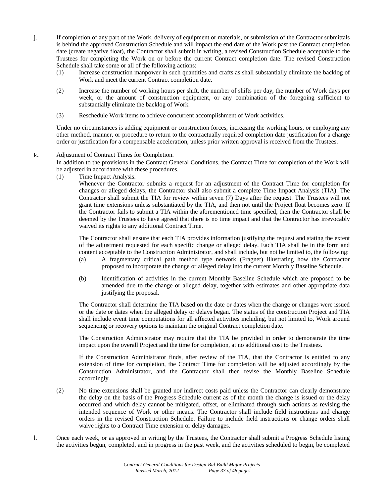- j. If completion of any part of the Work, delivery of equipment or materials, or submission of the Contractor submittals is behind the approved Construction Schedule and will impact the end date of the Work past the Contract completion date (create negative float), the Contractor shall submit in writing, a revised Construction Schedule acceptable to the Trustees for completing the Work on or before the current Contract completion date. The revised Construction Schedule shall take some or all of the following actions:
	- (1) Increase construction manpower in such quantities and crafts as shall substantially eliminate the backlog of Work and meet the current Contract completion date.
	- (2) Increase the number of working hours per shift, the number of shifts per day, the number of Work days per week, or the amount of construction equipment, or any combination of the foregoing sufficient to substantially eliminate the backlog of Work.
	- (3) Reschedule Work items to achieve concurrent accomplishment of Work activities.

Under no circumstances is adding equipment or construction forces, increasing the working hours, or employing any other method, manner, or procedure to return to the contractually required completion date justification for a change order or justification for a compensable acceleration, unless prior written approval is received from the Trustees.

# k. Adjustment of Contract Times for Completion.

In addition to the provisions in the Contract General Conditions, the Contract Time for completion of the Work will be adjusted in accordance with these procedures.

(1) Time Impact Analysis.

Whenever the Contractor submits a request for an adjustment of the Contract Time for completion for changes or alleged delays, the Contractor shall also submit a complete Time Impact Analysis (TIA). The Contractor shall submit the TIA for review within seven (7) Days after the request. The Trustees will not grant time extensions unless substantiated by the TIA, and then not until the Project float becomes zero. If the Contractor fails to submit a TIA within the aforementioned time specified, then the Contractor shall be deemed by the Trustees to have agreed that there is no time impact and that the Contractor has irrevocably waived its rights to any additional Contract Time.

The Contractor shall ensure that each TIA provides information justifying the request and stating the extent of the adjustment requested for each specific change or alleged delay. Each TIA shall be in the form and content acceptable to the Construction Administrator, and shall include, but not be limited to, the following:

- (a) A fragmentary critical path method type network (Fragnet) illustrating how the Contractor proposed to incorporate the change or alleged delay into the current Monthly Baseline Schedule.
- (b) Identification of activities in the current Monthly Baseline Schedule which are proposed to be amended due to the change or alleged delay, together with estimates and other appropriate data justifying the proposal.

The Contractor shall determine the TIA based on the date or dates when the change or changes were issued or the date or dates when the alleged delay or delays began. The status of the construction Project and TIA shall include event time computations for all affected activities including, but not limited to, Work around sequencing or recovery options to maintain the original Contract completion date.

The Construction Administrator may require that the TIA be provided in order to demonstrate the time impact upon the overall Project and the time for completion, at no additional cost to the Trustees.

If the Construction Administrator finds, after review of the TIA, that the Contractor is entitled to any extension of time for completion, the Contract Time for completion will be adjusted accordingly by the Construction Administrator, and the Contractor shall then revise the Monthly Baseline Schedule accordingly.

- (2) No time extensions shall be granted nor indirect costs paid unless the Contractor can clearly demonstrate the delay on the basis of the Progress Schedule current as of the month the change is issued or the delay occurred and which delay cannot be mitigated, offset, or eliminated through such actions as revising the intended sequence of Work or other means. The Contractor shall include field instructions and change orders in the revised Construction Schedule. Failure to include field instructions or change orders shall waive rights to a Contract Time extension or delay damages.
- l. Once each week, or as approved in writing by the Trustees, the Contractor shall submit a Progress Schedule listing the activities begun, completed, and in progress in the past week, and the activities scheduled to begin, be completed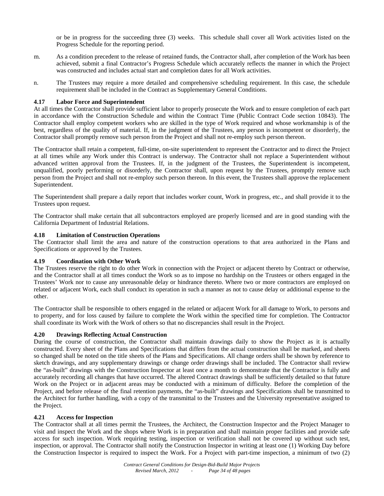or be in progress for the succeeding three (3) weeks. This schedule shall cover all Work activities listed on the Progress Schedule for the reporting period.

- m. As a condition precedent to the release of retained funds, the Contractor shall, after completion of the Work has been achieved, submit a final Contractor's Progress Schedule which accurately reflects the manner in which the Project was constructed and includes actual start and completion dates for all Work activities.
- n. The Trustees may require a more detailed and comprehensive scheduling requirement. In this case, the schedule requirement shall be included in the Contract as Supplementary General Conditions.

# **4.17 Labor Force and Superintendent**

At all times the Contractor shall provide sufficient labor to properly prosecute the Work and to ensure completion of each part in accordance with the Construction Schedule and within the Contract Time (Public Contract Code section 10843). The Contractor shall employ competent workers who are skilled in the type of Work required and whose workmanship is of the best, regardless of the quality of material. If, in the judgment of the Trustees, any person is incompetent or disorderly, the Contractor shall promptly remove such person from the Project and shall not re-employ such person thereon.

The Contractor shall retain a competent, full-time, on-site superintendent to represent the Contractor and to direct the Project at all times while any Work under this Contract is underway. The Contractor shall not replace a Superintendent without advanced written approval from the Trustees. If, in the judgment of the Trustees, the Superintendent is incompetent, unqualified, poorly performing or disorderly, the Contractor shall, upon request by the Trustees, promptly remove such person from the Project and shall not re-employ such person thereon. In this event, the Trustees shall approve the replacement Superintendent.

The Superintendent shall prepare a daily report that includes worker count, Work in progress, etc., and shall provide it to the Trustees upon request.

The Contractor shall make certain that all subcontractors employed are properly licensed and are in good standing with the California Department of Industrial Relations.

#### **4.18 Limitation of Construction Operations**

The Contractor shall limit the area and nature of the construction operations to that area authorized in the Plans and Specifications or approved by the Trustees.

# **4.19 Coordination with Other Work**

The Trustees reserve the right to do other Work in connection with the Project or adjacent thereto by Contract or otherwise, and the Contractor shall at all times conduct the Work so as to impose no hardship on the Trustees or others engaged in the Trustees' Work nor to cause any unreasonable delay or hindrance thereto. Where two or more contractors are employed on related or adjacent Work, each shall conduct its operation in such a manner as not to cause delay or additional expense to the other.

The Contractor shall be responsible to others engaged in the related or adjacent Work for all damage to Work, to persons and to property, and for loss caused by failure to complete the Work within the specified time for completion. The Contractor shall coordinate its Work with the Work of others so that no discrepancies shall result in the Project.

#### **4.20 Drawings Reflecting Actual Construction**

During the course of construction, the Contractor shall maintain drawings daily to show the Project as it is actually constructed. Every sheet of the Plans and Specifications that differs from the actual construction shall be marked, and sheets so changed shall be noted on the title sheets of the Plans and Specifications. All change orders shall be shown by reference to sketch drawings, and any supplementary drawings or change order drawings shall be included. The Contractor shall review the "as-built" drawings with the Construction Inspector at least once a month to demonstrate that the Contractor is fully and accurately recording all changes that have occurred. The altered Contract drawings shall be sufficiently detailed so that future Work on the Project or in adjacent areas may be conducted with a minimum of difficulty. Before the completion of the Project, and before release of the final retention payments, the "as-built" drawings and Specifications shall be transmitted to the Architect for further handling, with a copy of the transmittal to the Trustees and the University representative assigned to the Project.

#### **4.21 Access for Inspection**

The Contractor shall at all times permit the Trustees, the Architect, the Construction Inspector and the Project Manager to visit and inspect the Work and the shops where Work is in preparation and shall maintain proper facilities and provide safe access for such inspection. Work requiring testing, inspection or verification shall not be covered up without such test, inspection, or approval. The Contractor shall notify the Construction Inspector in writing at least one (1) Working Day before the Construction Inspector is required to inspect the Work. For a Project with part-time inspection, a minimum of two (2)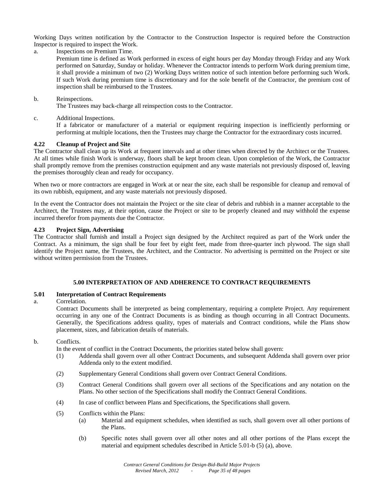Working Days written notification by the Contractor to the Construction Inspector is required before the Construction Inspector is required to inspect the Work.

- a. Inspections on Premium Time.
	- Premium time is defined as Work performed in excess of eight hours per day Monday through Friday and any Work performed on Saturday, Sunday or holiday. Whenever the Contractor intends to perform Work during premium time, it shall provide a minimum of two (2) Working Days written notice of such intention before performing such Work. If such Work during premium time is discretionary and for the sole benefit of the Contractor, the premium cost of inspection shall be reimbursed to the Trustees.

# b. Reinspections.

The Trustees may back-charge all reinspection costs to the Contractor.

c. Additional Inspections.

If a fabricator or manufacturer of a material or equipment requiring inspection is inefficiently performing or performing at multiple locations, then the Trustees may charge the Contractor for the extraordinary costs incurred.

# **4.22 Cleanup of Project and Site**

The Contractor shall clean up its Work at frequent intervals and at other times when directed by the Architect or the Trustees. At all times while finish Work is underway, floors shall be kept broom clean. Upon completion of the Work, the Contractor shall promptly remove from the premises construction equipment and any waste materials not previously disposed of, leaving the premises thoroughly clean and ready for occupancy.

When two or more contractors are engaged in Work at or near the site, each shall be responsible for cleanup and removal of its own rubbish, equipment, and any waste materials not previously disposed.

In the event the Contractor does not maintain the Project or the site clear of debris and rubbish in a manner acceptable to the Architect, the Trustees may, at their option, cause the Project or site to be properly cleaned and may withhold the expense incurred therefor from payments due the Contractor.

# **4.23 Project Sign, Advertising**

The Contractor shall furnish and install a Project sign designed by the Architect required as part of the Work under the Contract. As a minimum, the sign shall be four feet by eight feet, made from three-quarter inch plywood. The sign shall identify the Project name, the Trustees, the Architect, and the Contractor. No advertising is permitted on the Project or site without written permission from the Trustees.

# **5.00 INTERPRETATION OF AND ADHERENCE TO CONTRACT REQUIREMENTS**

#### **5.01 Interpretation of Contract Requirements**

a. Correlation.

Contract Documents shall be interpreted as being complementary, requiring a complete Project. Any requirement occurring in any one of the Contract Documents is as binding as though occurring in all Contract Documents. Generally, the Specifications address quality, types of materials and Contract conditions, while the Plans show placement, sizes, and fabrication details of materials.

b. Conflicts.

In the event of conflict in the Contract Documents, the priorities stated below shall govern:

- (1) Addenda shall govern over all other Contract Documents, and subsequent Addenda shall govern over prior Addenda only to the extent modified.
- (2) Supplementary General Conditions shall govern over Contract General Conditions.
- (3) Contract General Conditions shall govern over all sections of the Specifications and any notation on the Plans. No other section of the Specifications shall modify the Contract General Conditions.
- (4) In case of conflict between Plans and Specifications, the Specifications shall govern.
- (5) Conflicts within the Plans:
	- (a) Material and equipment schedules, when identified as such, shall govern over all other portions of the Plans.
	- (b) Specific notes shall govern over all other notes and all other portions of the Plans except the material and equipment schedules described in Article 5.01-b (5) (a), above.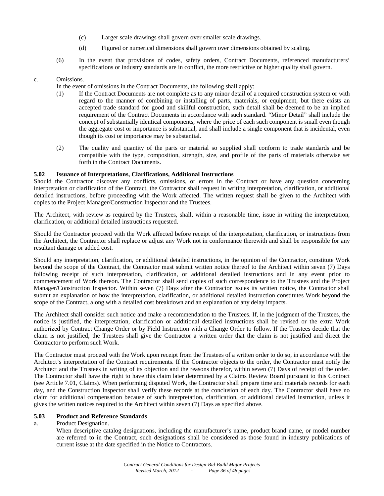- (c) Larger scale drawings shall govern over smaller scale drawings.
- (d) Figured or numerical dimensions shall govern over dimensions obtained by scaling.
- (6) In the event that provisions of codes, safety orders, Contract Documents, referenced manufacturers' specifications or industry standards are in conflict, the more restrictive or higher quality shall govern.

# c. Omissions.

In the event of omissions in the Contract Documents, the following shall apply:

- (1) If the Contract Documents are not complete as to any minor detail of a required construction system or with regard to the manner of combining or installing of parts, materials, or equipment, but there exists an accepted trade standard for good and skillful construction, such detail shall be deemed to be an implied requirement of the Contract Documents in accordance with such standard. "Minor Detail" shall include the concept of substantially identical components, where the price of each such component is small even though the aggregate cost or importance is substantial, and shall include a single component that is incidental, even though its cost or importance may be substantial.
- (2) The quality and quantity of the parts or material so supplied shall conform to trade standards and be compatible with the type, composition, strength, size, and profile of the parts of materials otherwise set forth in the Contract Documents.

# **5.02 Issuance of Interpretations, Clarifications, Additional Instructions**

Should the Contractor discover any conflicts, omissions, or errors in the Contract or have any question concerning interpretation or clarification of the Contract, the Contractor shall request in writing interpretation, clarification, or additional detailed instructions, before proceeding with the Work affected. The written request shall be given to the Architect with copies to the Project Manager/Construction Inspector and the Trustees.

The Architect, with review as required by the Trustees, shall, within a reasonable time, issue in writing the interpretation, clarification, or additional detailed instructions requested.

Should the Contractor proceed with the Work affected before receipt of the interpretation, clarification, or instructions from the Architect, the Contractor shall replace or adjust any Work not in conformance therewith and shall be responsible for any resultant damage or added cost.

Should any interpretation, clarification, or additional detailed instructions, in the opinion of the Contractor, constitute Work beyond the scope of the Contract, the Contractor must submit written notice thereof to the Architect within seven (7) Days following receipt of such interpretation, clarification, or additional detailed instructions and in any event prior to commencement of Work thereon. The Contractor shall send copies of such correspondence to the Trustees and the Project Manager/Construction Inspector. Within seven (7) Days after the Contractor issues its written notice, the Contractor shall submit an explanation of how the interpretation, clarification, or additional detailed instruction constitutes Work beyond the scope of the Contract, along with a detailed cost breakdown and an explanation of any delay impacts.

The Architect shall consider such notice and make a recommendation to the Trustees. If, in the judgment of the Trustees, the notice is justified, the interpretation, clarification or additional detailed instructions shall be revised or the extra Work authorized by Contract Change Order or by Field Instruction with a Change Order to follow. If the Trustees decide that the claim is not justified, the Trustees shall give the Contractor a written order that the claim is not justified and direct the Contractor to perform such Work.

The Contractor must proceed with the Work upon receipt from the Trustees of a written order to do so, in accordance with the Architect's interpretation of the Contract requirements. If the Contractor objects to the order, the Contractor must notify the Architect and the Trustees in writing of its objection and the reasons therefor, within seven (7) Days of receipt of the order. The Contractor shall have the right to have this claim later determined by a Claims Review Board pursuant to this Contract (see Article 7.01, Claims). When performing disputed Work, the Contractor shall prepare time and materials records for each day, and the Construction Inspector shall verify these records at the conclusion of each day. The Contractor shall have no claim for additional compensation because of such interpretation, clarification, or additional detailed instruction, unless it gives the written notices required to the Architect within seven (7) Days as specified above.

# **5.03 Product and Reference Standards**

a. Product Designation.

When descriptive catalog designations, including the manufacturer's name, product brand name, or model number are referred to in the Contract, such designations shall be considered as those found in industry publications of current issue at the date specified in the Notice to Contractors.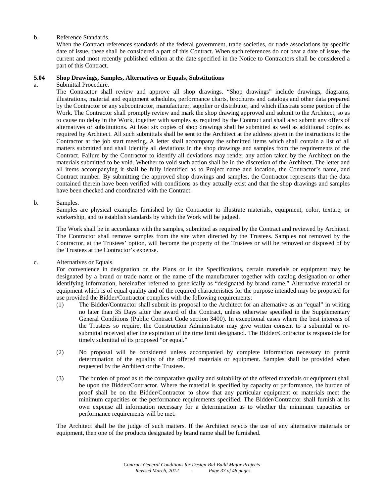# b. Reference Standards.

When the Contract references standards of the federal government, trade societies, or trade associations by specific date of issue, these shall be considered a part of this Contract. When such references do not bear a date of issue, the current and most recently published edition at the date specified in the Notice to Contractors shall be considered a part of this Contract.

#### **5.04 Shop Drawings, Samples, Alternatives or Equals, Substitutions**

a. Submittal Procedure.

The Contractor shall review and approve all shop drawings. "Shop drawings" include drawings, diagrams, illustrations, material and equipment schedules, performance charts, brochures and catalogs and other data prepared by the Contractor or any subcontractor, manufacturer, supplier or distributor, and which illustrate some portion of the Work. The Contractor shall promptly review and mark the shop drawing approved and submit to the Architect, so as to cause no delay in the Work, together with samples as required by the Contract and shall also submit any offers of alternatives or substitutions. At least six copies of shop drawings shall be submitted as well as additional copies as required by Architect. All such submittals shall be sent to the Architect at the address given in the instructions to the Contractor at the job start meeting. A letter shall accompany the submitted items which shall contain a list of all matters submitted and shall identify all deviations in the shop drawings and samples from the requirements of the Contract. Failure by the Contractor to identify all deviations may render any action taken by the Architect on the materials submitted to be void. Whether to void such action shall be in the discretion of the Architect. The letter and all items accompanying it shall be fully identified as to Project name and location, the Contractor's name, and Contract number. By submitting the approved shop drawings and samples, the Contractor represents that the data contained therein have been verified with conditions as they actually exist and that the shop drawings and samples have been checked and coordinated with the Contract.

b. Samples.

Samples are physical examples furnished by the Contractor to illustrate materials, equipment, color, texture, or workership, and to establish standards by which the Work will be judged.

The Work shall be in accordance with the samples, submitted as required by the Contract and reviewed by Architect. The Contractor shall remove samples from the site when directed by the Trustees. Samples not removed by the Contractor, at the Trustees' option, will become the property of the Trustees or will be removed or disposed of by the Trustees at the Contractor's expense.

c. Alternatives or Equals.

For convenience in designation on the Plans or in the Specifications, certain materials or equipment may be designated by a brand or trade name or the name of the manufacturer together with catalog designation or other identifying information, hereinafter referred to generically as "designated by brand name." Alternative material or equipment which is of equal quality and of the required characteristics for the purpose intended may be proposed for use provided the Bidder/Contractor complies with the following requirements:

- (1) The Bidder/Contractor shall submit its proposal to the Architect for an alternative as an "equal" in writing no later than 35 Days after the award of the Contract, unless otherwise specified in the Supplementary General Conditions (Public Contract Code section 3400). In exceptional cases where the best interests of the Trustees so require, the Construction Administrator may give written consent to a submittal or resubmittal received after the expiration of the time limit designated. The Bidder/Contractor is responsible for timely submittal of its proposed "or equal."
- (2) No proposal will be considered unless accompanied by complete information necessary to permit determination of the equality of the offered materials or equipment. Samples shall be provided when requested by the Architect or the Trustees.
- (3) The burden of proof as to the comparative quality and suitability of the offered materials or equipment shall be upon the Bidder/Contractor. Where the material is specified by capacity or performance, the burden of proof shall be on the Bidder/Contractor to show that any particular equipment or materials meet the minimum capacities or the performance requirements specified. The Bidder/Contractor shall furnish at its own expense all information necessary for a determination as to whether the minimum capacities or performance requirements will be met.

The Architect shall be the judge of such matters. If the Architect rejects the use of any alternative materials or equipment, then one of the products designated by brand name shall be furnished.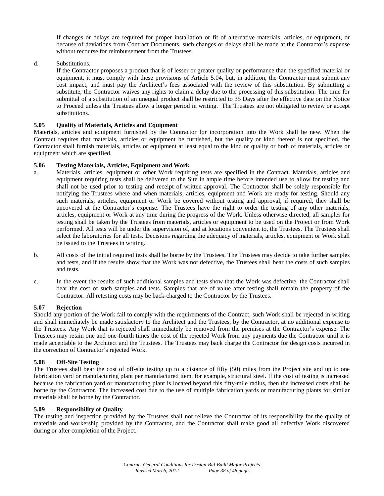If changes or delays are required for proper installation or fit of alternative materials, articles, or equipment, or because of deviations from Contract Documents, such changes or delays shall be made at the Contractor's expense without recourse for reimbursement from the Trustees.

d. Substitutions.

If the Contractor proposes a product that is of lesser or greater quality or performance than the specified material or equipment, it must comply with these provisions of Article 5.04, but, in addition, the Contractor must submit any cost impact, and must pay the Architect's fees associated with the review of this substitution. By submitting a substitute, the Contractor waives any rights to claim a delay due to the processing of this substitution. The time for submittal of a substitution of an unequal product shall be restricted to 35 Days after the effective date on the Notice to Proceed unless the Trustees allow a longer period in writing. The Trustees are not obligated to review or accept substitutions.

# **5.05 Quality of Materials, Articles and Equipment**

Materials, articles and equipment furnished by the Contractor for incorporation into the Work shall be new. When the Contract requires that materials, articles or equipment be furnished, but the quality or kind thereof is not specified, the Contractor shall furnish materials, articles or equipment at least equal to the kind or quality or both of materials, articles or equipment which are specified.

# **5.06 Testing Materials, Articles, Equipment and Work**

- a. Materials, articles, equipment or other Work requiring tests are specified in the Contract. Materials, articles and equipment requiring tests shall be delivered to the Site in ample time before intended use to allow for testing and shall not be used prior to testing and receipt of written approval. The Contractor shall be solely responsible for notifying the Trustees where and when materials, articles, equipment and Work are ready for testing. Should any such materials, articles, equipment or Work be covered without testing and approval, if required, they shall be uncovered at the Contractor's expense. The Trustees have the right to order the testing of any other materials, articles, equipment or Work at any time during the progress of the Work. Unless otherwise directed, all samples for testing shall be taken by the Trustees from materials, articles or equipment to be used on the Project or from Work performed. All tests will be under the supervision of, and at locations convenient to, the Trustees. The Trustees shall select the laboratories for all tests. Decisions regarding the adequacy of materials, articles, equipment or Work shall be issued to the Trustees in writing.
- b. All costs of the initial required tests shall be borne by the Trustees. The Trustees may decide to take further samples and tests, and if the results show that the Work was not defective, the Trustees shall bear the costs of such samples and tests.
- c. In the event the results of such additional samples and tests show that the Work was defective, the Contractor shall bear the cost of such samples and tests. Samples that are of value after testing shall remain the property of the Contractor. All retesting costs may be back-charged to the Contractor by the Trustees.

#### **5.07 Rejection**

Should any portion of the Work fail to comply with the requirements of the Contract, such Work shall be rejected in writing and shall immediately be made satisfactory to the Architect and the Trustees, by the Contractor, at no additional expense to the Trustees. Any Work that is rejected shall immediately be removed from the premises at the Contractor's expense. The Trustees may retain one and one-fourth times the cost of the rejected Work from any payments due the Contractor until it is made acceptable to the Architect and the Trustees. The Trustees may back charge the Contractor for design costs incurred in the correction of Contractor's rejected Work.

# **5.08 Off-Site Testing**

The Trustees shall bear the cost of off-site testing up to a distance of fifty (50) miles from the Project site and up to one fabrication yard or manufacturing plant per manufactured item, for example, structural steel. If the cost of testing is increased because the fabrication yard or manufacturing plant is located beyond this fifty-mile radius, then the increased costs shall be borne by the Contractor. The increased cost due to the use of multiple fabrication yards or manufacturing plants for similar materials shall be borne by the Contractor.

# **5.09 Responsibility of Quality**

The testing and inspection provided by the Trustees shall not relieve the Contractor of its responsibility for the quality of materials and workership provided by the Contractor, and the Contractor shall make good all defective Work discovered during or after completion of the Project.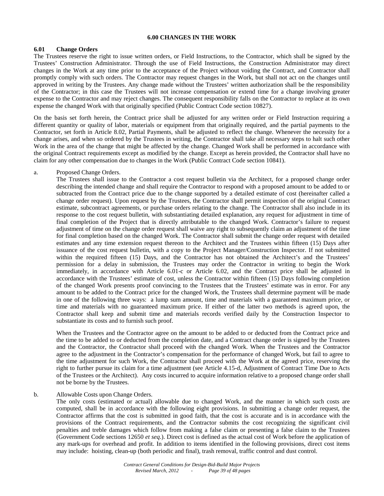# **6.00 CHANGES IN THE WORK**

#### **6.01 Change Orders**

The Trustees reserve the right to issue written orders, or Field Instructions, to the Contractor, which shall be signed by the Trustees' Construction Administrator. Through the use of Field Instructions, the Construction Administrator may direct changes in the Work at any time prior to the acceptance of the Project without voiding the Contract, and Contractor shall promptly comply with such orders. The Contractor may request changes in the Work, but shall not act on the changes until approved in writing by the Trustees. Any change made without the Trustees' written authorization shall be the responsibility of the Contractor; in this case the Trustees will not increase compensation or extend time for a change involving greater expense to the Contractor and may reject changes. The consequent responsibility falls on the Contractor to replace at its own expense the changed Work with that originally specified (Public Contract Code section 10827).

On the basis set forth herein, the Contract price shall be adjusted for any written order or Field Instruction requiring a different quantity or quality of labor, materials or equipment from that originally required, and the partial payments to the Contractor, set forth in Article 8.02, Partial Payments, shall be adjusted to reflect the change. Whenever the necessity for a change arises, and when so ordered by the Trustees in writing, the Contractor shall take all necessary steps to halt such other Work in the area of the change that might be affected by the change. Changed Work shall be performed in accordance with the original Contract requirements except as modified by the change. Except as herein provided, the Contractor shall have no claim for any other compensation due to changes in the Work (Public Contract Code section 10841).

#### a. Proposed Change Orders.

The Trustees shall issue to the Contractor a cost request bulletin via the Architect, for a proposed change order describing the intended change and shall require the Contractor to respond with a proposed amount to be added to or subtracted from the Contract price due to the change supported by a detailed estimate of cost (hereinafter called a change order request). Upon request by the Trustees, the Contractor shall permit inspection of the original Contract estimate, subcontract agreements, or purchase orders relating to the change. The Contractor shall also include in its response to the cost request bulletin, with substantiating detailed explanation, any request for adjustment in time of final completion of the Project that is directly attributable to the changed Work. Contractor's failure to request adjustment of time on the change order request shall waive any right to subsequently claim an adjustment of the time for final completion based on the changed Work. The Contractor shall submit the change order request with detailed estimates and any time extension request thereon to the Architect and the Trustees within fifteen (15) Days after issuance of the cost request bulletin, with a copy to the Project Manager/Construction Inspector. If not submitted within the required fifteen (15) Days, and the Contractor has not obtained the Architect's and the Trustees' permission for a delay in submission, the Trustees may order the Contractor in writing to begin the Work immediately, in accordance with Article 6.01-c or Article 6.02, and the Contract price shall be adjusted in accordance with the Trustees' estimate of cost, unless the Contractor within fifteen (15) Days following completion of the changed Work presents proof convincing to the Trustees that the Trustees' estimate was in error. For any amount to be added to the Contract price for the changed Work, the Trustees shall determine payment will be made in one of the following three ways: a lump sum amount, time and materials with a guaranteed maximum price, or time and materials with no guaranteed maximum price. If either of the latter two methods is agreed upon, the Contractor shall keep and submit time and materials records verified daily by the Construction Inspector to substantiate its costs and to furnish such proof.

When the Trustees and the Contractor agree on the amount to be added to or deducted from the Contract price and the time to be added to or deducted from the completion date, and a Contract change order is signed by the Trustees and the Contractor, the Contractor shall proceed with the changed Work. When the Trustees and the Contractor agree to the adjustment in the Contractor's compensation for the performance of changed Work, but fail to agree to the time adjustment for such Work, the Contractor shall proceed with the Work at the agreed price, reserving the right to further pursue its claim for a time adjustment (see Article 4.15-d, Adjustment of Contract Time Due to Acts of the Trustees or the Architect). Any costs incurred to acquire information relative to a proposed change order shall not be borne by the Trustees.

#### b. Allowable Costs upon Change Orders.

The only costs (estimated or actual) allowable due to changed Work, and the manner in which such costs are computed, shall be in accordance with the following eight provisions. In submitting a change order request, the Contractor affirms that the cost is submitted in good faith, that the cost is accurate and is in accordance with the provisions of the Contract requirements, and the Contractor submits the cost recognizing the significant civil penalties and treble damages which follow from making a false claim or presenting a false claim to the Trustees (Government Code sections 12650 *et seq*.). Direct cost is defined as the actual cost of Work before the application of any mark-ups for overhead and profit. In addition to items identified in the following provisions, direct cost items may include: hoisting, clean-up (both periodic and final), trash removal, traffic control and dust control.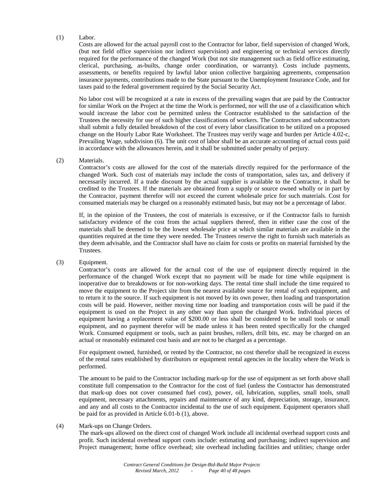# (1) Labor.

Costs are allowed for the actual payroll cost to the Contractor for labor, field supervision of changed Work, (but not field office supervision nor indirect supervision) and engineering or technical services directly required for the performance of the changed Work (but not site management such as field office estimating, clerical, purchasing, as-builts, change order coordination, or warranty). Costs include payments, assessments, or benefits required by lawful labor union collective bargaining agreements, compensation insurance payments, contributions made to the State pursuant to the Unemployment Insurance Code, and for taxes paid to the federal government required by the Social Security Act.

No labor cost will be recognized at a rate in excess of the prevailing wages that are paid by the Contractor for similar Work on the Project at the time the Work is performed, nor will the use of a classification which would increase the labor cost be permitted unless the Contractor established to the satisfaction of the Trustees the necessity for use of such higher classifications of workers. The Contractors and subcontractors shall submit a fully detailed breakdown of the cost of every labor classification to be utilized on a proposed change on the Hourly Labor Rate Worksheet. The Trustees may verify wage and burden per Article 4.02-c, Prevailing Wage, subdivision (6). The unit cost of labor shall be an accurate accounting of actual costs paid in accordance with the allowances herein, and it shall be submitted under penalty of perjury.

#### (2) Materials.

Contractor's costs are allowed for the cost of the materials directly required for the performance of the changed Work. Such cost of materials may include the costs of transportation, sales tax, and delivery if necessarily incurred. If a trade discount by the actual supplier is available to the Contractor, it shall be credited to the Trustees. If the materials are obtained from a supply or source owned wholly or in part by the Contractor, payment therefor will not exceed the current wholesale price for such materials. Cost for consumed materials may be charged on a reasonably estimated basis, but may not be a percentage of labor.

If, in the opinion of the Trustees, the cost of materials is excessive, or if the Contractor fails to furnish satisfactory evidence of the cost from the actual suppliers thereof, then in either case the cost of the materials shall be deemed to be the lowest wholesale price at which similar materials are available in the quantities required at the time they were needed. The Trustees reserve the right to furnish such materials as they deem advisable, and the Contractor shall have no claim for costs or profits on material furnished by the Trustees.

(3) Equipment.

Contractor's costs are allowed for the actual cost of the use of equipment directly required in the performance of the changed Work except that no payment will be made for time while equipment is inoperative due to breakdowns or for non-working days. The rental time shall include the time required to move the equipment to the Project site from the nearest available source for rental of such equipment, and to return it to the source. If such equipment is not moved by its own power, then loading and transportation costs will be paid. However, neither moving time nor loading and transportation costs will be paid if the equipment is used on the Project in any other way than upon the changed Work. Individual pieces of equipment having a replacement value of \$200.00 or less shall be considered to be small tools or small equipment, and no payment therefor will be made unless it has been rented specifically for the changed Work. Consumed equipment or tools, such as paint brushes, rollers, drill bits, etc. may be charged on an actual or reasonably estimated cost basis and are not to be charged as a percentage.

For equipment owned, furnished, or rented by the Contractor, no cost therefor shall be recognized in excess of the rental rates established by distributors or equipment rental agencies in the locality where the Work is performed.

The amount to be paid to the Contractor including mark-up for the use of equipment as set forth above shall constitute full compensation to the Contractor for the cost of fuel (unless the Contractor has demonstrated that mark-up does not cover consumed fuel cost), power, oil, lubrication, supplies, small tools, small equipment, necessary attachments, repairs and maintenance of any kind, depreciation, storage, insurance, and any and all costs to the Contractor incidental to the use of such equipment. Equipment operators shall be paid for as provided in Article 6.01-b (1), above.

#### (4) Mark-ups on Change Orders.

The mark-ups allowed on the direct cost of changed Work include all incidental overhead support costs and profit. Such incidental overhead support costs include: estimating and purchasing; indirect supervision and Project management; home office overhead; site overhead including facilities and utilities; change order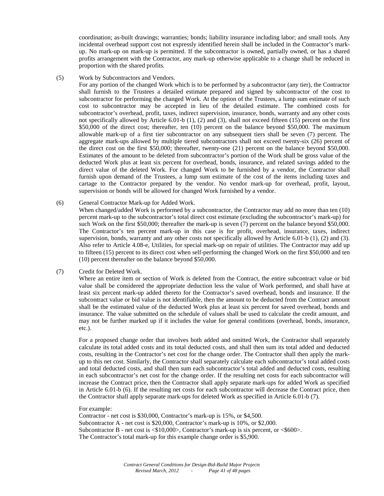coordination; as-built drawings; warranties; bonds; liability insurance including labor; and small tools. Any incidental overhead support cost not expressly identified herein shall be included in the Contractor's markup. No mark-up on mark-up is permitted. If the subcontractor is owned, partially owned, or has a shared profits arrangement with the Contractor, any mark-up otherwise applicable to a change shall be reduced in proportion with the shared profits.

(5) Work by Subcontractors and Vendors.

For any portion of the changed Work which is to be performed by a subcontractor (any tier), the Contractor shall furnish to the Trustees a detailed estimate prepared and signed by subcontractor of the cost to subcontractor for performing the changed Work. At the option of the Trustees, a lump sum estimate of such cost to subcontractor may be accepted in lieu of the detailed estimate. The combined costs for subcontractor's overhead, profit, taxes, indirect supervision, insurance, bonds, warranty and any other costs not specifically allowed by Article 6.01-b (1), (2) and (3), shall not exceed fifteen (15) percent on the first \$50,000 of the direct cost; thereafter, ten (10) percent on the balance beyond \$50,000. The maximum allowable mark-up of a first tier subcontractor on any subsequent tiers shall be seven (7) percent. The aggregate mark-ups allowed by multiple tiered subcontractors shall not exceed twenty-six (26) percent of the direct cost on the first \$50,000; thereafter, twenty-one (21) percent on the balance beyond \$50,000. Estimates of the amount to be deleted from subcontractor's portion of the Work shall be gross value of the deducted Work plus at least six percent for overhead, bonds, insurance, and related savings added to the direct value of the deleted Work. For changed Work to be furnished by a vendor, the Contractor shall furnish upon demand of the Trustees, a lump sum estimate of the cost of the items including taxes and cartage to the Contractor prepared by the vendor. No vendor mark-up for overhead, profit, layout, supervision or bonds will be allowed for changed Work furnished by a vendor.

#### (6) General Contractor Mark-up for Added Work.

When changed/added Work is performed by a subcontractor, the Contractor may add no more than ten (10) percent mark-up to the subcontractor's total direct cost estimate (excluding the subcontractor's mark-up) for such Work on the first \$50,000; thereafter the mark-up is seven (7) percent on the balance beyond \$50,000. The Contractor's ten percent mark-up in this case is for profit, overhead, insurance, taxes, indirect supervision, bonds, warranty and any other costs not specifically allowed by Article 6.01-b (1), (2) and (3). Also refer to Article 4.08-e, Utilities, for special mark-up on repair of utilities. The Contractor may add up to fifteen (15) percent to its direct cost when self-performing the changed Work on the first \$50,000 and ten (10) percent thereafter on the balance beyond \$50,000.

(7) Credit for Deleted Work.

Where an entire item or section of Work is deleted from the Contract, the entire subcontract value or bid value shall be considered the appropriate deduction less the value of Work performed, and shall have at least six percent mark-up added thereto for the Contractor's saved overhead, bonds and insurance. If the subcontract value or bid value is not identifiable, then the amount to be deducted from the Contract amount shall be the estimated value of the deducted Work plus at least six percent for saved overhead, bonds and insurance. The value submitted on the schedule of values shall be used to calculate the credit amount, and may not be further marked up if it includes the value for general conditions (overhead, bonds, insurance, etc.).

For a proposed change order that involves both added and omitted Work, the Contractor shall separately calculate its total added costs and its total deducted costs, and shall then sum its total added and deducted costs, resulting in the Contractor's net cost for the change order. The Contractor shall then apply the markup to this net cost. Similarly, the Contractor shall separately calculate each subcontractor's total added costs and total deducted costs, and shall then sum each subcontractor's total added and deducted costs, resulting in each subcontractor's net cost for the change order. If the resulting net costs for each subcontractor will increase the Contract price, then the Contractor shall apply separate mark-ups for added Work as specified in Article 6.01-b (6). If the resulting net costs for each subcontractor will decrease the Contract price, then the Contractor shall apply separate mark-ups for deleted Work as specified in Article 6.01-b (7).

#### For example:

Contractor - net cost is \$30,000, Contractor's mark-up is 15%, or \$4,500. Subcontractor A - net cost is \$20,000, Contractor's mark-up is 10%, or \$2,000. Subcontractor B - net cost is <\$10,000>, Contractor's mark-up is six percent, or <\$600>. The Contractor's total mark-up for this example change order is \$5,900.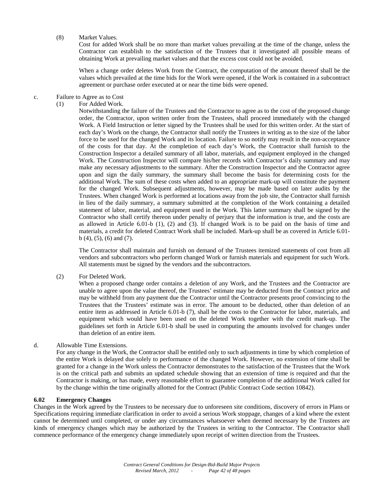(8) Market Values.

Cost for added Work shall be no more than market values prevailing at the time of the change, unless the Contractor can establish to the satisfaction of the Trustees that it investigated all possible means of obtaining Work at prevailing market values and that the excess cost could not be avoided.

When a change order deletes Work from the Contract, the computation of the amount thereof shall be the values which prevailed at the time bids for the Work were opened, if the Work is contained in a subcontract agreement or purchase order executed at or near the time bids were opened.

#### c. Failure to Agree as to Cost

(1) For Added Work.

Notwithstanding the failure of the Trustees and the Contractor to agree as to the cost of the proposed change order, the Contractor, upon written order from the Trustees, shall proceed immediately with the changed Work. A Field Instruction or letter signed by the Trustees shall be used for this written order. At the start of each day's Work on the change, the Contractor shall notify the Trustees in writing as to the size of the labor force to be used for the changed Work and its location. Failure to so notify may result in the non-acceptance of the costs for that day. At the completion of each day's Work, the Contractor shall furnish to the Construction Inspector a detailed summary of all labor, materials, and equipment employed in the changed Work. The Construction Inspector will compare his/her records with Contractor's daily summary and may make any necessary adjustments to the summary. After the Construction Inspector and the Contractor agree upon and sign the daily summary, the summary shall become the basis for determining costs for the additional Work. The sum of these costs when added to an appropriate mark-up will constitute the payment for the changed Work. Subsequent adjustments, however, may be made based on later audits by the Trustees. When changed Work is performed at locations away from the job site, the Contractor shall furnish in lieu of the daily summary, a summary submitted at the completion of the Work containing a detailed statement of labor, material, and equipment used in the Work. This latter summary shall be signed by the Contractor who shall certify thereon under penalty of perjury that the information is true, and the costs are as allowed in Article 6.01-b (1), (2) and (3). If changed Work is to be paid on the basis of time and materials, a credit for deleted Contract Work shall be included. Mark-up shall be as covered in Article 6.01 b (4), (5), (6) and (7).

The Contractor shall maintain and furnish on demand of the Trustees itemized statements of cost from all vendors and subcontractors who perform changed Work or furnish materials and equipment for such Work. All statements must be signed by the vendors and the subcontractors.

(2) For Deleted Work.

When a proposed change order contains a deletion of any Work, and the Trustees and the Contractor are unable to agree upon the value thereof, the Trustees' estimate may be deducted from the Contract price and may be withheld from any payment due the Contractor until the Contractor presents proof convincing to the Trustees that the Trustees' estimate was in error. The amount to be deducted, other than deletion of an entire item as addressed in Article 6.01-b (7), shall be the costs to the Contractor for labor, materials, and equipment which would have been used on the deleted Work together with the credit mark-up. The guidelines set forth in Article 6.01-b shall be used in computing the amounts involved for changes under than deletion of an entire item.

#### d. Allowable Time Extensions.

For any change in the Work, the Contractor shall be entitled only to such adjustments in time by which completion of the entire Work is delayed due solely to performance of the changed Work. However, no extension of time shall be granted for a change in the Work unless the Contractor demonstrates to the satisfaction of the Trustees that the Work is on the critical path and submits an updated schedule showing that an extension of time is required and that the Contractor is making, or has made, every reasonable effort to guarantee completion of the additional Work called for by the change within the time originally allotted for the Contract (Public Contract Code section 10842).

# **6.02 Emergency Changes**

Changes in the Work agreed by the Trustees to be necessary due to unforeseen site conditions, discovery of errors in Plans or Specifications requiring immediate clarification in order to avoid a serious Work stoppage, changes of a kind where the extent cannot be determined until completed, or under any circumstances whatsoever when deemed necessary by the Trustees are kinds of emergency changes which may be authorized by the Trustees in writing to the Contractor. The Contractor shall commence performance of the emergency change immediately upon receipt of written direction from the Trustees.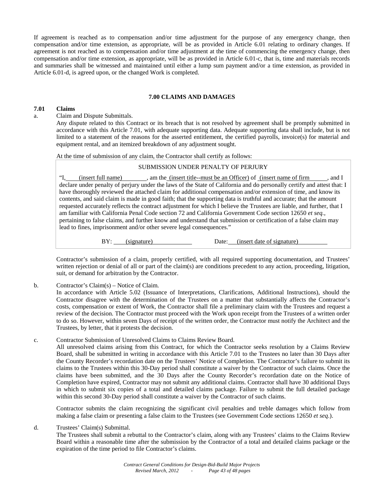If agreement is reached as to compensation and/or time adjustment for the purpose of any emergency change, then compensation and/or time extension, as appropriate, will be as provided in Article 6.01 relating to ordinary changes. If agreement is not reached as to compensation and/or time adjustment at the time of commencing the emergency change, then compensation and/or time extension, as appropriate, will be as provided in Article 6.01-c, that is, time and materials records and summaries shall be witnessed and maintained until either a lump sum payment and/or a time extension, as provided in Article 6.01-d, is agreed upon, or the changed Work is completed.

# **7.00 CLAIMS AND DAMAGES**

#### **7.01 Claims**

a. Claim and Dispute Submittals.

Any dispute related to this Contract or its breach that is not resolved by agreement shall be promptly submitted in accordance with this Article 7.01, with adequate supporting data. Adequate supporting data shall include, but is not limited to a statement of the reasons for the asserted entitlement, the certified payrolls, invoice(s) for material and equipment rental, and an itemized breakdown of any adjustment sought.

At the time of submission of any claim, the Contractor shall certify as follows:

# SUBMISSION UNDER PENALTY OF PERJURY

"I, (insert full name), am the (insert title--must be an Officer) of (insert name of firm , and I declare under penalty of perjury under the laws of the State of California and do personally certify and attest that: I have thoroughly reviewed the attached claim for additional compensation and/or extension of time, and know its contents, and said claim is made in good faith; that the supporting data is truthful and accurate; that the amount requested accurately reflects the contract adjustment for which I believe the Trustees are liable, and further, that I am familiar with California Penal Code section 72 and California Government Code section 12650 *et seq.*, pertaining to false claims, and further know and understand that submission or certification of a false claim may lead to fines, imprisonment and/or other severe legal consequences."

BY: (signature) Date: (insert date of signature)

Contractor's submission of a claim, properly certified, with all required supporting documentation, and Trustees' written rejection or denial of all or part of the claim(s) are conditions precedent to any action, proceeding, litigation, suit, or demand for arbitration by the Contractor.

b. Contractor's Claim(s) – Notice of Claim.

In accordance with Article 5.02 (Issuance of Interpretations, Clarifications, Additional Instructions), should the Contractor disagree with the determination of the Trustees on a matter that substantially affects the Contractor's costs, compensation or extent of Work, the Contractor shall file a preliminary claim with the Trustees and request a review of the decision. The Contractor must proceed with the Work upon receipt from the Trustees of a written order to do so. However, within seven Days of receipt of the written order, the Contractor must notify the Architect and the Trustees, by letter, that it protests the decision.

c. Contractor Submission of Unresolved Claims to Claims Review Board.

All unresolved claims arising from this Contract, for which the Contractor seeks resolution by a Claims Review Board, shall be submitted in writing in accordance with this Article 7.01 to the Trustees no later than 30 Days after the County Recorder's recordation date on the Trustees' Notice of Completion. The Contractor's failure to submit its claims to the Trustees within this 30-Day period shall constitute a waiver by the Contractor of such claims. Once the claims have been submitted, and the 30 Days after the County Recorder's recordation date on the Notice of Completion have expired, Contractor may not submit any additional claims. Contractor shall have 30 additional Days in which to submit six copies of a total and detailed claims package. Failure to submit the full detailed package within this second 30-Day period shall constitute a waiver by the Contractor of such claims.

Contractor submits the claim recognizing the significant civil penalties and treble damages which follow from making a false claim or presenting a false claim to the Trustees (see Government Code sections 12650 *et seq*.).

d. Trustees' Claim(s) Submittal.

The Trustees shall submit a rebuttal to the Contractor's claim, along with any Trustees' claims to the Claims Review Board within a reasonable time after the submission by the Contractor of a total and detailed claims package or the expiration of the time period to file Contractor's claims.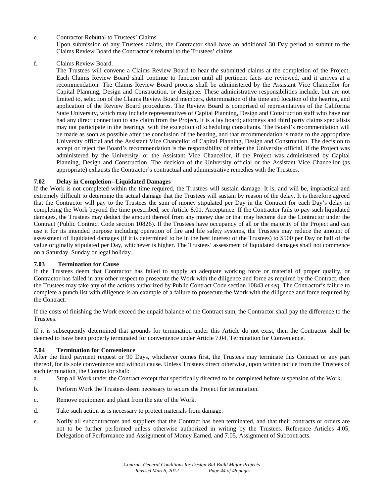e. Contractor Rebuttal to Trustees' Claims.

Upon submission of any Trustees claims, the Contractor shall have an additional 30 Day period to submit to the Claims Review Board the Contractor's rebuttal to the Trustees' claims.

f. Claims Review Board.

The Trustees will convene a Claims Review Board to hear the submitted claims at the completion of the Project. Each Claims Review Board shall continue to function until all pertinent facts are reviewed, and it arrives at a recommendation. The Claims Review Board process shall be administered by the Assistant Vice Chancellor for Capital Planning, Design and Construction, or designee. These administrative responsibilities include, but are not limited to, selection of the Claims Review Board members, determination of the time and location of the hearing, and application of the Review Board procedures. The Review Board is comprised of representatives of the California State University, which may include representatives of Capital Planning, Design and Construction staff who have not had any direct connection to any claim from the Project. It is a lay board; attorneys and third party claims specialists may not participate in the hearings, with the exception of scheduling consultants. The Board's recommendation will be made as soon as possible after the conclusion of the hearing, and that recommendation is made to the appropriate University official and the Assistant Vice Chancellor of Capital Planning, Design and Construction. The decision to accept or reject the Board's recommendation is the responsibility of either the University official, if the Project was administered by the University, or the Assistant Vice Chancellor, if the Project was administered by Capital Planning, Design and Construction. The decision of the University official or the Assistant Vice Chancellor (as appropriate) exhausts the Contractor's contractual and administrative remedies with the Trustees.

# **7.02 Delay in Completion--Liquidated Damages**

If the Work is not completed within the time required, the Trustees will sustain damage. It is, and will be, impractical and extremely difficult to determine the actual damage that the Trustees will sustain by reason of the delay. It is therefore agreed that the Contractor will pay to the Trustees the sum of money stipulated per Day in the Contract for each Day's delay in completing the Work beyond the time prescribed, see Article 8.01, Acceptance. If the Contractor fails to pay such liquidated damages, the Trustees may deduct the amount thereof from any money due or that may become due the Contractor under the Contract (Public Contract Code section 10826). If the Trustees have occupancy of all or the majority of the Project and can use it for its intended purpose including operation of fire and life safety systems, the Trustees may reduce the amount of assessment of liquidated damages (if it is determined to be in the best interest of the Trustees) to \$500 per Day or half of the value originally stipulated per Day, whichever is higher. The Trustees' assessment of liquidated damages shall not commence on a Saturday, Sunday or legal holiday.

#### **7.03 Termination for Cause**

If the Trustees deem that Contractor has failed to supply an adequate working force or material of proper quality, or Contractor has failed in any other respect to prosecute the Work with the diligence and force as required by the Contract, then the Trustees may take any of the actions authorized by Public Contract Code section 10843 *et seq*. The Contractor's failure to complete a punch list with diligence is an example of a failure to prosecute the Work with the diligence and force required by the Contract.

If the costs of finishing the Work exceed the unpaid balance of the Contract sum, the Contractor shall pay the difference to the Trustees.

If it is subsequently determined that grounds for termination under this Article do not exist, then the Contractor shall be deemed to have been properly terminated for convenience under Article 7.04, Termination for Convenience.

# **7.04 Termination for Convenience**

After the third payment request or 90 Days, whichever comes first, the Trustees may terminate this Contract or any part thereof, for its sole convenience and without cause. Unless Trustees direct otherwise, upon written notice from the Trustees of such termination, the Contractor shall:

- a. Stop all Work under the Contract except that specifically directed to be completed before suspension of the Work.
- b. Perform Work the Trustees deem necessary to secure the Project for termination.
- c. Remove equipment and plant from the site of the Work.
- d. Take such action as is necessary to protect materials from damage.
- e. Notify all subcontractors and suppliers that the Contract has been terminated, and that their contracts or orders are not to be further performed unless otherwise authorized in writing by the Trustees. Reference Articles 4.05, Delegation of Performance and Assignment of Money Earned, and 7.05, Assignment of Subcontracts.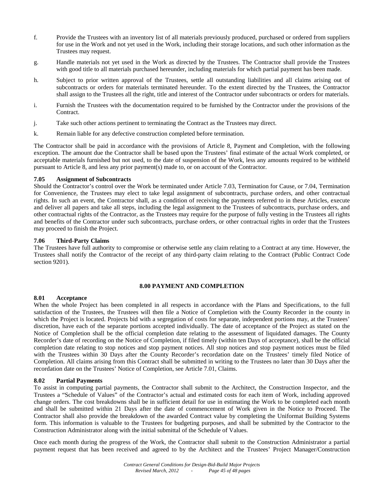- f. Provide the Trustees with an inventory list of all materials previously produced, purchased or ordered from suppliers for use in the Work and not yet used in the Work, including their storage locations, and such other information as the Trustees may request.
- g. Handle materials not yet used in the Work as directed by the Trustees. The Contractor shall provide the Trustees with good title to all materials purchased hereunder, including materials for which partial payment has been made.
- h. Subject to prior written approval of the Trustees, settle all outstanding liabilities and all claims arising out of subcontracts or orders for materials terminated hereunder. To the extent directed by the Trustees, the Contractor shall assign to the Trustees all the right, title and interest of the Contractor under subcontracts or orders for materials.
- i. Furnish the Trustees with the documentation required to be furnished by the Contractor under the provisions of the Contract.
- j. Take such other actions pertinent to terminating the Contract as the Trustees may direct.
- k. Remain liable for any defective construction completed before termination.

The Contractor shall be paid in accordance with the provisions of Article 8, Payment and Completion, with the following exception. The amount due the Contractor shall be based upon the Trustees' final estimate of the actual Work completed, or acceptable materials furnished but not used, to the date of suspension of the Work, less any amounts required to be withheld pursuant to Article 8, and less any prior payment(s) made to, or on account of the Contractor.

# **7.05 Assignment of Subcontracts**

Should the Contractor's control over the Work be terminated under Article 7.03, Termination for Cause, or 7.04, Termination for Convenience, the Trustees may elect to take legal assignment of subcontracts, purchase orders, and other contractual rights. In such an event, the Contractor shall, as a condition of receiving the payments referred to in these Articles, execute and deliver all papers and take all steps, including the legal assignment to the Trustees of subcontracts, purchase orders, and other contractual rights of the Contractor, as the Trustees may require for the purpose of fully vesting in the Trustees all rights and benefits of the Contractor under such subcontracts, purchase orders, or other contractual rights in order that the Trustees may proceed to finish the Project.

# **7.06 Third-Party Claims**

The Trustees have full authority to compromise or otherwise settle any claim relating to a Contract at any time. However, the Trustees shall notify the Contractor of the receipt of any third-party claim relating to the Contract (Public Contract Code section 9201).

# **8.00 PAYMENT AND COMPLETION**

#### **8.01 Acceptance**

When the whole Project has been completed in all respects in accordance with the Plans and Specifications, to the full satisfaction of the Trustees, the Trustees will then file a Notice of Completion with the County Recorder in the county in which the Project is located. Projects bid with a segregation of costs for separate, independent portions may, at the Trustees' discretion, have each of the separate portions accepted individually. The date of acceptance of the Project as stated on the Notice of Completion shall be the official completion date relating to the assessment of liquidated damages. The County Recorder's date of recording on the Notice of Completion, if filed timely (within ten Days of acceptance), shall be the official completion date relating to stop notices and stop payment notices. All stop notices and stop payment notices must be filed with the Trustees within 30 Days after the County Recorder's recordation date on the Trustees' timely filed Notice of Completion. All claims arising from this Contract shall be submitted in writing to the Trustees no later than 30 Days after the recordation date on the Trustees' Notice of Completion, see Article 7.01, Claims.

#### **8.02 Partial Payments**

To assist in computing partial payments, the Contractor shall submit to the Architect, the Construction Inspector, and the Trustees a "Schedule of Values" of the Contractor's actual and estimated costs for each item of Work, including approved change orders. The cost breakdowns shall be in sufficient detail for use in estimating the Work to be completed each month and shall be submitted within 21 Days after the date of commencement of Work given in the Notice to Proceed. The Contractor shall also provide the breakdown of the awarded Contract value by completing the Uniformat Building Systems form. This information is valuable to the Trustees for budgeting purposes, and shall be submitted by the Contractor to the Construction Administrator along with the initial submittal of the Schedule of Values.

Once each month during the progress of the Work, the Contractor shall submit to the Construction Administrator a partial payment request that has been received and agreed to by the Architect and the Trustees' Project Manager/Construction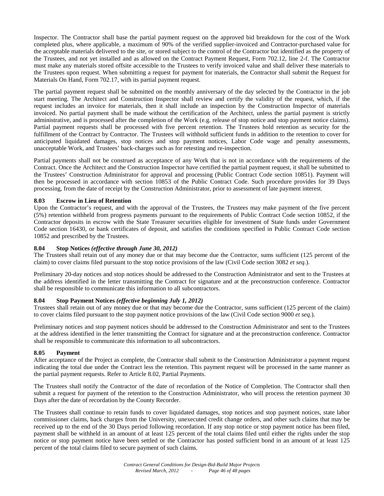Inspector. The Contractor shall base the partial payment request on the approved bid breakdown for the cost of the Work completed plus, where applicable, a maximum of 90% of the verified supplier-invoiced and Contractor-purchased value for the acceptable materials delivered to the site, or stored subject to the control of the Contractor but identified as the property of the Trustees, and not yet installed and as allowed on the Contract Payment Request, Form 702.12, line 2-f. The Contractor must make any materials stored offsite accessible to the Trustees to verify invoiced value and shall deliver these materials to the Trustees upon request. When submitting a request for payment for materials, the Contractor shall submit the Request for Materials On Hand, Form 702.17, with its partial payment request.

The partial payment request shall be submitted on the monthly anniversary of the day selected by the Contractor in the job start meeting. The Architect and Construction Inspector shall review and certify the validity of the request, which, if the request includes an invoice for materials, then it shall include an inspection by the Construction Inspector of materials invoiced. No partial payment shall be made without the certification of the Architect, unless the partial payment is strictly administrative, and is processed after the completion of the Work (e.g. release of stop notice and stop payment notice claims). Partial payment requests shall be processed with five percent retention. The Trustees hold retention as security for the fulfillment of the Contract by Contractor. The Trustees will withhold sufficient funds in addition to the retention to cover for anticipated liquidated damages, stop notices and stop payment notices, Labor Code wage and penalty assessments, unacceptable Work, and Trustees' back-charges such as for retesting and re-inspection.

Partial payments shall not be construed as acceptance of any Work that is not in accordance with the requirements of the Contract. Once the Architect and the Construction Inspector have certified the partial payment request, it shall be submitted to the Trustees' Construction Administrator for approval and processing (Public Contract Code section 10851). Payment will then be processed in accordance with section 10853 of the Public Contract Code. Such procedure provides for 39 Days processing, from the date of receipt by the Construction Administrator, prior to assessment of late payment interest.

# **8.03 Escrow in Lieu of Retention**

Upon the Contractor's request, and with the approval of the Trustees, the Trustees may make payment of the five percent (5%) retention withheld from progress payments pursuant to the requirements of Public Contract Code section 10852, if the Contractor deposits in escrow with the State Treasurer securities eligible for investment of State funds under Government Code section 16430, or bank certificates of deposit, and satisfies the conditions specified in Public Contract Code section 10852 and prescribed by the Trustees.

# **8.04 Stop Notices** *(effective through June 30, 2012)*

The Trustees shall retain out of any money due or that may become due the Contractor, sums sufficient (125 percent of the claim) to cover claims filed pursuant to the stop notice provisions of the law (Civil Code section 3082 *et seq.*).

Preliminary 20-day notices and stop notices should be addressed to the Construction Administrator and sent to the Trustees at the address identified in the letter transmitting the Contract for signature and at the preconstruction conference. Contractor shall be responsible to communicate this information to all subcontractors.

#### **8.04 Stop Payment Notices** *(effective beginning July 1, 2012)*

Trustees shall retain out of any money due or that may become due the Contractor, sums sufficient (125 percent of the claim) to cover claims filed pursuant to the stop payment notice provisions of the law (Civil Code section 9000 *et seq.*).

Preliminary notices and stop payment notices should be addressed to the Construction Administrator and sent to the Trustees at the address identified in the letter transmitting the Contract for signature and at the preconstruction conference. Contractor shall be responsible to communicate this information to all subcontractors.

#### **8.05 Payment**

After acceptance of the Project as complete, the Contractor shall submit to the Construction Administrator a payment request indicating the total due under the Contract less the retention. This payment request will be processed in the same manner as the partial payment requests. Refer to Article 8.02, Partial Payments.

The Trustees shall notify the Contractor of the date of recordation of the Notice of Completion. The Contractor shall then submit a request for payment of the retention to the Construction Administrator, who will process the retention payment 30 Days after the date of recordation by the County Recorder.

The Trustees shall continue to retain funds to cover liquidated damages, stop notices and stop payment notices, state labor commissioner claims, back charges from the University, unexecuted credit change orders, and other such claims that may be received up to the end of the 30 Days period following recordation. If any stop notice or stop payment notice has been filed, payment shall be withheld in an amount of at least 125 percent of the total claims filed until either the rights under the stop notice or stop payment notice have been settled or the Contractor has posted sufficient bond in an amount of at least 125 percent of the total claims filed to secure payment of such claims.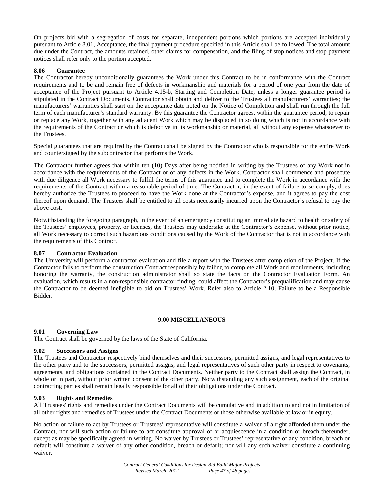On projects bid with a segregation of costs for separate, independent portions which portions are accepted individually pursuant to Article 8.01, Acceptance, the final payment procedure specified in this Article shall be followed. The total amount due under the Contract, the amounts retained, other claims for compensation, and the filing of stop notices and stop payment notices shall refer only to the portion accepted.

# **8.06 Guarantee**

The Contractor hereby unconditionally guarantees the Work under this Contract to be in conformance with the Contract requirements and to be and remain free of defects in workmanship and materials for a period of one year from the date of acceptance of the Project pursuant to Article 4.15-b, Starting and Completion Date, unless a longer guarantee period is stipulated in the Contract Documents. Contractor shall obtain and deliver to the Trustees all manufacturers' warranties; the manufacturers' warranties shall start on the acceptance date noted on the Notice of Completion and shall run through the full term of each manufacturer's standard warranty. By this guarantee the Contractor agrees, within the guarantee period, to repair or replace any Work, together with any adjacent Work which may be displaced in so doing which is not in accordance with the requirements of the Contract or which is defective in its workmanship or material, all without any expense whatsoever to the Trustees.

Special guarantees that are required by the Contract shall be signed by the Contractor who is responsible for the entire Work and countersigned by the subcontractor that performs the Work.

The Contractor further agrees that within ten (10) Days after being notified in writing by the Trustees of any Work not in accordance with the requirements of the Contract or of any defects in the Work, Contractor shall commence and prosecute with due diligence all Work necessary to fulfill the terms of this guarantee and to complete the Work in accordance with the requirements of the Contract within a reasonable period of time. The Contractor, in the event of failure to so comply, does hereby authorize the Trustees to proceed to have the Work done at the Contractor's expense, and it agrees to pay the cost thereof upon demand. The Trustees shall be entitled to all costs necessarily incurred upon the Contractor's refusal to pay the above cost.

Notwithstanding the foregoing paragraph, in the event of an emergency constituting an immediate hazard to health or safety of the Trustees' employees, property, or licenses, the Trustees may undertake at the Contractor's expense, without prior notice, all Work necessary to correct such hazardous conditions caused by the Work of the Contractor that is not in accordance with the requirements of this Contract.

#### **8.07 Contractor Evaluation**

The University will perform a contractor evaluation and file a report with the Trustees after completion of the Project. If the Contractor fails to perform the construction Contract responsibly by failing to complete all Work and requirements, including honoring the warranty, the construction administrator shall so state the facts on the Contractor Evaluation Form. An evaluation, which results in a non-responsible contractor finding, could affect the Contractor's prequalification and may cause the Contractor to be deemed ineligible to bid on Trustees' Work. Refer also to Article 2.10, Failure to be a Responsible Bidder.

#### **9.00 MISCELLANEOUS**

#### **9.01 Governing Law**

The Contract shall be governed by the laws of the State of California.

# **9.02 Successors and Assigns**

The Trustees and Contractor respectively bind themselves and their successors, permitted assigns, and legal representatives to the other party and to the successors, permitted assigns, and legal representatives of such other party in respect to covenants, agreements, and obligations contained in the Contract Documents. Neither party to the Contract shall assign the Contract, in whole or in part, without prior written consent of the other party. Notwithstanding any such assignment, each of the original contracting parties shall remain legally responsible for all of their obligations under the Contract.

#### **9.03 Rights and Remedies**

All Trustees' rights and remedies under the Contract Documents will be cumulative and in addition to and not in limitation of all other rights and remedies of Trustees under the Contract Documents or those otherwise available at law or in equity.

No action or failure to act by Trustees or Trustees' representative will constitute a waiver of a right afforded them under the Contract, nor will such action or failure to act constitute approval of or acquiescence in a condition or breach thereunder, except as may be specifically agreed in writing. No waiver by Trustees or Trustees' representative of any condition, breach or default will constitute a waiver of any other condition, breach or default; nor will any such waiver constitute a continuing waiver.